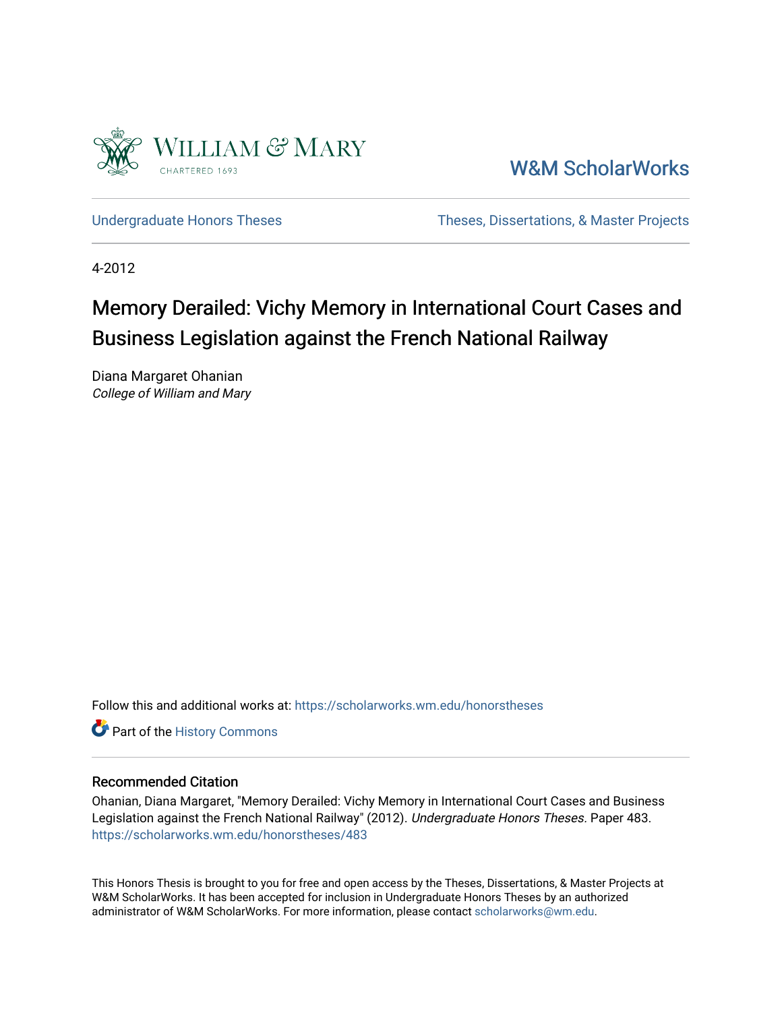

[W&M ScholarWorks](https://scholarworks.wm.edu/) 

[Undergraduate Honors Theses](https://scholarworks.wm.edu/honorstheses) Theses Theses, Dissertations, & Master Projects

4-2012

# Memory Derailed: Vichy Memory in International Court Cases and Business Legislation against the French National Railway

Diana Margaret Ohanian College of William and Mary

Follow this and additional works at: [https://scholarworks.wm.edu/honorstheses](https://scholarworks.wm.edu/honorstheses?utm_source=scholarworks.wm.edu%2Fhonorstheses%2F483&utm_medium=PDF&utm_campaign=PDFCoverPages) 

Part of the [History Commons](http://network.bepress.com/hgg/discipline/489?utm_source=scholarworks.wm.edu%2Fhonorstheses%2F483&utm_medium=PDF&utm_campaign=PDFCoverPages) 

#### Recommended Citation

Ohanian, Diana Margaret, "Memory Derailed: Vichy Memory in International Court Cases and Business Legislation against the French National Railway" (2012). Undergraduate Honors Theses. Paper 483. [https://scholarworks.wm.edu/honorstheses/483](https://scholarworks.wm.edu/honorstheses/483?utm_source=scholarworks.wm.edu%2Fhonorstheses%2F483&utm_medium=PDF&utm_campaign=PDFCoverPages) 

This Honors Thesis is brought to you for free and open access by the Theses, Dissertations, & Master Projects at W&M ScholarWorks. It has been accepted for inclusion in Undergraduate Honors Theses by an authorized administrator of W&M ScholarWorks. For more information, please contact [scholarworks@wm.edu.](mailto:scholarworks@wm.edu)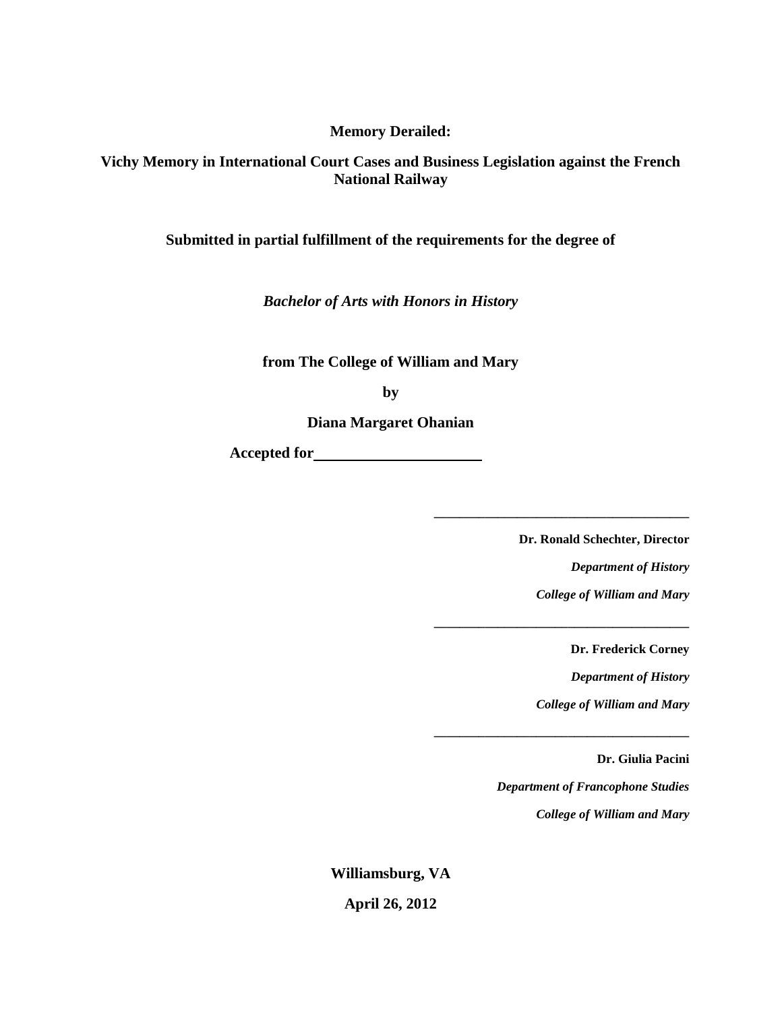**Memory Derailed:**

**Vichy Memory in International Court Cases and Business Legislation against the French National Railway**

**Submitted in partial fulfillment of the requirements for the degree of**

*Bachelor of Arts with Honors in History*

**from The College of William and Mary**

**by**

**Diana Margaret Ohanian**

**Accepted for** 

**Dr. Ronald Schechter, Director**

**\_\_\_\_\_\_\_\_\_\_\_\_\_\_\_\_\_\_\_\_\_\_\_\_\_\_\_\_\_\_\_\_\_\_\_\_\_\_\_\_**

**\_\_\_\_\_\_\_\_\_\_\_\_\_\_\_\_\_\_\_\_\_\_\_\_\_\_\_\_\_\_\_\_\_\_\_\_\_\_\_\_**

**\_\_\_\_\_\_\_\_\_\_\_\_\_\_\_\_\_\_\_\_\_\_\_\_\_\_\_\_\_\_\_\_\_\_\_\_\_\_\_\_**

*Department of History*

*College of William and Mary*

**Dr. Frederick Corney**

*Department of History*

*College of William and Mary*

**Dr. Giulia Pacini**

*Department of Francophone Studies*

*College of William and Mary*

**Williamsburg, VA April 26, 2012**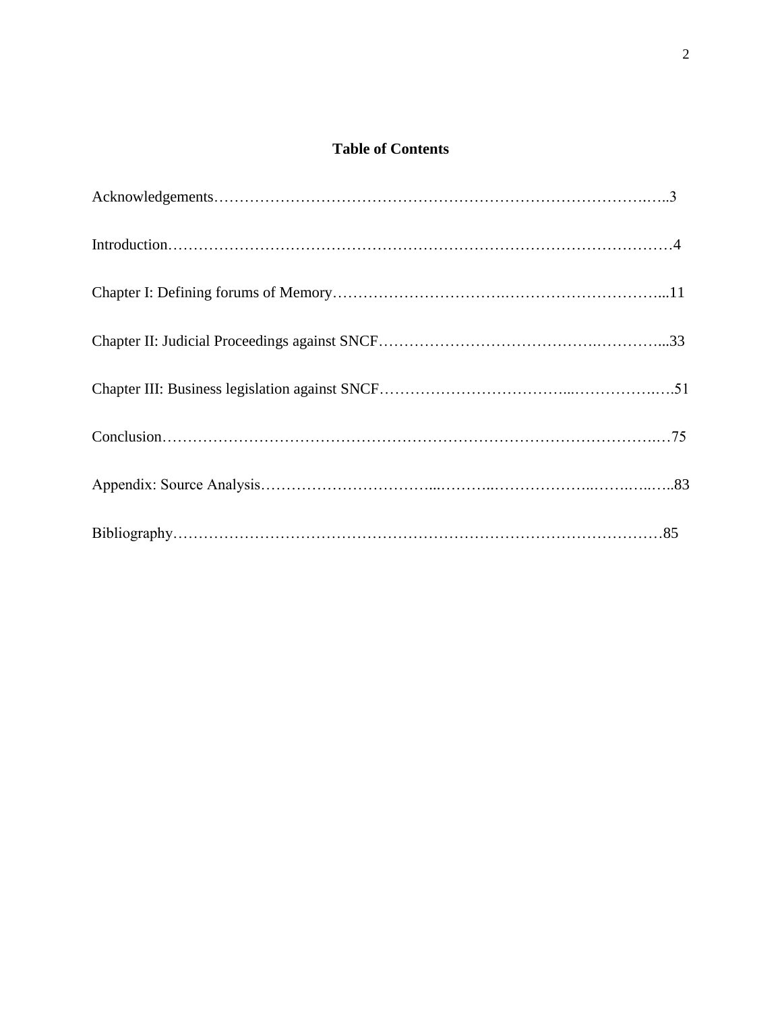## **Table of Contents**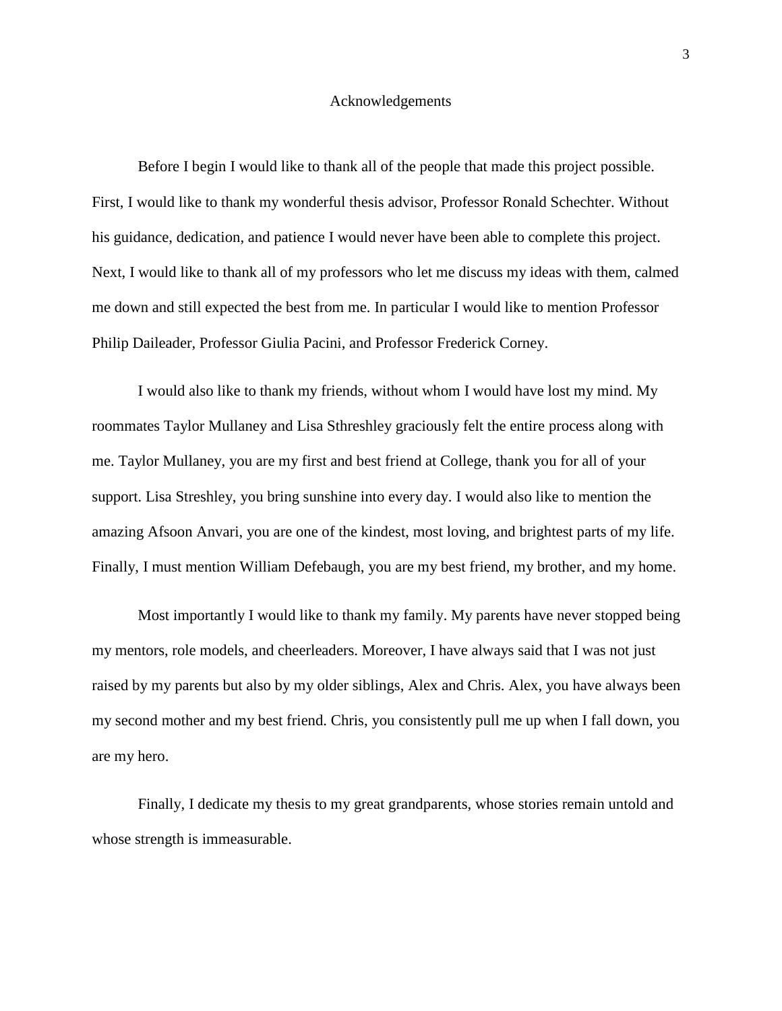#### Acknowledgements

Before I begin I would like to thank all of the people that made this project possible. First, I would like to thank my wonderful thesis advisor, Professor Ronald Schechter. Without his guidance, dedication, and patience I would never have been able to complete this project. Next, I would like to thank all of my professors who let me discuss my ideas with them, calmed me down and still expected the best from me. In particular I would like to mention Professor Philip Daileader, Professor Giulia Pacini, and Professor Frederick Corney.

I would also like to thank my friends, without whom I would have lost my mind. My roommates Taylor Mullaney and Lisa Sthreshley graciously felt the entire process along with me. Taylor Mullaney, you are my first and best friend at College, thank you for all of your support. Lisa Streshley, you bring sunshine into every day. I would also like to mention the amazing Afsoon Anvari, you are one of the kindest, most loving, and brightest parts of my life. Finally, I must mention William Defebaugh, you are my best friend, my brother, and my home.

Most importantly I would like to thank my family. My parents have never stopped being my mentors, role models, and cheerleaders. Moreover, I have always said that I was not just raised by my parents but also by my older siblings, Alex and Chris. Alex, you have always been my second mother and my best friend. Chris, you consistently pull me up when I fall down, you are my hero.

Finally, I dedicate my thesis to my great grandparents, whose stories remain untold and whose strength is immeasurable.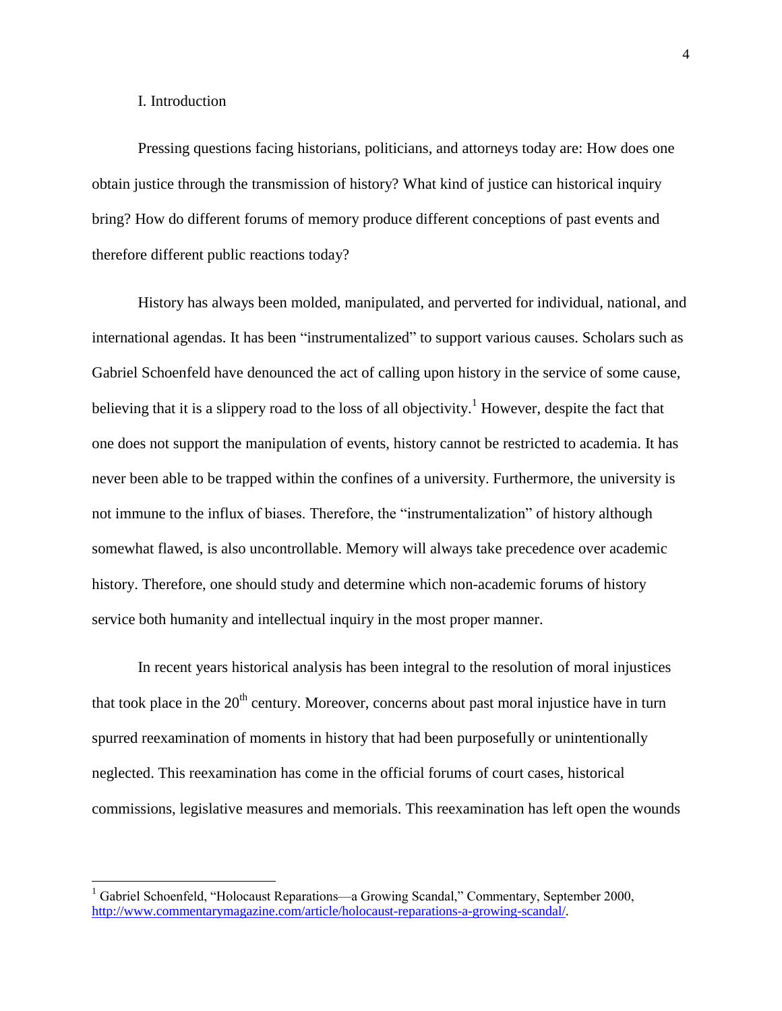#### I. Introduction

 $\overline{\phantom{a}}$ 

Pressing questions facing historians, politicians, and attorneys today are: How does one obtain justice through the transmission of history? What kind of justice can historical inquiry bring? How do different forums of memory produce different conceptions of past events and therefore different public reactions today?

History has always been molded, manipulated, and perverted for individual, national, and international agendas. It has been "instrumentalized" to support various causes. Scholars such as Gabriel Schoenfeld have denounced the act of calling upon history in the service of some cause, believing that it is a slippery road to the loss of all objectivity.<sup>1</sup> However, despite the fact that one does not support the manipulation of events, history cannot be restricted to academia. It has never been able to be trapped within the confines of a university. Furthermore, the university is not immune to the influx of biases. Therefore, the "instrumentalization" of history although somewhat flawed, is also uncontrollable. Memory will always take precedence over academic history. Therefore, one should study and determine which non-academic forums of history service both humanity and intellectual inquiry in the most proper manner.

In recent years historical analysis has been integral to the resolution of moral injustices that took place in the  $20<sup>th</sup>$  century. Moreover, concerns about past moral injustice have in turn spurred reexamination of moments in history that had been purposefully or unintentionally neglected. This reexamination has come in the official forums of court cases, historical commissions, legislative measures and memorials. This reexamination has left open the wounds

<sup>&</sup>lt;sup>1</sup> Gabriel Schoenfeld, "Holocaust Reparations—a Growing Scandal," Commentary, September 2000, [http://www.commentarymagazine.com/article/holocaust-reparations-a-growing-scandal/.](http://www.commentarymagazine.com/article/holocaust-reparations-a-growing-scandal/)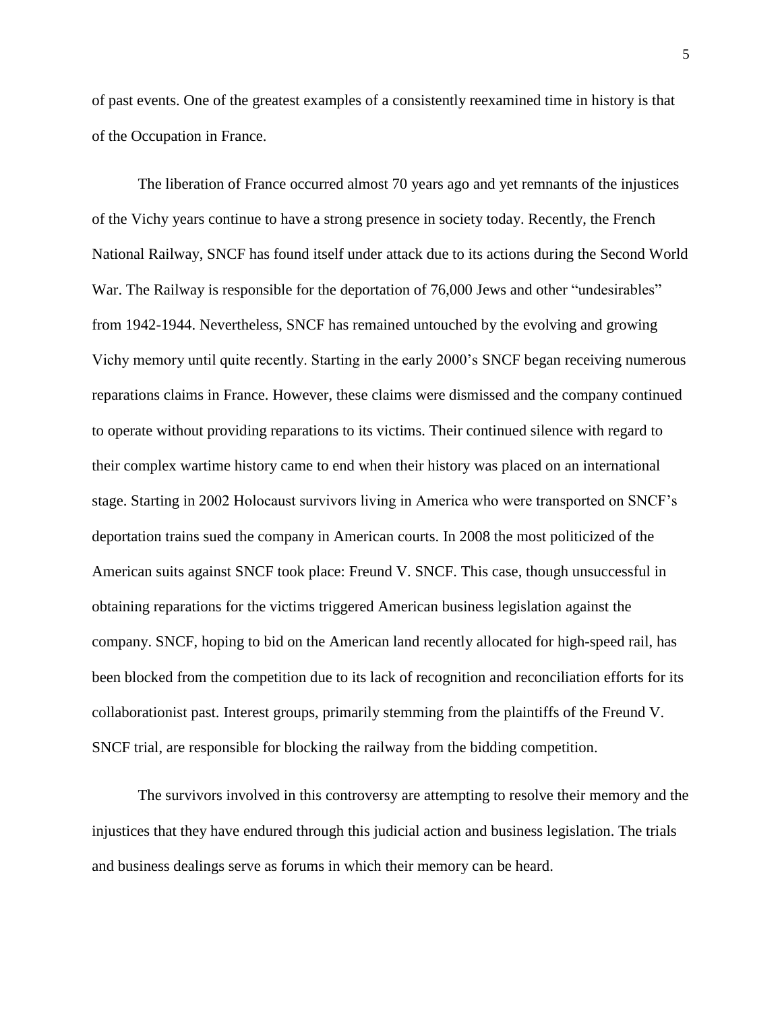of past events. One of the greatest examples of a consistently reexamined time in history is that of the Occupation in France.

The liberation of France occurred almost 70 years ago and yet remnants of the injustices of the Vichy years continue to have a strong presence in society today. Recently, the French National Railway, SNCF has found itself under attack due to its actions during the Second World War. The Railway is responsible for the deportation of 76,000 Jews and other "undesirables" from 1942-1944. Nevertheless, SNCF has remained untouched by the evolving and growing Vichy memory until quite recently. Starting in the early 2000's SNCF began receiving numerous reparations claims in France. However, these claims were dismissed and the company continued to operate without providing reparations to its victims. Their continued silence with regard to their complex wartime history came to end when their history was placed on an international stage. Starting in 2002 Holocaust survivors living in America who were transported on SNCF's deportation trains sued the company in American courts. In 2008 the most politicized of the American suits against SNCF took place: Freund V. SNCF. This case, though unsuccessful in obtaining reparations for the victims triggered American business legislation against the company. SNCF, hoping to bid on the American land recently allocated for high-speed rail, has been blocked from the competition due to its lack of recognition and reconciliation efforts for its collaborationist past. Interest groups, primarily stemming from the plaintiffs of the Freund V. SNCF trial, are responsible for blocking the railway from the bidding competition.

The survivors involved in this controversy are attempting to resolve their memory and the injustices that they have endured through this judicial action and business legislation. The trials and business dealings serve as forums in which their memory can be heard.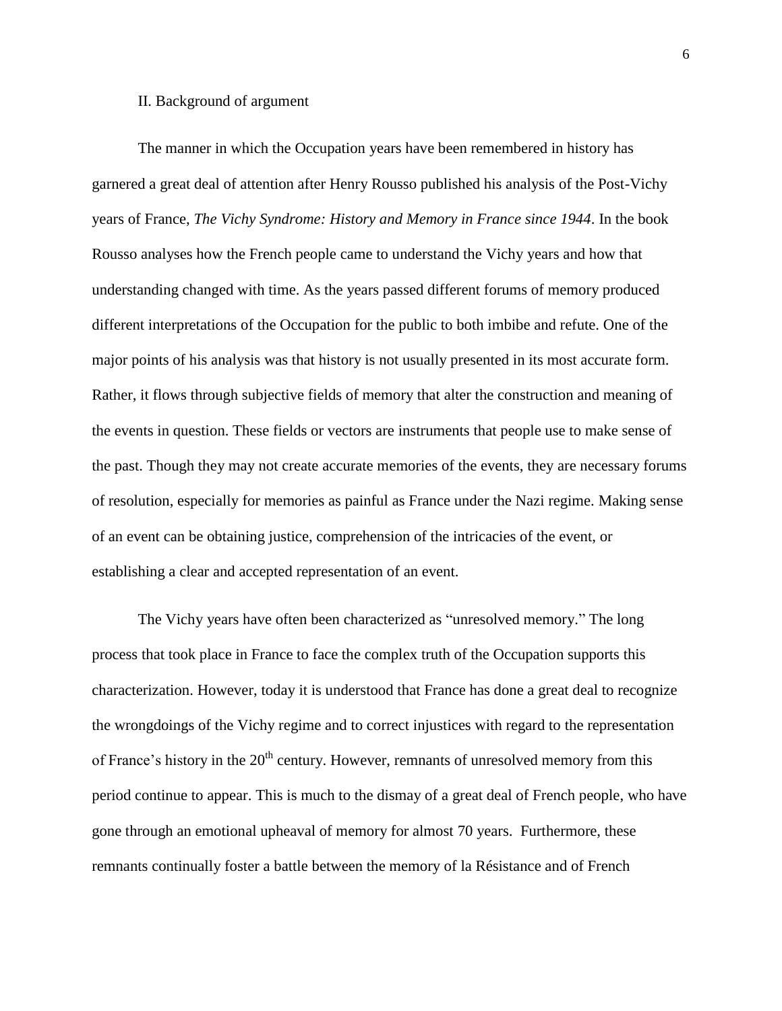#### II. Background of argument

The manner in which the Occupation years have been remembered in history has garnered a great deal of attention after Henry Rousso published his analysis of the Post-Vichy years of France, *The Vichy Syndrome: History and Memory in France since 1944*. In the book Rousso analyses how the French people came to understand the Vichy years and how that understanding changed with time. As the years passed different forums of memory produced different interpretations of the Occupation for the public to both imbibe and refute. One of the major points of his analysis was that history is not usually presented in its most accurate form. Rather, it flows through subjective fields of memory that alter the construction and meaning of the events in question. These fields or vectors are instruments that people use to make sense of the past. Though they may not create accurate memories of the events, they are necessary forums of resolution, especially for memories as painful as France under the Nazi regime. Making sense of an event can be obtaining justice, comprehension of the intricacies of the event, or establishing a clear and accepted representation of an event.

The Vichy years have often been characterized as "unresolved memory." The long process that took place in France to face the complex truth of the Occupation supports this characterization. However, today it is understood that France has done a great deal to recognize the wrongdoings of the Vichy regime and to correct injustices with regard to the representation of France's history in the  $20<sup>th</sup>$  century. However, remnants of unresolved memory from this period continue to appear. This is much to the dismay of a great deal of French people, who have gone through an emotional upheaval of memory for almost 70 years. Furthermore, these remnants continually foster a battle between the memory of la Résistance and of French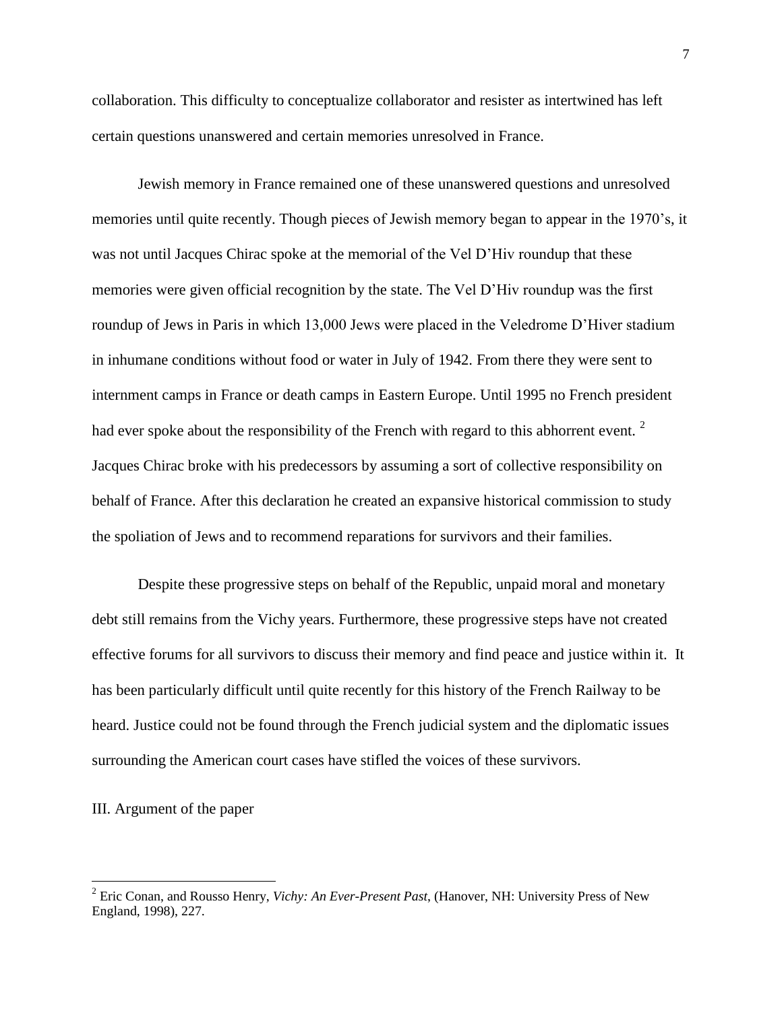collaboration. This difficulty to conceptualize collaborator and resister as intertwined has left certain questions unanswered and certain memories unresolved in France.

Jewish memory in France remained one of these unanswered questions and unresolved memories until quite recently. Though pieces of Jewish memory began to appear in the 1970's, it was not until Jacques Chirac spoke at the memorial of the Vel D'Hiv roundup that these memories were given official recognition by the state. The Vel D'Hiv roundup was the first roundup of Jews in Paris in which 13,000 Jews were placed in the Veledrome D'Hiver stadium in inhumane conditions without food or water in July of 1942. From there they were sent to internment camps in France or death camps in Eastern Europe. Until 1995 no French president had ever spoke about the responsibility of the French with regard to this abhorrent event.  $2^2$ Jacques Chirac broke with his predecessors by assuming a sort of collective responsibility on behalf of France. After this declaration he created an expansive historical commission to study the spoliation of Jews and to recommend reparations for survivors and their families.

Despite these progressive steps on behalf of the Republic, unpaid moral and monetary debt still remains from the Vichy years. Furthermore, these progressive steps have not created effective forums for all survivors to discuss their memory and find peace and justice within it. It has been particularly difficult until quite recently for this history of the French Railway to be heard. Justice could not be found through the French judicial system and the diplomatic issues surrounding the American court cases have stifled the voices of these survivors.

#### III. Argument of the paper

<sup>2</sup> Eric Conan, and Rousso Henry, *Vichy: An Ever-Present Past*, (Hanover, NH: University Press of New England, 1998), 227.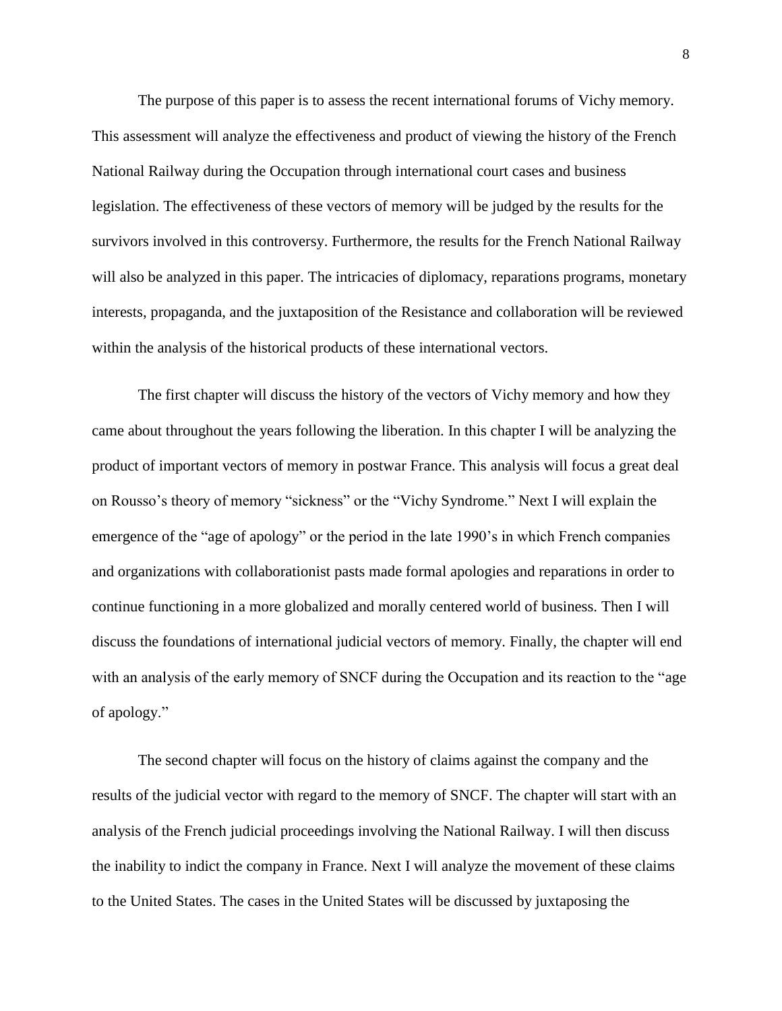The purpose of this paper is to assess the recent international forums of Vichy memory. This assessment will analyze the effectiveness and product of viewing the history of the French National Railway during the Occupation through international court cases and business legislation. The effectiveness of these vectors of memory will be judged by the results for the survivors involved in this controversy. Furthermore, the results for the French National Railway will also be analyzed in this paper. The intricacies of diplomacy, reparations programs, monetary interests, propaganda, and the juxtaposition of the Resistance and collaboration will be reviewed within the analysis of the historical products of these international vectors.

The first chapter will discuss the history of the vectors of Vichy memory and how they came about throughout the years following the liberation. In this chapter I will be analyzing the product of important vectors of memory in postwar France. This analysis will focus a great deal on Rousso's theory of memory "sickness" or the "Vichy Syndrome." Next I will explain the emergence of the "age of apology" or the period in the late 1990's in which French companies and organizations with collaborationist pasts made formal apologies and reparations in order to continue functioning in a more globalized and morally centered world of business. Then I will discuss the foundations of international judicial vectors of memory. Finally, the chapter will end with an analysis of the early memory of SNCF during the Occupation and its reaction to the "age of apology."

The second chapter will focus on the history of claims against the company and the results of the judicial vector with regard to the memory of SNCF. The chapter will start with an analysis of the French judicial proceedings involving the National Railway. I will then discuss the inability to indict the company in France. Next I will analyze the movement of these claims to the United States. The cases in the United States will be discussed by juxtaposing the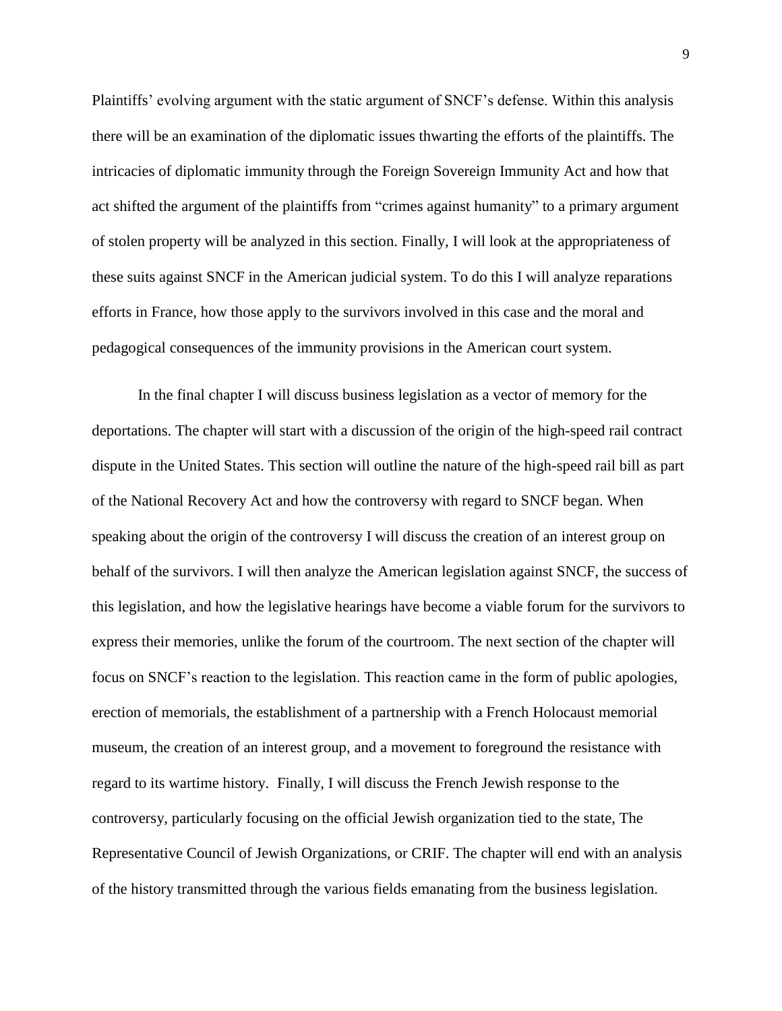Plaintiffs' evolving argument with the static argument of SNCF's defense. Within this analysis there will be an examination of the diplomatic issues thwarting the efforts of the plaintiffs. The intricacies of diplomatic immunity through the Foreign Sovereign Immunity Act and how that act shifted the argument of the plaintiffs from "crimes against humanity" to a primary argument of stolen property will be analyzed in this section. Finally, I will look at the appropriateness of these suits against SNCF in the American judicial system. To do this I will analyze reparations efforts in France, how those apply to the survivors involved in this case and the moral and pedagogical consequences of the immunity provisions in the American court system.

In the final chapter I will discuss business legislation as a vector of memory for the deportations. The chapter will start with a discussion of the origin of the high-speed rail contract dispute in the United States. This section will outline the nature of the high-speed rail bill as part of the National Recovery Act and how the controversy with regard to SNCF began. When speaking about the origin of the controversy I will discuss the creation of an interest group on behalf of the survivors. I will then analyze the American legislation against SNCF, the success of this legislation, and how the legislative hearings have become a viable forum for the survivors to express their memories, unlike the forum of the courtroom. The next section of the chapter will focus on SNCF's reaction to the legislation. This reaction came in the form of public apologies, erection of memorials, the establishment of a partnership with a French Holocaust memorial museum, the creation of an interest group, and a movement to foreground the resistance with regard to its wartime history. Finally, I will discuss the French Jewish response to the controversy, particularly focusing on the official Jewish organization tied to the state, The Representative Council of Jewish Organizations, or CRIF. The chapter will end with an analysis of the history transmitted through the various fields emanating from the business legislation.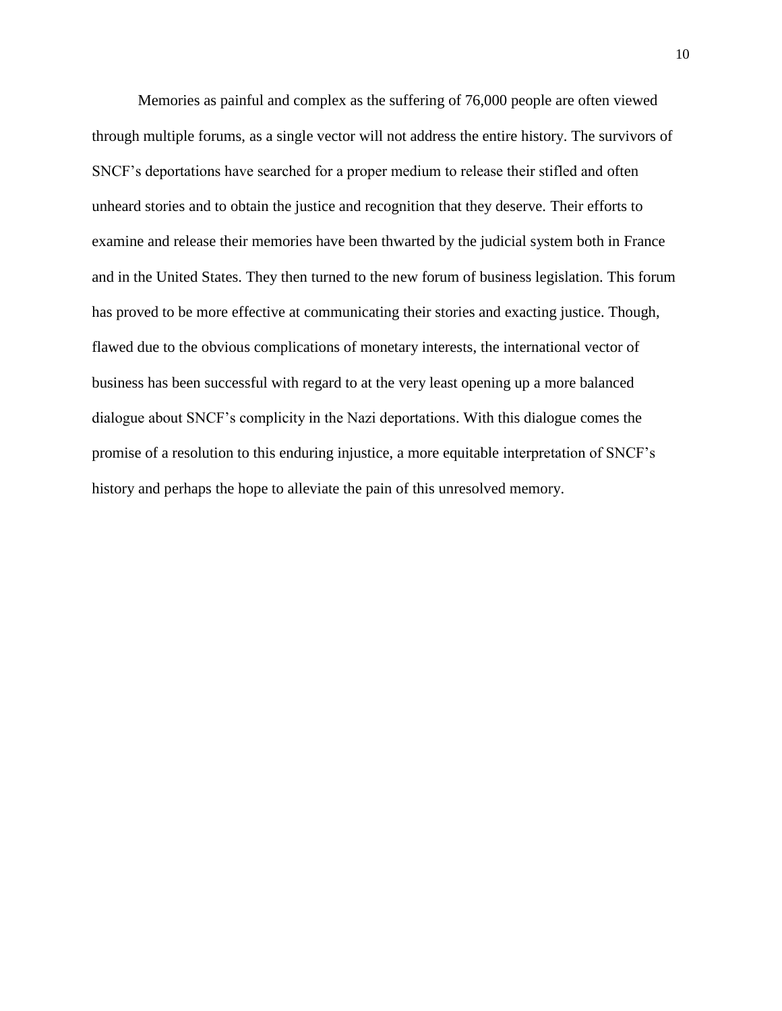Memories as painful and complex as the suffering of 76,000 people are often viewed through multiple forums, as a single vector will not address the entire history. The survivors of SNCF's deportations have searched for a proper medium to release their stifled and often unheard stories and to obtain the justice and recognition that they deserve. Their efforts to examine and release their memories have been thwarted by the judicial system both in France and in the United States. They then turned to the new forum of business legislation. This forum has proved to be more effective at communicating their stories and exacting justice. Though, flawed due to the obvious complications of monetary interests, the international vector of business has been successful with regard to at the very least opening up a more balanced dialogue about SNCF's complicity in the Nazi deportations. With this dialogue comes the promise of a resolution to this enduring injustice, a more equitable interpretation of SNCF's history and perhaps the hope to alleviate the pain of this unresolved memory.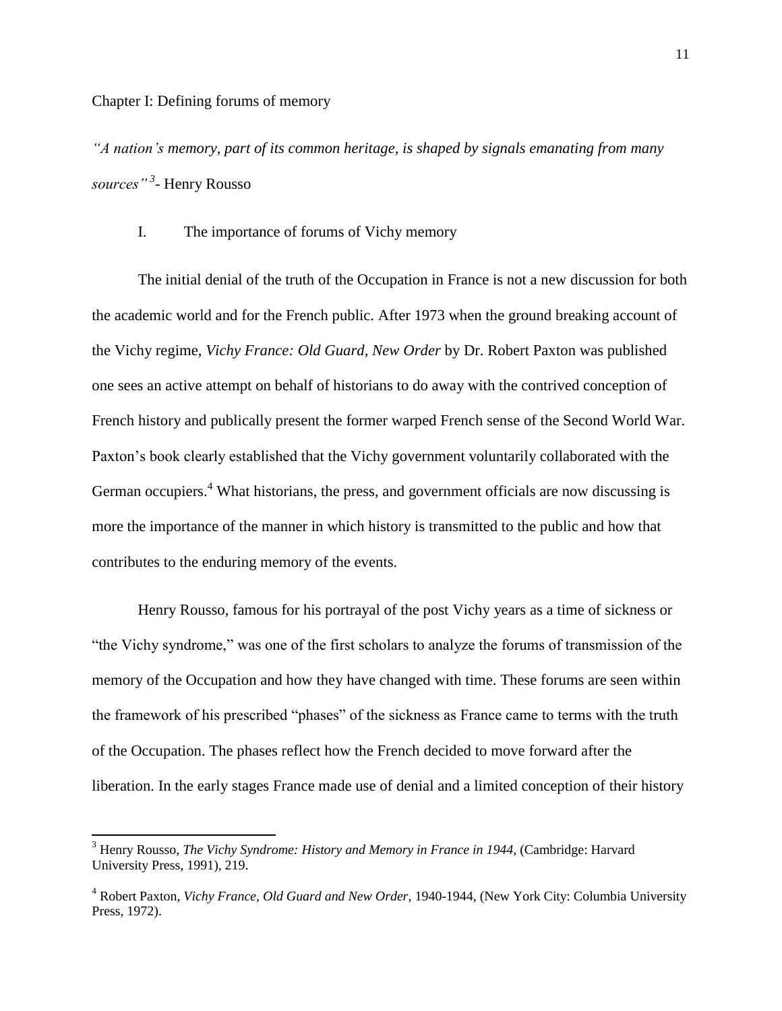l

*"A nation's memory, part of its common heritage, is shaped by signals emanating from many sources" <sup>3</sup> -* Henry Rousso

### I. The importance of forums of Vichy memory

The initial denial of the truth of the Occupation in France is not a new discussion for both the academic world and for the French public. After 1973 when the ground breaking account of the Vichy regime, *Vichy France: Old Guard, New Order* by Dr. Robert Paxton was published one sees an active attempt on behalf of historians to do away with the contrived conception of French history and publically present the former warped French sense of the Second World War. Paxton's book clearly established that the Vichy government voluntarily collaborated with the German occupiers.<sup>4</sup> What historians, the press, and government officials are now discussing is more the importance of the manner in which history is transmitted to the public and how that contributes to the enduring memory of the events.

Henry Rousso, famous for his portrayal of the post Vichy years as a time of sickness or "the Vichy syndrome," was one of the first scholars to analyze the forums of transmission of the memory of the Occupation and how they have changed with time. These forums are seen within the framework of his prescribed "phases" of the sickness as France came to terms with the truth of the Occupation. The phases reflect how the French decided to move forward after the liberation. In the early stages France made use of denial and a limited conception of their history

<sup>3</sup> Henry Rousso, *The Vichy Syndrome: History and Memory in France in 1944*, (Cambridge: Harvard University Press, 1991), 219.

<sup>4</sup> Robert Paxton, *Vichy France, Old Guard and New Order*, 1940-1944, (New York City: Columbia University Press, 1972).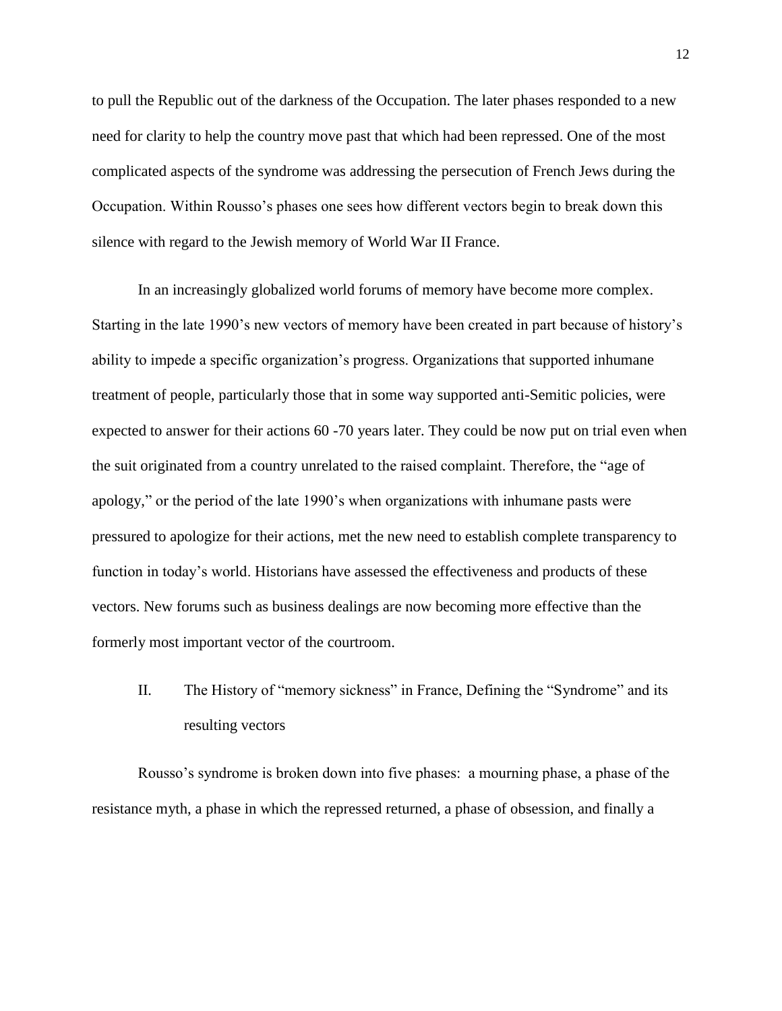to pull the Republic out of the darkness of the Occupation. The later phases responded to a new need for clarity to help the country move past that which had been repressed. One of the most complicated aspects of the syndrome was addressing the persecution of French Jews during the Occupation. Within Rousso's phases one sees how different vectors begin to break down this silence with regard to the Jewish memory of World War II France.

In an increasingly globalized world forums of memory have become more complex. Starting in the late 1990's new vectors of memory have been created in part because of history's ability to impede a specific organization's progress. Organizations that supported inhumane treatment of people, particularly those that in some way supported anti-Semitic policies, were expected to answer for their actions 60 -70 years later. They could be now put on trial even when the suit originated from a country unrelated to the raised complaint. Therefore, the "age of apology," or the period of the late 1990's when organizations with inhumane pasts were pressured to apologize for their actions, met the new need to establish complete transparency to function in today's world. Historians have assessed the effectiveness and products of these vectors. New forums such as business dealings are now becoming more effective than the formerly most important vector of the courtroom.

II. The History of "memory sickness" in France, Defining the "Syndrome" and its resulting vectors

Rousso's syndrome is broken down into five phases: a mourning phase, a phase of the resistance myth, a phase in which the repressed returned, a phase of obsession, and finally a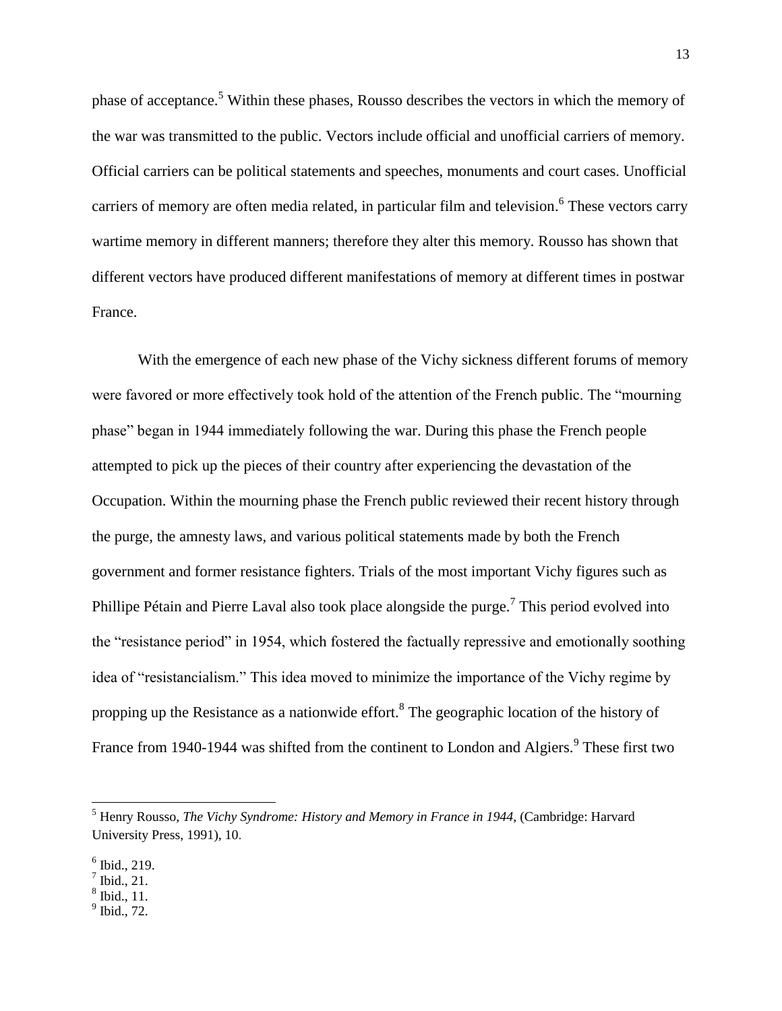phase of acceptance.<sup>5</sup> Within these phases, Rousso describes the vectors in which the memory of the war was transmitted to the public. Vectors include official and unofficial carriers of memory. Official carriers can be political statements and speeches, monuments and court cases. Unofficial carriers of memory are often media related, in particular film and television. <sup>6</sup> These vectors carry wartime memory in different manners; therefore they alter this memory. Rousso has shown that different vectors have produced different manifestations of memory at different times in postwar France.

With the emergence of each new phase of the Vichy sickness different forums of memory were favored or more effectively took hold of the attention of the French public. The "mourning phase" began in 1944 immediately following the war. During this phase the French people attempted to pick up the pieces of their country after experiencing the devastation of the Occupation. Within the mourning phase the French public reviewed their recent history through the purge, the amnesty laws, and various political statements made by both the French government and former resistance fighters. Trials of the most important Vichy figures such as Phillipe Pétain and Pierre Laval also took place alongside the purge.<sup>7</sup> This period evolved into the "resistance period" in 1954, which fostered the factually repressive and emotionally soothing idea of "resistancialism." This idea moved to minimize the importance of the Vichy regime by propping up the Resistance as a nationwide effort.<sup>8</sup> The geographic location of the history of France from 1940-1944 was shifted from the continent to London and Algiers.<sup>9</sup> These first two

<sup>5</sup> Henry Rousso, *The Vichy Syndrome: History and Memory in France in 1944*, (Cambridge: Harvard University Press, 1991), 10.

<sup>6</sup> Ibid., 219.

 $^7$  Ibid., 21.

<sup>8</sup> Ibid., 11.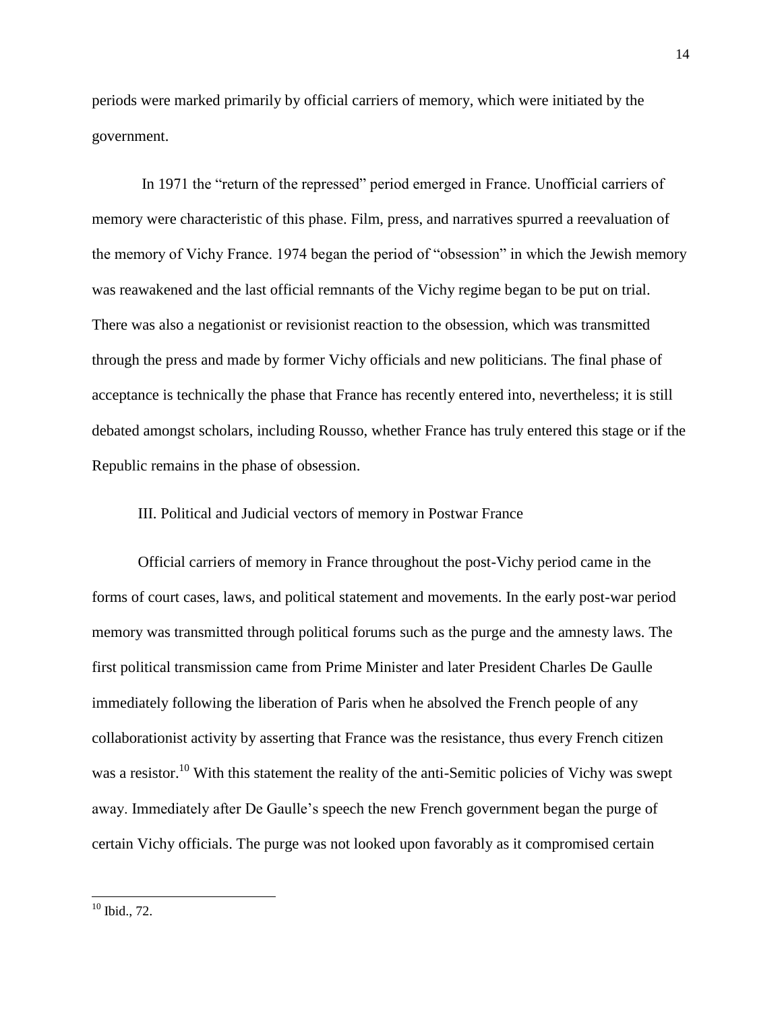periods were marked primarily by official carriers of memory, which were initiated by the government.

In 1971 the "return of the repressed" period emerged in France. Unofficial carriers of memory were characteristic of this phase. Film, press, and narratives spurred a reevaluation of the memory of Vichy France. 1974 began the period of "obsession" in which the Jewish memory was reawakened and the last official remnants of the Vichy regime began to be put on trial. There was also a negationist or revisionist reaction to the obsession, which was transmitted through the press and made by former Vichy officials and new politicians. The final phase of acceptance is technically the phase that France has recently entered into, nevertheless; it is still debated amongst scholars, including Rousso, whether France has truly entered this stage or if the Republic remains in the phase of obsession.

III. Political and Judicial vectors of memory in Postwar France

Official carriers of memory in France throughout the post-Vichy period came in the forms of court cases, laws, and political statement and movements. In the early post-war period memory was transmitted through political forums such as the purge and the amnesty laws. The first political transmission came from Prime Minister and later President Charles De Gaulle immediately following the liberation of Paris when he absolved the French people of any collaborationist activity by asserting that France was the resistance, thus every French citizen was a resistor.<sup>10</sup> With this statement the reality of the anti-Semitic policies of Vichy was swept away. Immediately after De Gaulle's speech the new French government began the purge of certain Vichy officials. The purge was not looked upon favorably as it compromised certain

 $10$  Ibid., 72.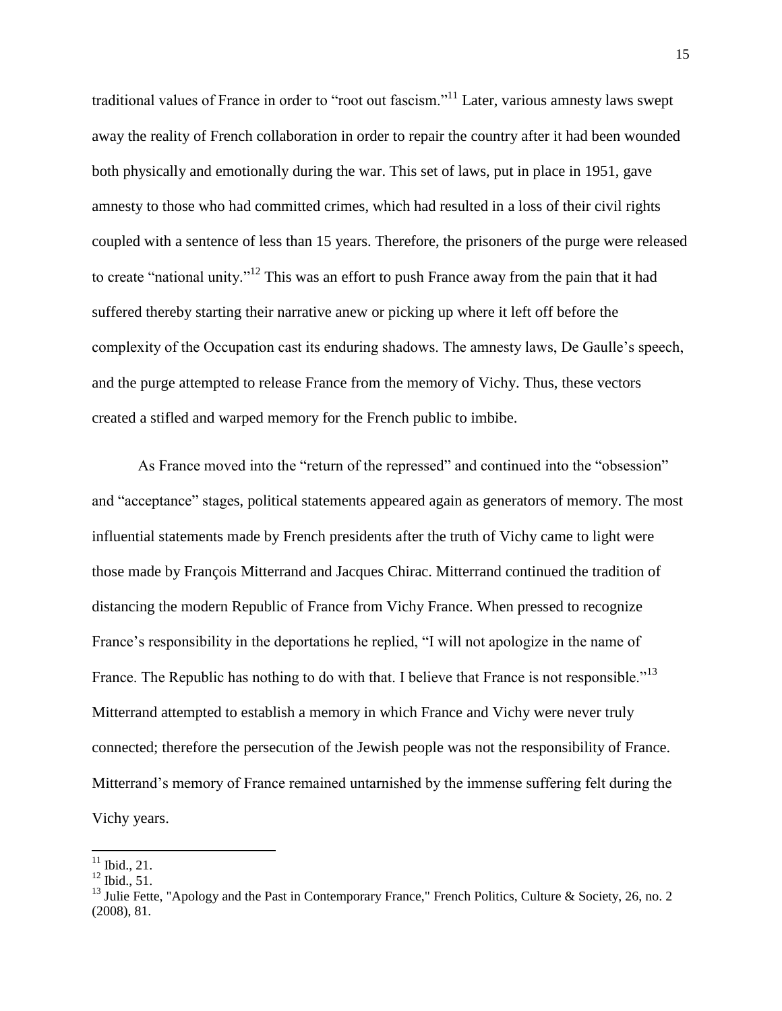traditional values of France in order to "root out fascism."<sup>11</sup> Later, various amnesty laws swept away the reality of French collaboration in order to repair the country after it had been wounded both physically and emotionally during the war. This set of laws, put in place in 1951, gave amnesty to those who had committed crimes, which had resulted in a loss of their civil rights coupled with a sentence of less than 15 years. Therefore, the prisoners of the purge were released to create "national unity."<sup>12</sup> This was an effort to push France away from the pain that it had suffered thereby starting their narrative anew or picking up where it left off before the complexity of the Occupation cast its enduring shadows. The amnesty laws, De Gaulle's speech, and the purge attempted to release France from the memory of Vichy. Thus, these vectors created a stifled and warped memory for the French public to imbibe.

As France moved into the "return of the repressed" and continued into the "obsession" and "acceptance" stages, political statements appeared again as generators of memory. The most influential statements made by French presidents after the truth of Vichy came to light were those made by François Mitterrand and Jacques Chirac. Mitterrand continued the tradition of distancing the modern Republic of France from Vichy France. When pressed to recognize France's responsibility in the deportations he replied, "I will not apologize in the name of France. The Republic has nothing to do with that. I believe that France is not responsible."<sup>13</sup> Mitterrand attempted to establish a memory in which France and Vichy were never truly connected; therefore the persecution of the Jewish people was not the responsibility of France. Mitterrand's memory of France remained untarnished by the immense suffering felt during the Vichy years.

 $\overline{\phantom{a}}$  $11$  Ibid., 21.

 $12$  Ibid., 51.

<sup>&</sup>lt;sup>13</sup> Julie Fette, "Apology and the Past in Contemporary France," French Politics, Culture & Society, 26, no. 2 (2008), 81.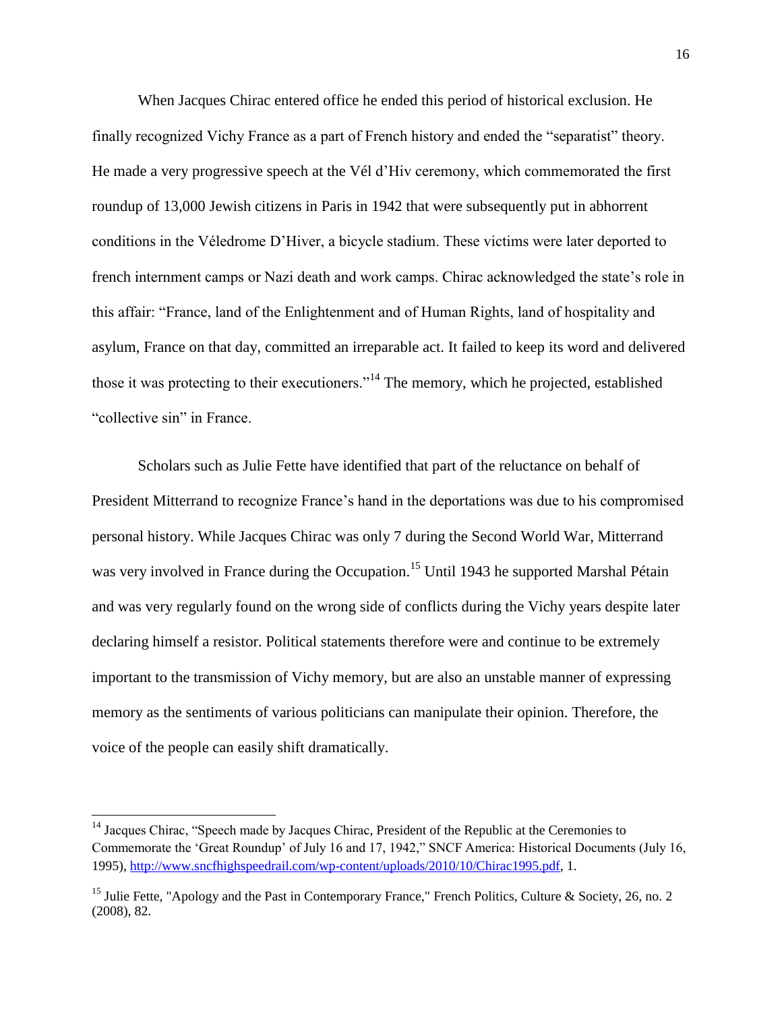When Jacques Chirac entered office he ended this period of historical exclusion. He finally recognized Vichy France as a part of French history and ended the "separatist" theory. He made a very progressive speech at the Vél d'Hiv ceremony, which commemorated the first roundup of 13,000 Jewish citizens in Paris in 1942 that were subsequently put in abhorrent conditions in the Véledrome D'Hiver, a bicycle stadium. These victims were later deported to french internment camps or Nazi death and work camps. Chirac acknowledged the state's role in this affair: "France, land of the Enlightenment and of Human Rights, land of hospitality and asylum, France on that day, committed an irreparable act. It failed to keep its word and delivered those it was protecting to their executioners."<sup>14</sup> The memory, which he projected, established "collective sin" in France.

Scholars such as Julie Fette have identified that part of the reluctance on behalf of President Mitterrand to recognize France's hand in the deportations was due to his compromised personal history. While Jacques Chirac was only 7 during the Second World War, Mitterrand was very involved in France during the Occupation.<sup>15</sup> Until 1943 he supported Marshal Pétain and was very regularly found on the wrong side of conflicts during the Vichy years despite later declaring himself a resistor. Political statements therefore were and continue to be extremely important to the transmission of Vichy memory, but are also an unstable manner of expressing memory as the sentiments of various politicians can manipulate their opinion. Therefore, the voice of the people can easily shift dramatically.

 $\overline{a}$ 

<sup>&</sup>lt;sup>14</sup> Jacques Chirac, "Speech made by Jacques Chirac, President of the Republic at the Ceremonies to Commemorate the 'Great Roundup' of July 16 and 17, 1942," SNCF America: Historical Documents (July 16, 1995)[, http://www.sncfhighspeedrail.com/wp-content/uploads/2010/10/Chirac1995.pdf,](http://www.sncfhighspeedrail.com/wp-content/uploads/2010/10/Chirac1995.pdf) 1.

<sup>&</sup>lt;sup>15</sup> Julie Fette, "Apology and the Past in Contemporary France," French Politics, Culture & Society, 26, no. 2 (2008), 82.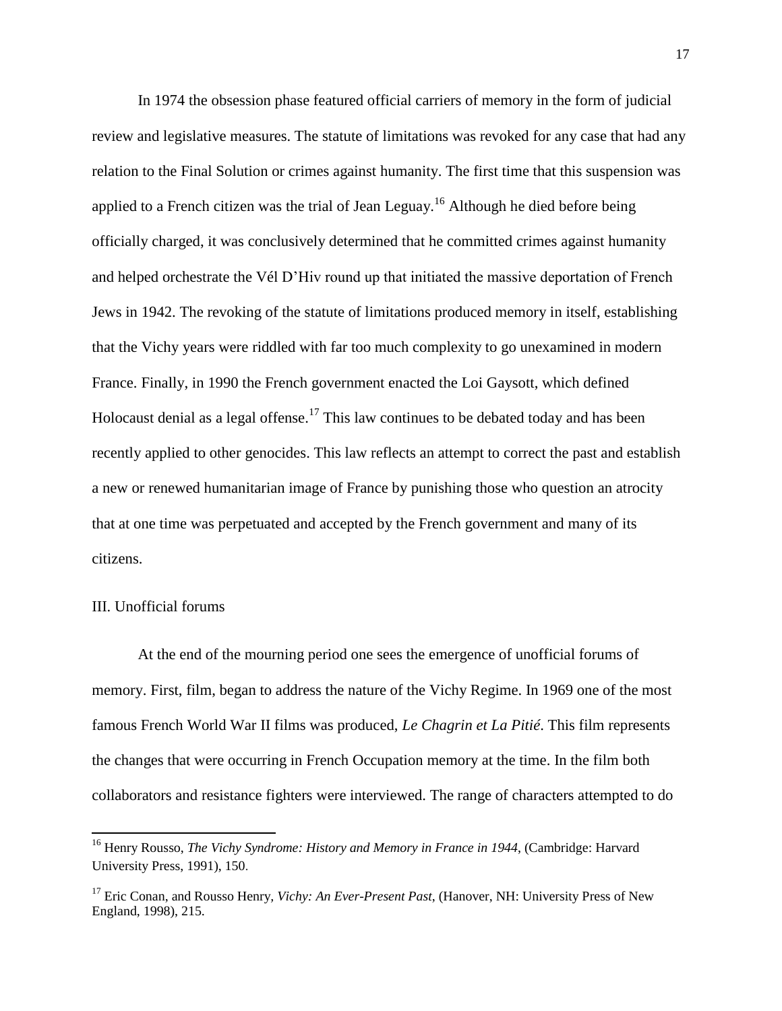In 1974 the obsession phase featured official carriers of memory in the form of judicial review and legislative measures. The statute of limitations was revoked for any case that had any relation to the Final Solution or crimes against humanity. The first time that this suspension was applied to a French citizen was the trial of Jean Leguay.<sup>16</sup> Although he died before being officially charged, it was conclusively determined that he committed crimes against humanity and helped orchestrate the Vél D'Hiv round up that initiated the massive deportation of French Jews in 1942. The revoking of the statute of limitations produced memory in itself, establishing that the Vichy years were riddled with far too much complexity to go unexamined in modern France. Finally, in 1990 the French government enacted the Loi Gaysott, which defined Holocaust denial as a legal offense.<sup>17</sup> This law continues to be debated today and has been recently applied to other genocides. This law reflects an attempt to correct the past and establish a new or renewed humanitarian image of France by punishing those who question an atrocity that at one time was perpetuated and accepted by the French government and many of its citizens.

#### III. Unofficial forums

 $\overline{a}$ 

At the end of the mourning period one sees the emergence of unofficial forums of memory. First, film, began to address the nature of the Vichy Regime. In 1969 one of the most famous French World War II films was produced, *Le Chagrin et La Pitié*. This film represents the changes that were occurring in French Occupation memory at the time. In the film both collaborators and resistance fighters were interviewed. The range of characters attempted to do

<sup>16</sup> Henry Rousso, *The Vichy Syndrome: History and Memory in France in 1944*, (Cambridge: Harvard University Press, 1991), 150.

<sup>&</sup>lt;sup>17</sup> Eric Conan, and Rousso Henry, *Vichy: An Ever-Present Past*, (Hanover, NH: University Press of New England, 1998), 215.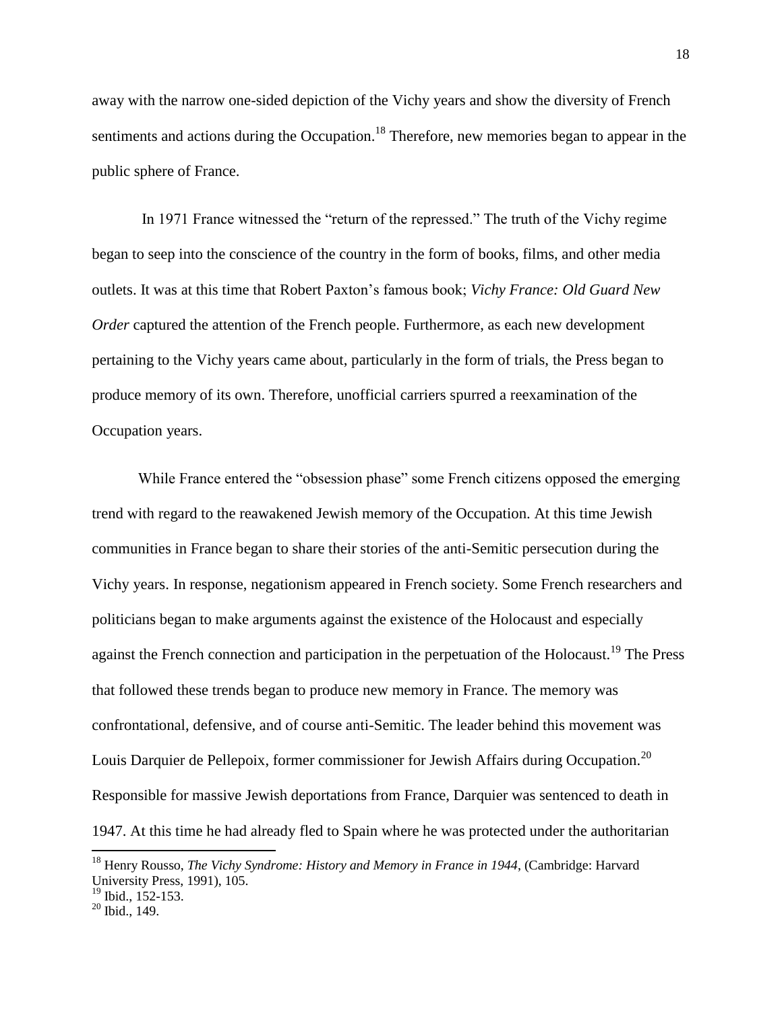away with the narrow one-sided depiction of the Vichy years and show the diversity of French sentiments and actions during the Occupation.<sup>18</sup> Therefore, new memories began to appear in the public sphere of France.

In 1971 France witnessed the "return of the repressed." The truth of the Vichy regime began to seep into the conscience of the country in the form of books, films, and other media outlets. It was at this time that Robert Paxton's famous book; *Vichy France: Old Guard New Order* captured the attention of the French people. Furthermore, as each new development pertaining to the Vichy years came about, particularly in the form of trials, the Press began to produce memory of its own. Therefore, unofficial carriers spurred a reexamination of the Occupation years.

While France entered the "obsession phase" some French citizens opposed the emerging trend with regard to the reawakened Jewish memory of the Occupation. At this time Jewish communities in France began to share their stories of the anti-Semitic persecution during the Vichy years. In response, negationism appeared in French society. Some French researchers and politicians began to make arguments against the existence of the Holocaust and especially against the French connection and participation in the perpetuation of the Holocaust.<sup>19</sup> The Press that followed these trends began to produce new memory in France. The memory was confrontational, defensive, and of course anti-Semitic. The leader behind this movement was Louis Darquier de Pellepoix, former commissioner for Jewish Affairs during Occupation.<sup>20</sup> Responsible for massive Jewish deportations from France, Darquier was sentenced to death in 1947. At this time he had already fled to Spain where he was protected under the authoritarian

<sup>18</sup> Henry Rousso, *The Vichy Syndrome: History and Memory in France in 1944*, (Cambridge: Harvard University Press, 1991), 105.

<sup>&</sup>lt;sup>19</sup> Ibid., 152-153.

 $20$  Ibid., 149.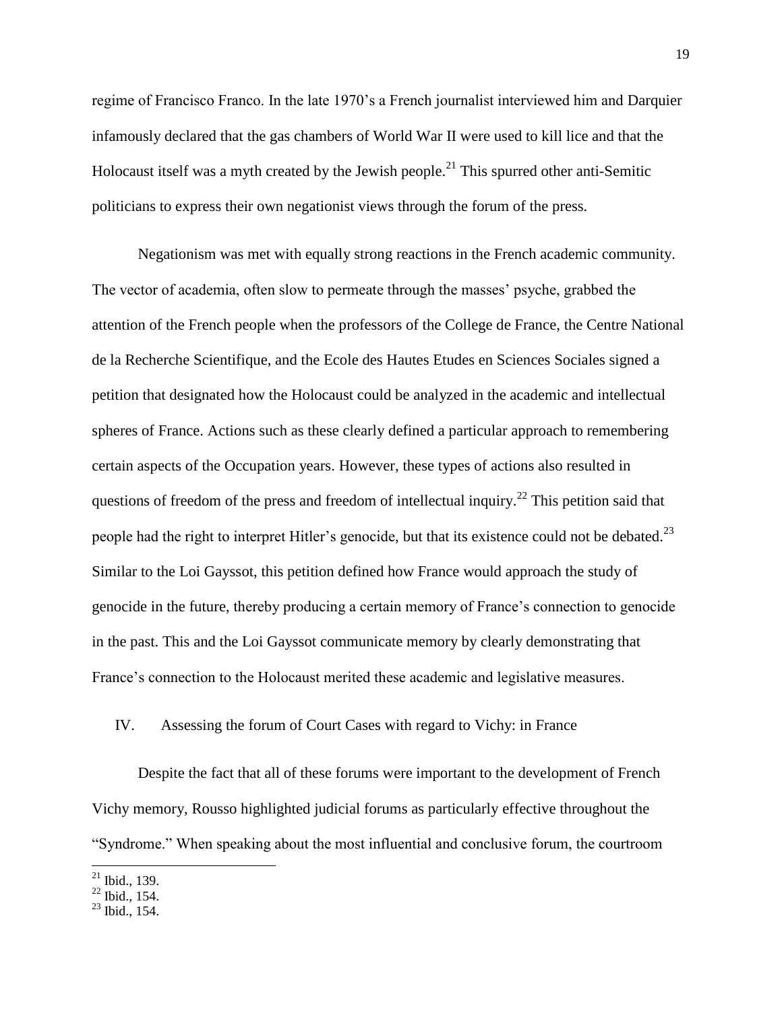regime of Francisco Franco. In the late 1970's a French journalist interviewed him and Darquier infamously declared that the gas chambers of World War II were used to kill lice and that the Holocaust itself was a myth created by the Jewish people.<sup>21</sup> This spurred other anti-Semitic politicians to express their own negationist views through the forum of the press.

Negationism was met with equally strong reactions in the French academic community. The vector of academia, often slow to permeate through the masses' psyche, grabbed the attention of the French people when the professors of the College de France, the Centre National de la Recherche Scientifique, and the Ecole des Hautes Etudes en Sciences Sociales signed a petition that designated how the Holocaust could be analyzed in the academic and intellectual spheres of France. Actions such as these clearly defined a particular approach to remembering certain aspects of the Occupation years. However, these types of actions also resulted in questions of freedom of the press and freedom of intellectual inquiry.<sup>22</sup> This petition said that people had the right to interpret Hitler's genocide, but that its existence could not be debated.<sup>23</sup> Similar to the Loi Gayssot, this petition defined how France would approach the study of genocide in the future, thereby producing a certain memory of France's connection to genocide in the past. This and the Loi Gayssot communicate memory by clearly demonstrating that France's connection to the Holocaust merited these academic and legislative measures.

#### IV. Assessing the forum of Court Cases with regard to Vichy: in France

Despite the fact that all of these forums were important to the development of French Vichy memory, Rousso highlighted judicial forums as particularly effective throughout the "Syndrome." When speaking about the most influential and conclusive forum, the courtroom

 $\overline{\phantom{a}}$  $^{21}$  Ibid., 139.

 $^{22}$  Ibid., 154.

 $^{23}$  Ibid., 154.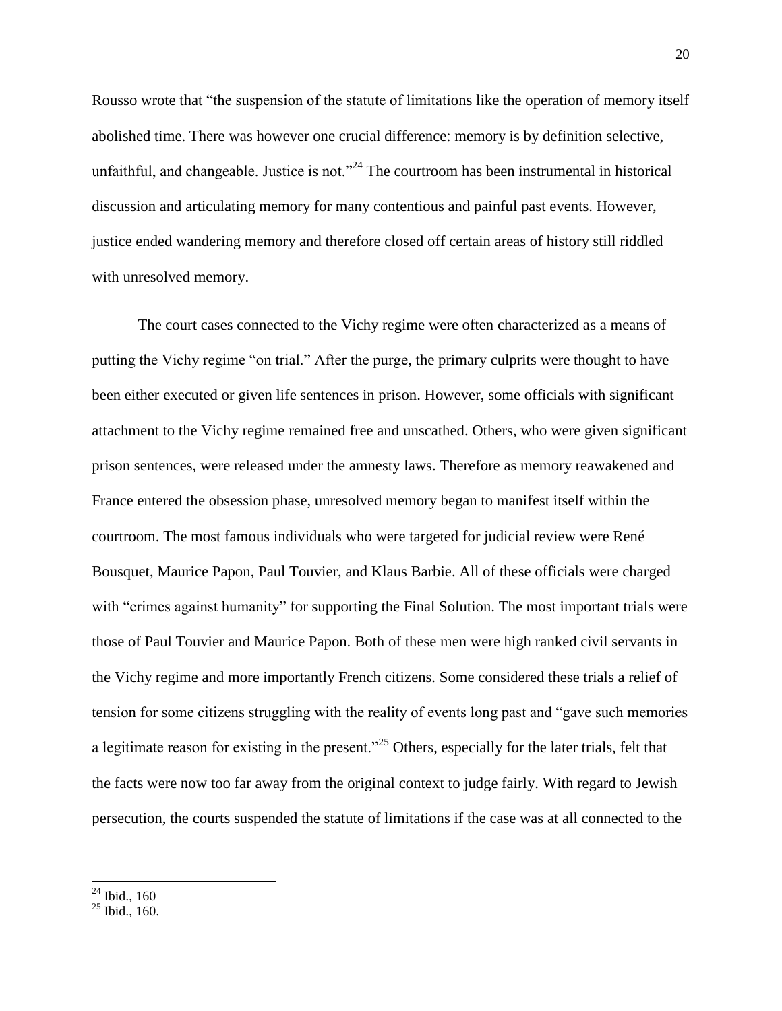Rousso wrote that "the suspension of the statute of limitations like the operation of memory itself abolished time. There was however one crucial difference: memory is by definition selective, unfaithful, and changeable. Justice is not. $124$  The courtroom has been instrumental in historical discussion and articulating memory for many contentious and painful past events. However, justice ended wandering memory and therefore closed off certain areas of history still riddled with unresolved memory.

The court cases connected to the Vichy regime were often characterized as a means of putting the Vichy regime "on trial." After the purge, the primary culprits were thought to have been either executed or given life sentences in prison. However, some officials with significant attachment to the Vichy regime remained free and unscathed. Others, who were given significant prison sentences, were released under the amnesty laws. Therefore as memory reawakened and France entered the obsession phase, unresolved memory began to manifest itself within the courtroom. The most famous individuals who were targeted for judicial review were René Bousquet, Maurice Papon, Paul Touvier, and Klaus Barbie. All of these officials were charged with "crimes against humanity" for supporting the Final Solution. The most important trials were those of Paul Touvier and Maurice Papon. Both of these men were high ranked civil servants in the Vichy regime and more importantly French citizens. Some considered these trials a relief of tension for some citizens struggling with the reality of events long past and "gave such memories a legitimate reason for existing in the present."<sup>25</sup> Others, especially for the later trials, felt that the facts were now too far away from the original context to judge fairly. With regard to Jewish persecution, the courts suspended the statute of limitations if the case was at all connected to the

 $24$  Ibid., 160

 $25$  Ibid., 160.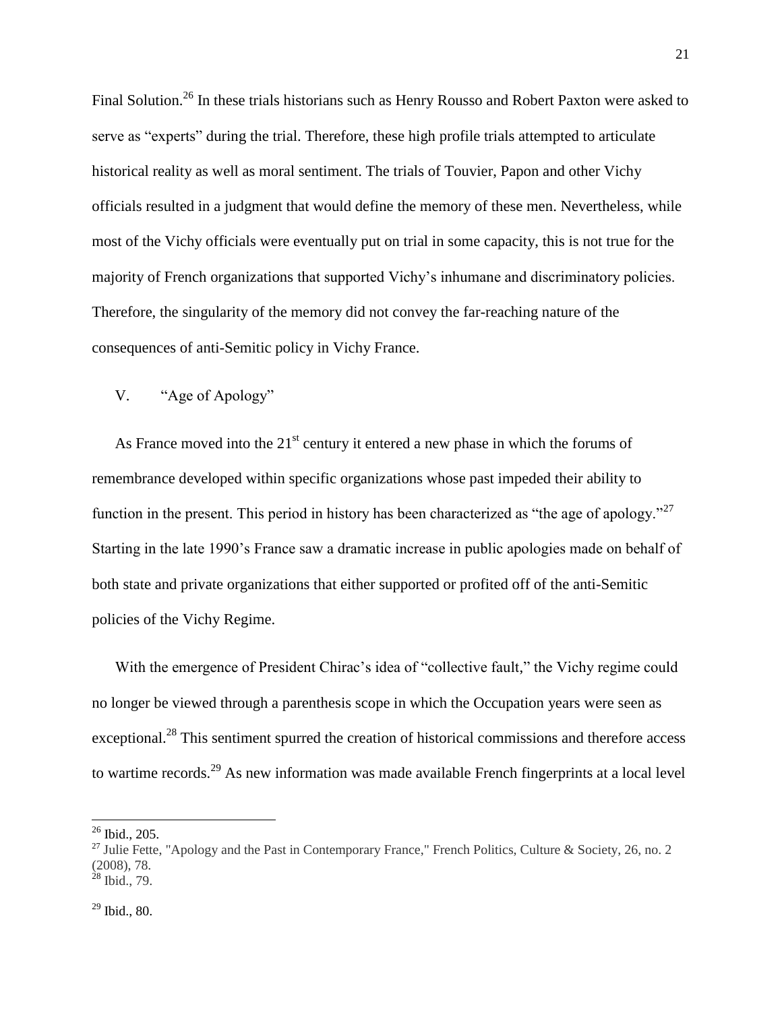Final Solution.<sup>26</sup> In these trials historians such as Henry Rousso and Robert Paxton were asked to serve as "experts" during the trial. Therefore, these high profile trials attempted to articulate historical reality as well as moral sentiment. The trials of Touvier, Papon and other Vichy officials resulted in a judgment that would define the memory of these men. Nevertheless, while most of the Vichy officials were eventually put on trial in some capacity, this is not true for the majority of French organizations that supported Vichy's inhumane and discriminatory policies. Therefore, the singularity of the memory did not convey the far-reaching nature of the consequences of anti-Semitic policy in Vichy France.

## V. "Age of Apology"

As France moved into the  $21<sup>st</sup>$  century it entered a new phase in which the forums of remembrance developed within specific organizations whose past impeded their ability to function in the present. This period in history has been characterized as "the age of apology."<sup>27</sup> Starting in the late 1990's France saw a dramatic increase in public apologies made on behalf of both state and private organizations that either supported or profited off of the anti-Semitic policies of the Vichy Regime.

With the emergence of President Chirac's idea of "collective fault," the Vichy regime could no longer be viewed through a parenthesis scope in which the Occupation years were seen as exceptional.<sup>28</sup> This sentiment spurred the creation of historical commissions and therefore access to wartime records.<sup>29</sup> As new information was made available French fingerprints at a local level

 $26$  Ibid., 205.

<sup>&</sup>lt;sup>27</sup> Julie Fette, "Apology and the Past in Contemporary France," French Politics, Culture & Society, 26, no. 2 (2008), 78.  $^{28}$  Ibid., 79.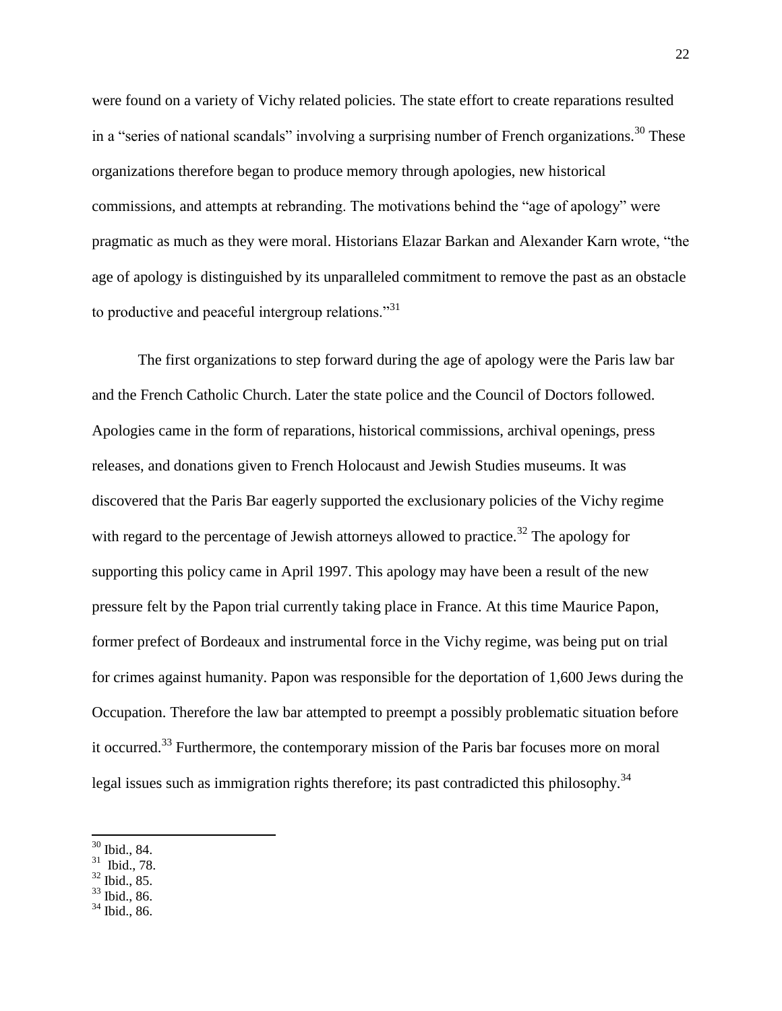were found on a variety of Vichy related policies. The state effort to create reparations resulted in a "series of national scandals" involving a surprising number of French organizations.<sup>30</sup> These organizations therefore began to produce memory through apologies, new historical commissions, and attempts at rebranding. The motivations behind the "age of apology" were pragmatic as much as they were moral. Historians Elazar Barkan and Alexander Karn wrote, "the age of apology is distinguished by its unparalleled commitment to remove the past as an obstacle to productive and peaceful intergroup relations."<sup>31</sup>

The first organizations to step forward during the age of apology were the Paris law bar and the French Catholic Church. Later the state police and the Council of Doctors followed. Apologies came in the form of reparations, historical commissions, archival openings, press releases, and donations given to French Holocaust and Jewish Studies museums. It was discovered that the Paris Bar eagerly supported the exclusionary policies of the Vichy regime with regard to the percentage of Jewish attorneys allowed to practice.<sup>32</sup> The apology for supporting this policy came in April 1997. This apology may have been a result of the new pressure felt by the Papon trial currently taking place in France. At this time Maurice Papon, former prefect of Bordeaux and instrumental force in the Vichy regime, was being put on trial for crimes against humanity. Papon was responsible for the deportation of 1,600 Jews during the Occupation. Therefore the law bar attempted to preempt a possibly problematic situation before it occurred.<sup>33</sup> Furthermore, the contemporary mission of the Paris bar focuses more on moral legal issues such as immigration rights therefore; its past contradicted this philosophy.<sup>34</sup>

l

- $31$  Ibid., 78.
- $32$  Ibid., 85.
- <sup>33</sup> Ibid., 86.
- <sup>34</sup> Ibid., 86.

<sup>30</sup> Ibid., 84.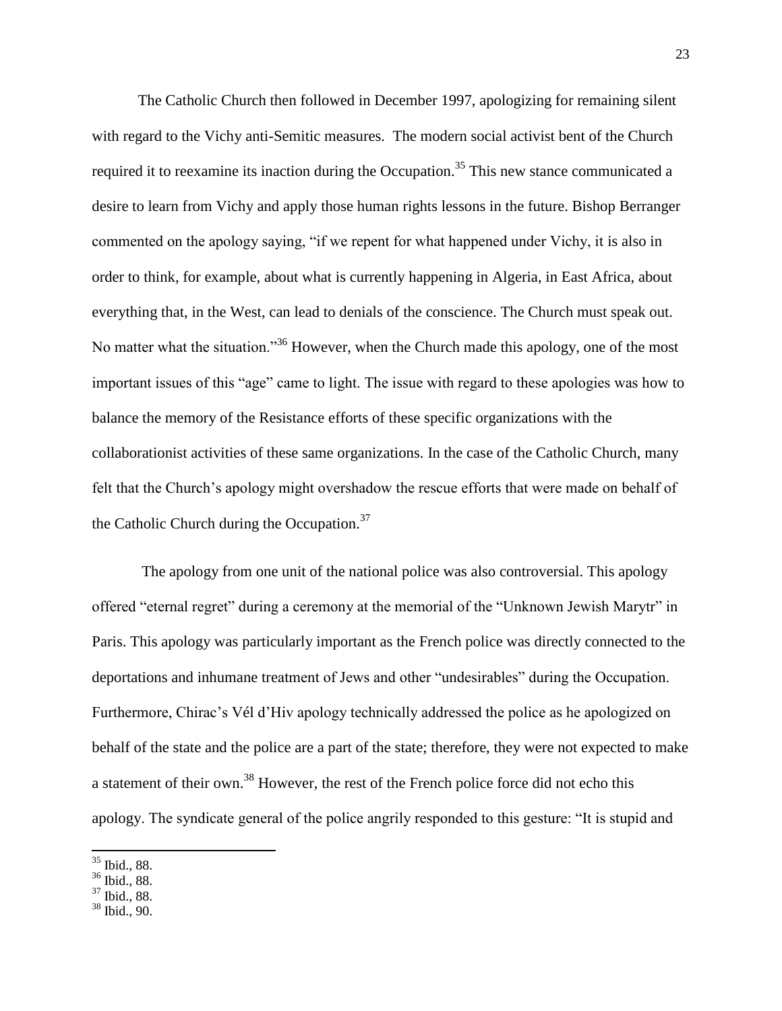The Catholic Church then followed in December 1997, apologizing for remaining silent with regard to the Vichy anti-Semitic measures. The modern social activist bent of the Church required it to reexamine its inaction during the Occupation.<sup>35</sup> This new stance communicated a desire to learn from Vichy and apply those human rights lessons in the future. Bishop Berranger commented on the apology saying, "if we repent for what happened under Vichy, it is also in order to think, for example, about what is currently happening in Algeria, in East Africa, about everything that, in the West, can lead to denials of the conscience. The Church must speak out. No matter what the situation."<sup>36</sup> However, when the Church made this apology, one of the most important issues of this "age" came to light. The issue with regard to these apologies was how to balance the memory of the Resistance efforts of these specific organizations with the collaborationist activities of these same organizations. In the case of the Catholic Church, many felt that the Church's apology might overshadow the rescue efforts that were made on behalf of the Catholic Church during the Occupation.<sup>37</sup>

The apology from one unit of the national police was also controversial. This apology offered "eternal regret" during a ceremony at the memorial of the "Unknown Jewish Marytr" in Paris. This apology was particularly important as the French police was directly connected to the deportations and inhumane treatment of Jews and other "undesirables" during the Occupation. Furthermore, Chirac's Vél d'Hiv apology technically addressed the police as he apologized on behalf of the state and the police are a part of the state; therefore, they were not expected to make a statement of their own.<sup>38</sup> However, the rest of the French police force did not echo this apology. The syndicate general of the police angrily responded to this gesture: "It is stupid and

<sup>35</sup> Ibid., 88.

 $36$  Ibid., 88.

<sup>37</sup> Ibid., 88.

<sup>38</sup> Ibid., 90.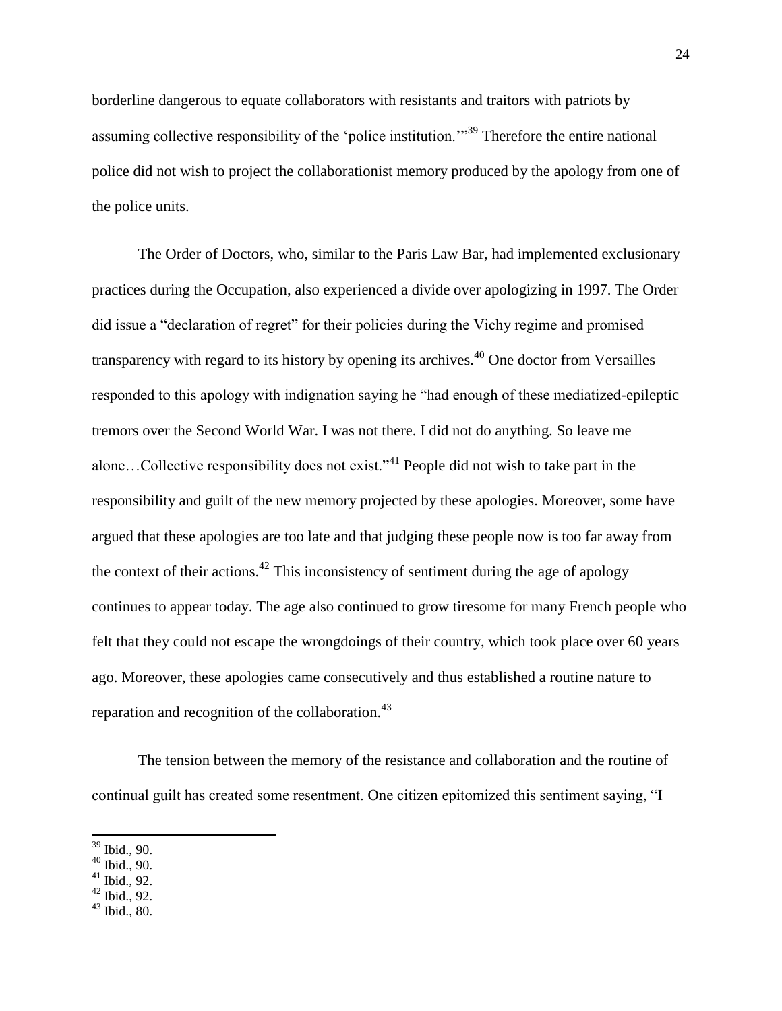borderline dangerous to equate collaborators with resistants and traitors with patriots by assuming collective responsibility of the 'police institution.'"<sup>39</sup> Therefore the entire national police did not wish to project the collaborationist memory produced by the apology from one of the police units.

The Order of Doctors, who, similar to the Paris Law Bar, had implemented exclusionary practices during the Occupation, also experienced a divide over apologizing in 1997. The Order did issue a "declaration of regret" for their policies during the Vichy regime and promised transparency with regard to its history by opening its archives.<sup> $40$ </sup> One doctor from Versailles responded to this apology with indignation saying he "had enough of these mediatized-epileptic tremors over the Second World War. I was not there. I did not do anything. So leave me alone…Collective responsibility does not exist."<sup>41</sup> People did not wish to take part in the responsibility and guilt of the new memory projected by these apologies. Moreover, some have argued that these apologies are too late and that judging these people now is too far away from the context of their actions.<sup>42</sup> This inconsistency of sentiment during the age of apology continues to appear today. The age also continued to grow tiresome for many French people who felt that they could not escape the wrongdoings of their country, which took place over 60 years ago. Moreover, these apologies came consecutively and thus established a routine nature to reparation and recognition of the collaboration.<sup>43</sup>

The tension between the memory of the resistance and collaboration and the routine of continual guilt has created some resentment. One citizen epitomized this sentiment saying, "I

l

 $43$  Ibid., 80.

<sup>39</sup> Ibid., 90.

 $40$  Ibid., 90.

 $41$  Ibid., 92.

 $42$  Ibid., 92.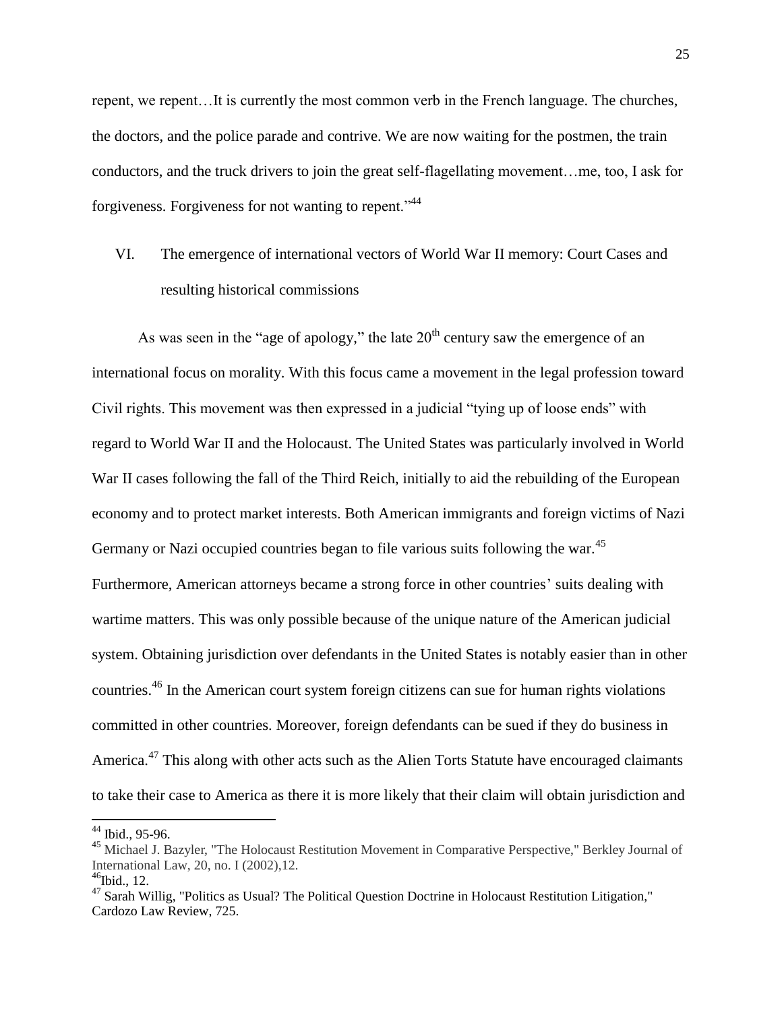repent, we repent…It is currently the most common verb in the French language. The churches, the doctors, and the police parade and contrive. We are now waiting for the postmen, the train conductors, and the truck drivers to join the great self-flagellating movement…me, too, I ask for forgiveness. Forgiveness for not wanting to repent."<sup>44</sup>

# VI. The emergence of international vectors of World War II memory: Court Cases and resulting historical commissions

As was seen in the "age of apology," the late  $20<sup>th</sup>$  century saw the emergence of an international focus on morality. With this focus came a movement in the legal profession toward Civil rights. This movement was then expressed in a judicial "tying up of loose ends" with regard to World War II and the Holocaust. The United States was particularly involved in World War II cases following the fall of the Third Reich, initially to aid the rebuilding of the European economy and to protect market interests. Both American immigrants and foreign victims of Nazi Germany or Nazi occupied countries began to file various suits following the war.<sup>45</sup> Furthermore, American attorneys became a strong force in other countries' suits dealing with wartime matters. This was only possible because of the unique nature of the American judicial system. Obtaining jurisdiction over defendants in the United States is notably easier than in other countries.<sup>46</sup> In the American court system foreign citizens can sue for human rights violations committed in other countries. Moreover, foreign defendants can be sued if they do business in America.<sup>47</sup> This along with other acts such as the Alien Torts Statute have encouraged claimants to take their case to America as there it is more likely that their claim will obtain jurisdiction and

 $\overline{a}$ 

 $44$  Ibid., 95-96.

<sup>&</sup>lt;sup>45</sup> Michael J. Bazyler, "The Holocaust Restitution Movement in Comparative Perspective," Berkley Journal of International Law, 20, no. I (2002),12.  $46$ Ibid., 12.

 $47$  Sarah Willig, "Politics as Usual? The Political Question Doctrine in Holocaust Restitution Litigation," Cardozo Law Review, 725.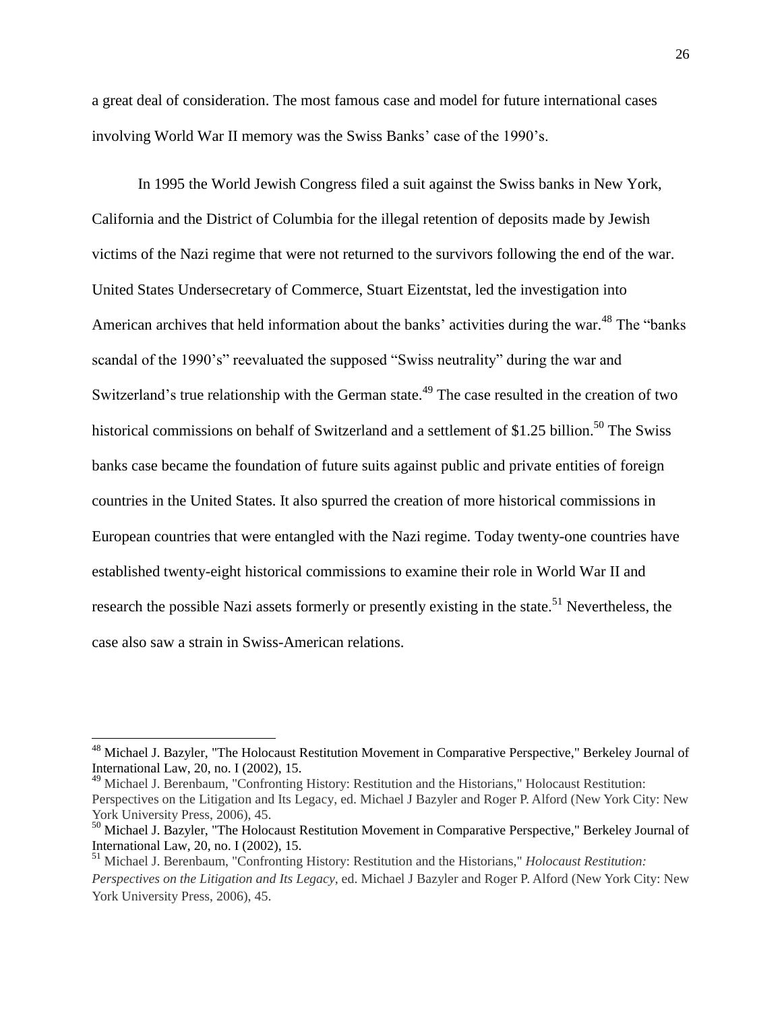a great deal of consideration. The most famous case and model for future international cases involving World War II memory was the Swiss Banks' case of the 1990's.

In 1995 the World Jewish Congress filed a suit against the Swiss banks in New York, California and the District of Columbia for the illegal retention of deposits made by Jewish victims of the Nazi regime that were not returned to the survivors following the end of the war. United States Undersecretary of Commerce, Stuart Eizentstat, led the investigation into American archives that held information about the banks' activities during the war.<sup>48</sup> The "banks" scandal of the 1990's" reevaluated the supposed "Swiss neutrality" during the war and Switzerland's true relationship with the German state.<sup>49</sup> The case resulted in the creation of two historical commissions on behalf of Switzerland and a settlement of \$1.25 billion.<sup>50</sup> The Swiss banks case became the foundation of future suits against public and private entities of foreign countries in the United States. It also spurred the creation of more historical commissions in European countries that were entangled with the Nazi regime. Today twenty-one countries have established twenty-eight historical commissions to examine their role in World War II and research the possible Nazi assets formerly or presently existing in the state.<sup>51</sup> Nevertheless, the case also saw a strain in Swiss-American relations.

 $\overline{a}$ 

<sup>49</sup> Michael J. Berenbaum, "Confronting History: Restitution and the Historians," Holocaust Restitution: Perspectives on the Litigation and Its Legacy, ed. Michael J Bazyler and Roger P. Alford (New York City: New York University Press, 2006), 45.

<sup>&</sup>lt;sup>48</sup> Michael J. Bazyler, "The Holocaust Restitution Movement in Comparative Perspective," Berkeley Journal of International Law, 20, no. I (2002), 15.

<sup>50</sup> Michael J. Bazyler, "The Holocaust Restitution Movement in Comparative Perspective," Berkeley Journal of International Law, 20, no. I (2002), 15.

<sup>51</sup> Michael J. Berenbaum, "Confronting History: Restitution and the Historians," *Holocaust Restitution: Perspectives on the Litigation and Its Legacy*, ed. Michael J Bazyler and Roger P. Alford (New York City: New York University Press, 2006), 45.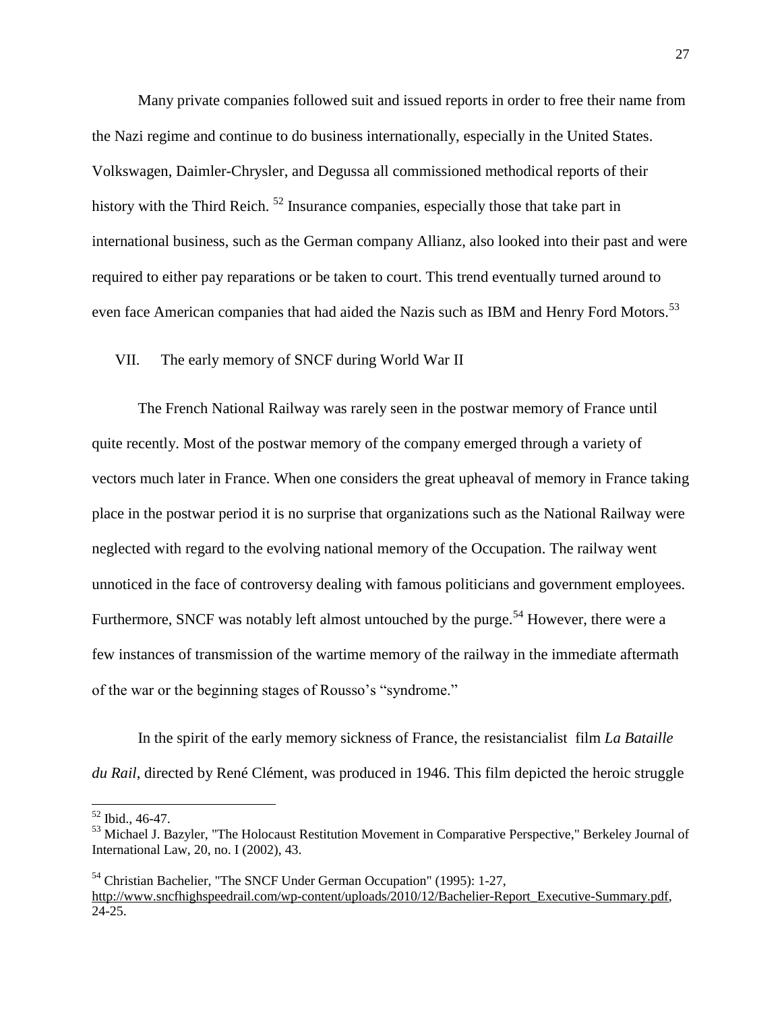Many private companies followed suit and issued reports in order to free their name from the Nazi regime and continue to do business internationally, especially in the United States. Volkswagen, Daimler-Chrysler, and Degussa all commissioned methodical reports of their history with the Third Reich.<sup>52</sup> Insurance companies, especially those that take part in international business, such as the German company Allianz, also looked into their past and were required to either pay reparations or be taken to court. This trend eventually turned around to even face American companies that had aided the Nazis such as IBM and Henry Ford Motors.<sup>53</sup>

#### VII. The early memory of SNCF during World War II

The French National Railway was rarely seen in the postwar memory of France until quite recently. Most of the postwar memory of the company emerged through a variety of vectors much later in France. When one considers the great upheaval of memory in France taking place in the postwar period it is no surprise that organizations such as the National Railway were neglected with regard to the evolving national memory of the Occupation. The railway went unnoticed in the face of controversy dealing with famous politicians and government employees. Furthermore, SNCF was notably left almost untouched by the purge.<sup>54</sup> However, there were a few instances of transmission of the wartime memory of the railway in the immediate aftermath of the war or the beginning stages of Rousso's "syndrome."

In the spirit of the early memory sickness of France, the resistancialist film *La Bataille du Rail*, directed by René Clément, was produced in 1946. This film depicted the heroic struggle

 $\overline{a}$ 

<sup>52</sup> Ibid., 46-47.

<sup>&</sup>lt;sup>53</sup> Michael J. Bazyler, "The Holocaust Restitution Movement in Comparative Perspective," Berkeley Journal of International Law, 20, no. I (2002), 43.

<sup>54</sup> Christian Bachelier, "The SNCF Under German Occupation" (1995): 1-27, [http://www.sncfhighspeedrail.com/wp-content/uploads/2010/12/Bachelier-Report\\_Executive-Summary.pdf,](http://www.sncfhighspeedrail.com/wp-content/uploads/2010/12/Bachelier-Report_Executive-Summary.pdf) 24-25.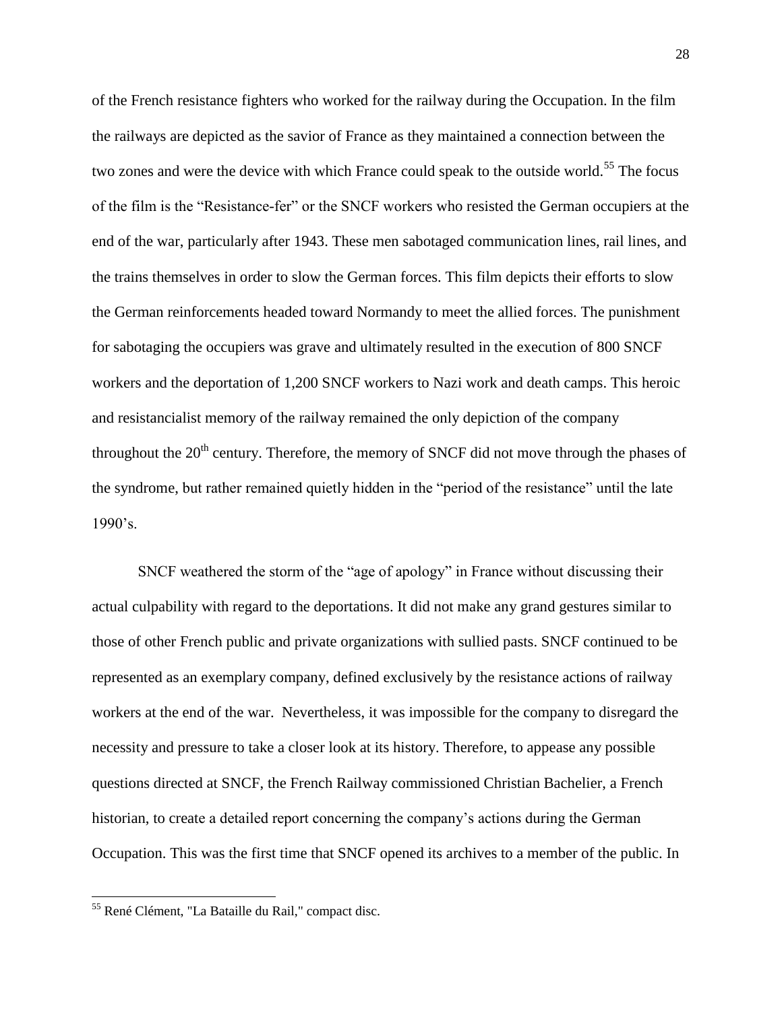of the French resistance fighters who worked for the railway during the Occupation. In the film the railways are depicted as the savior of France as they maintained a connection between the two zones and were the device with which France could speak to the outside world.<sup>55</sup> The focus of the film is the "Resistance-fer" or the SNCF workers who resisted the German occupiers at the end of the war, particularly after 1943. These men sabotaged communication lines, rail lines, and the trains themselves in order to slow the German forces. This film depicts their efforts to slow the German reinforcements headed toward Normandy to meet the allied forces. The punishment for sabotaging the occupiers was grave and ultimately resulted in the execution of 800 SNCF workers and the deportation of 1,200 SNCF workers to Nazi work and death camps. This heroic and resistancialist memory of the railway remained the only depiction of the company throughout the  $20<sup>th</sup>$  century. Therefore, the memory of SNCF did not move through the phases of the syndrome, but rather remained quietly hidden in the "period of the resistance" until the late 1990's.

SNCF weathered the storm of the "age of apology" in France without discussing their actual culpability with regard to the deportations. It did not make any grand gestures similar to those of other French public and private organizations with sullied pasts. SNCF continued to be represented as an exemplary company, defined exclusively by the resistance actions of railway workers at the end of the war. Nevertheless, it was impossible for the company to disregard the necessity and pressure to take a closer look at its history. Therefore, to appease any possible questions directed at SNCF, the French Railway commissioned Christian Bachelier, a French historian, to create a detailed report concerning the company's actions during the German Occupation. This was the first time that SNCF opened its archives to a member of the public. In

<sup>55</sup> René Clément, "La Bataille du Rail," compact disc.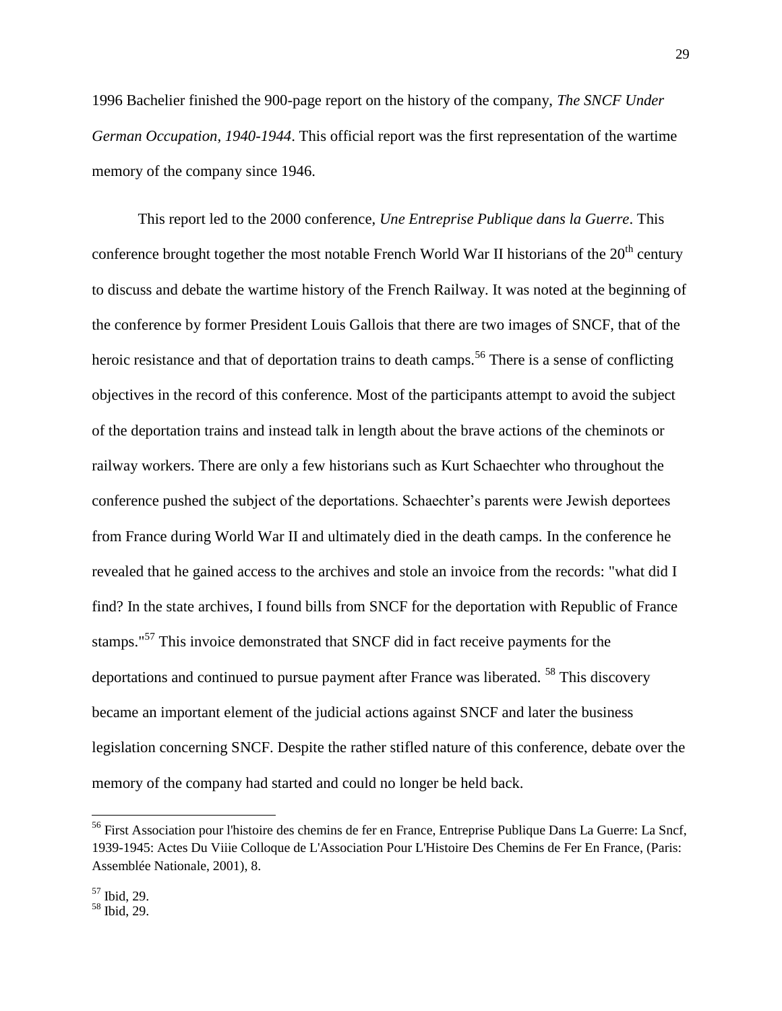1996 Bachelier finished the 900-page report on the history of the company, *The SNCF Under German Occupation, 1940-1944*. This official report was the first representation of the wartime memory of the company since 1946.

This report led to the 2000 conference, *Une Entreprise Publique dans la Guerre*. This conference brought together the most notable French World War II historians of the  $20<sup>th</sup>$  century to discuss and debate the wartime history of the French Railway. It was noted at the beginning of the conference by former President Louis Gallois that there are two images of SNCF, that of the heroic resistance and that of deportation trains to death camps.<sup>56</sup> There is a sense of conflicting objectives in the record of this conference. Most of the participants attempt to avoid the subject of the deportation trains and instead talk in length about the brave actions of the cheminots or railway workers. There are only a few historians such as Kurt Schaechter who throughout the conference pushed the subject of the deportations. Schaechter's parents were Jewish deportees from France during World War II and ultimately died in the death camps. In the conference he revealed that he gained access to the archives and stole an invoice from the records: "what did I find? In the state archives, I found bills from SNCF for the deportation with Republic of France stamps."<sup>57</sup> This invoice demonstrated that SNCF did in fact receive payments for the deportations and continued to pursue payment after France was liberated. <sup>58</sup> This discovery became an important element of the judicial actions against SNCF and later the business legislation concerning SNCF. Despite the rather stifled nature of this conference, debate over the memory of the company had started and could no longer be held back.

 $\overline{a}$ 

<sup>&</sup>lt;sup>56</sup> First Association pour l'histoire des chemins de fer en France, Entreprise Publique Dans La Guerre: La Sncf, 1939-1945: Actes Du Viiie Colloque de L'Association Pour L'Histoire Des Chemins de Fer En France, (Paris: Assemblée Nationale, 2001), 8.

<sup>57</sup> Ibid, 29.

<sup>58</sup> Ibid, 29.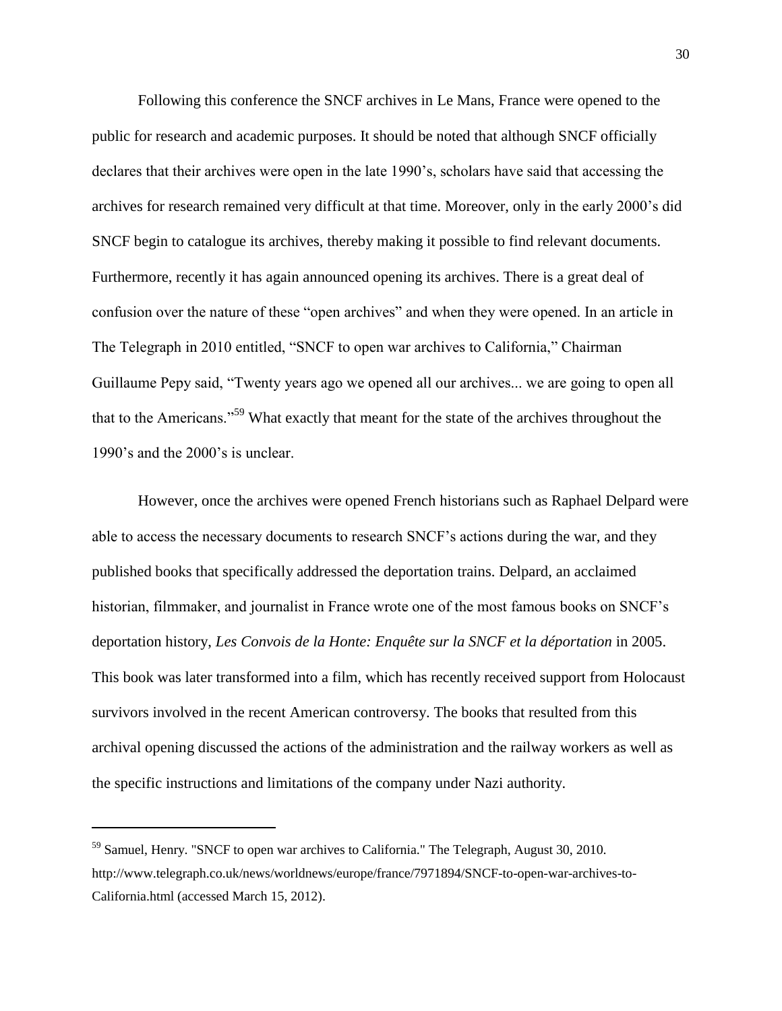Following this conference the SNCF archives in Le Mans, France were opened to the public for research and academic purposes. It should be noted that although SNCF officially declares that their archives were open in the late 1990's, scholars have said that accessing the archives for research remained very difficult at that time. Moreover, only in the early 2000's did SNCF begin to catalogue its archives, thereby making it possible to find relevant documents. Furthermore, recently it has again announced opening its archives. There is a great deal of confusion over the nature of these "open archives" and when they were opened. In an article in The Telegraph in 2010 entitled, "SNCF to open war archives to California," Chairman Guillaume Pepy said, "Twenty years ago we opened all our archives... we are going to open all that to the Americans."<sup>59</sup> What exactly that meant for the state of the archives throughout the 1990's and the 2000's is unclear.

However, once the archives were opened French historians such as Raphael Delpard were able to access the necessary documents to research SNCF's actions during the war, and they published books that specifically addressed the deportation trains. Delpard, an acclaimed historian, filmmaker, and journalist in France wrote one of the most famous books on SNCF's deportation history, *Les Convois de la Honte: Enquête sur la SNCF et la déportation* in 2005. This book was later transformed into a film, which has recently received support from Holocaust survivors involved in the recent American controversy. The books that resulted from this archival opening discussed the actions of the administration and the railway workers as well as the specific instructions and limitations of the company under Nazi authority.

<sup>59</sup> Samuel, Henry. "SNCF to open war archives to California." The Telegraph, August 30, 2010. http://www.telegraph.co.uk/news/worldnews/europe/france/7971894/SNCF-to-open-war-archives-to-California.html (accessed March 15, 2012).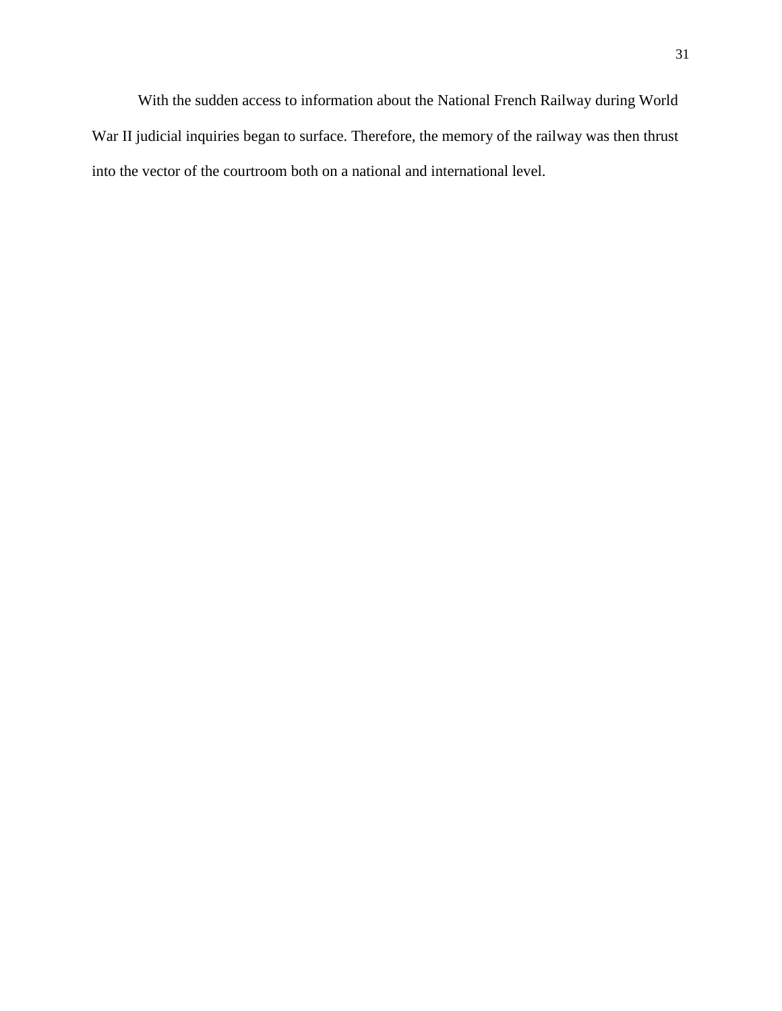With the sudden access to information about the National French Railway during World War II judicial inquiries began to surface. Therefore, the memory of the railway was then thrust into the vector of the courtroom both on a national and international level.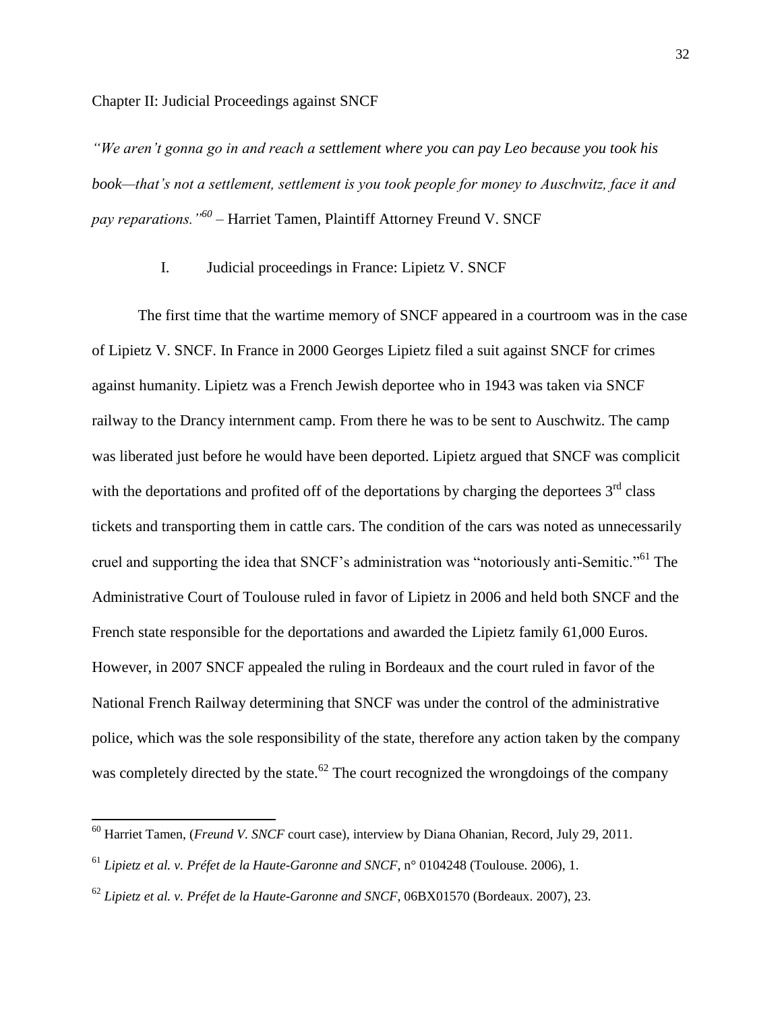*"We aren't gonna go in and reach a settlement where you can pay Leo because you took his book—that's not a settlement, settlement is you took people for money to Auschwitz, face it and pay reparations."<sup>60</sup> –* Harriet Tamen, Plaintiff Attorney Freund V. SNCF

#### I. Judicial proceedings in France: Lipietz V. SNCF

The first time that the wartime memory of SNCF appeared in a courtroom was in the case of Lipietz V. SNCF. In France in 2000 Georges Lipietz filed a suit against SNCF for crimes against humanity. Lipietz was a French Jewish deportee who in 1943 was taken via SNCF railway to the Drancy internment camp. From there he was to be sent to Auschwitz. The camp was liberated just before he would have been deported. Lipietz argued that SNCF was complicit with the deportations and profited off of the deportations by charging the deportees  $3<sup>rd</sup>$  class tickets and transporting them in cattle cars. The condition of the cars was noted as unnecessarily cruel and supporting the idea that SNCF's administration was "notoriously anti-Semitic."<sup>61</sup> The Administrative Court of Toulouse ruled in favor of Lipietz in 2006 and held both SNCF and the French state responsible for the deportations and awarded the Lipietz family 61,000 Euros. However, in 2007 SNCF appealed the ruling in Bordeaux and the court ruled in favor of the National French Railway determining that SNCF was under the control of the administrative police, which was the sole responsibility of the state, therefore any action taken by the company was completely directed by the state.<sup>62</sup> The court recognized the wrongdoings of the company

 $\overline{a}$ 

<sup>60</sup> Harriet Tamen, (*Freund V. SNCF* court case), interview by Diana Ohanian, Record, July 29, 2011.

<sup>61</sup> *Lipietz et al. v. Préfet de la Haute-Garonne and SNCF*, n° 0104248 (Toulouse. 2006), 1.

<sup>62</sup> *Lipietz et al. v. Préfet de la Haute-Garonne and SNCF*, 06BX01570 (Bordeaux. 2007), 23.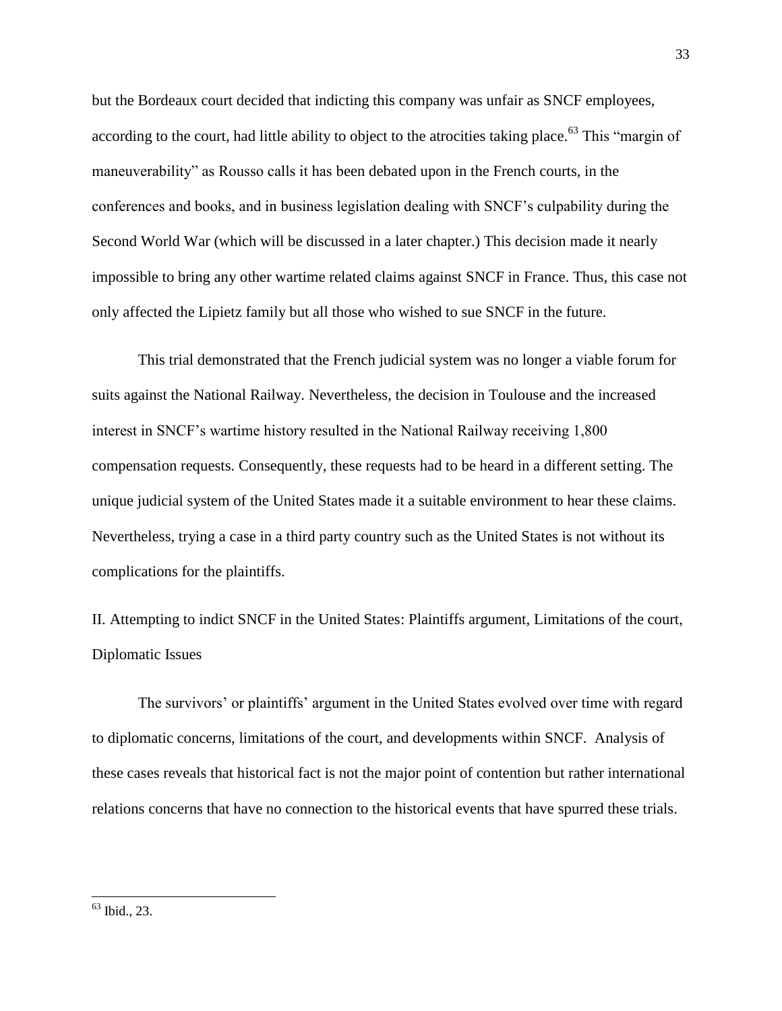but the Bordeaux court decided that indicting this company was unfair as SNCF employees, according to the court, had little ability to object to the atrocities taking place.<sup>63</sup> This "margin of maneuverability" as Rousso calls it has been debated upon in the French courts, in the conferences and books, and in business legislation dealing with SNCF's culpability during the Second World War (which will be discussed in a later chapter.) This decision made it nearly impossible to bring any other wartime related claims against SNCF in France. Thus, this case not only affected the Lipietz family but all those who wished to sue SNCF in the future.

This trial demonstrated that the French judicial system was no longer a viable forum for suits against the National Railway. Nevertheless, the decision in Toulouse and the increased interest in SNCF's wartime history resulted in the National Railway receiving 1,800 compensation requests. Consequently, these requests had to be heard in a different setting. The unique judicial system of the United States made it a suitable environment to hear these claims. Nevertheless, trying a case in a third party country such as the United States is not without its complications for the plaintiffs.

II. Attempting to indict SNCF in the United States: Plaintiffs argument, Limitations of the court, Diplomatic Issues

The survivors' or plaintiffs' argument in the United States evolved over time with regard to diplomatic concerns, limitations of the court, and developments within SNCF. Analysis of these cases reveals that historical fact is not the major point of contention but rather international relations concerns that have no connection to the historical events that have spurred these trials.

<sup>63</sup> Ibid., 23.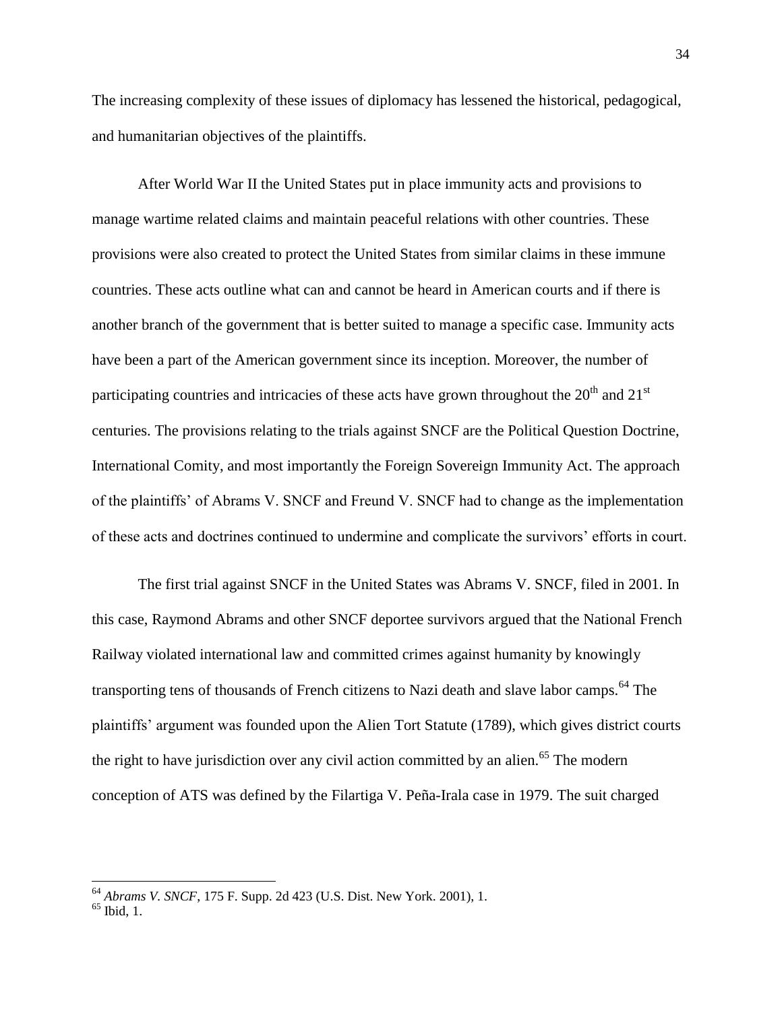The increasing complexity of these issues of diplomacy has lessened the historical, pedagogical, and humanitarian objectives of the plaintiffs.

After World War II the United States put in place immunity acts and provisions to manage wartime related claims and maintain peaceful relations with other countries. These provisions were also created to protect the United States from similar claims in these immune countries. These acts outline what can and cannot be heard in American courts and if there is another branch of the government that is better suited to manage a specific case. Immunity acts have been a part of the American government since its inception. Moreover, the number of participating countries and intricacies of these acts have grown throughout the  $20^{th}$  and  $21^{st}$ centuries. The provisions relating to the trials against SNCF are the Political Question Doctrine, International Comity, and most importantly the Foreign Sovereign Immunity Act. The approach of the plaintiffs' of Abrams V. SNCF and Freund V. SNCF had to change as the implementation of these acts and doctrines continued to undermine and complicate the survivors' efforts in court.

The first trial against SNCF in the United States was Abrams V. SNCF, filed in 2001. In this case, Raymond Abrams and other SNCF deportee survivors argued that the National French Railway violated international law and committed crimes against humanity by knowingly transporting tens of thousands of French citizens to Nazi death and slave labor camps.<sup>64</sup> The plaintiffs' argument was founded upon the Alien Tort Statute (1789), which gives district courts the right to have jurisdiction over any civil action committed by an alien.<sup>65</sup> The modern conception of ATS was defined by the Filartiga V. Peña-Irala case in 1979. The suit charged

<sup>64</sup> *Abrams V. SNCF*, 175 F. Supp. 2d 423 (U.S. Dist. New York. 2001), 1.

<sup>65</sup> Ibid, 1.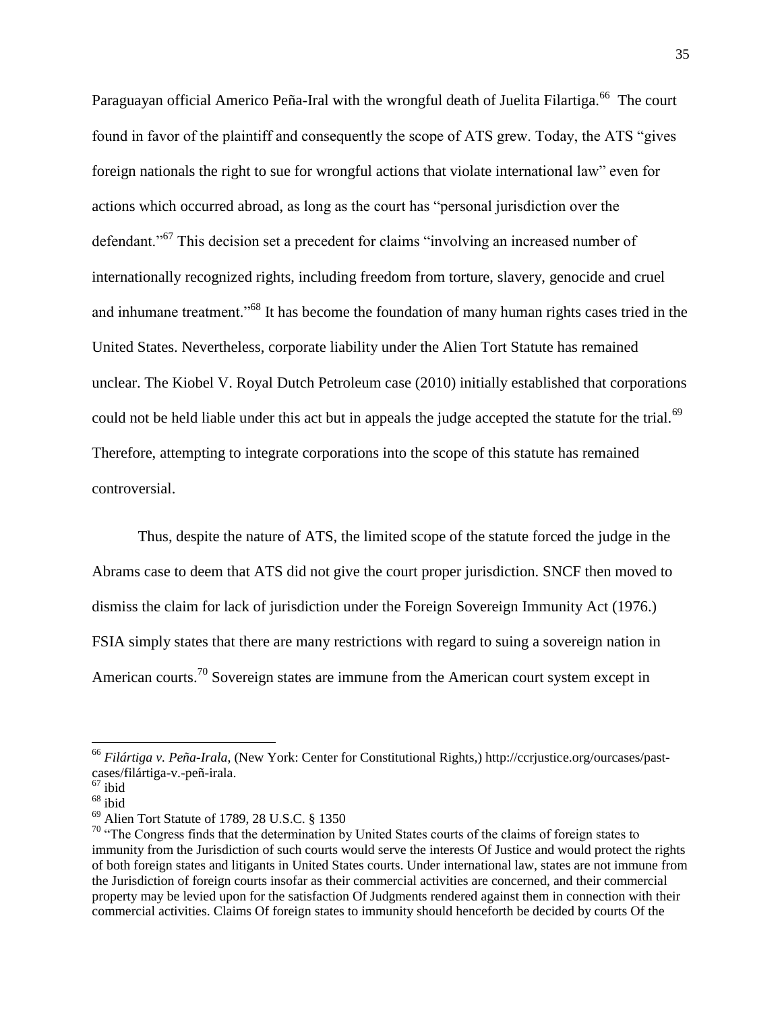Paraguayan official Americo Peña-Iral with the wrongful death of Juelita Filartiga.<sup>66</sup> The court found in favor of the plaintiff and consequently the scope of ATS grew. Today, the ATS "gives foreign nationals the right to sue for wrongful actions that violate international law" even for actions which occurred abroad, as long as the court has "personal jurisdiction over the defendant."<sup>67</sup> This decision set a precedent for claims "involving an increased number of internationally recognized rights, including freedom from torture, slavery, genocide and cruel and inhumane treatment."<sup>68</sup> It has become the foundation of many human rights cases tried in the United States. Nevertheless, corporate liability under the Alien Tort Statute has remained unclear. The Kiobel V. Royal Dutch Petroleum case (2010) initially established that corporations could not be held liable under this act but in appeals the judge accepted the statute for the trial.<sup>69</sup> Therefore, attempting to integrate corporations into the scope of this statute has remained controversial.

Thus, despite the nature of ATS, the limited scope of the statute forced the judge in the Abrams case to deem that ATS did not give the court proper jurisdiction. SNCF then moved to dismiss the claim for lack of jurisdiction under the Foreign Sovereign Immunity Act (1976.) FSIA simply states that there are many restrictions with regard to suing a sovereign nation in American courts.<sup>70</sup> Sovereign states are immune from the American court system except in

<sup>66</sup> *Filártiga v. Peña-Irala*, (New York: Center for Constitutional Rights,) http://ccrjustice.org/ourcases/pastcases/filártiga-v.-peñ-irala.

 $67$  ibid

 $68 \overline{\text{ihid}}$ 

<sup>69</sup> Alien Tort Statute of 1789, 28 U.S.C. § 1350

<sup>&</sup>lt;sup>70</sup> "The Congress finds that the determination by United States courts of the claims of foreign states to immunity from the Jurisdiction of such courts would serve the interests Of Justice and would protect the rights of both foreign states and litigants in United States courts. Under international law, states are not immune from the Jurisdiction of foreign courts insofar as their commercial activities are concerned, and their commercial property may be levied upon for the satisfaction Of Judgments rendered against them in connection with their commercial activities. Claims Of foreign states to immunity should henceforth be decided by courts Of the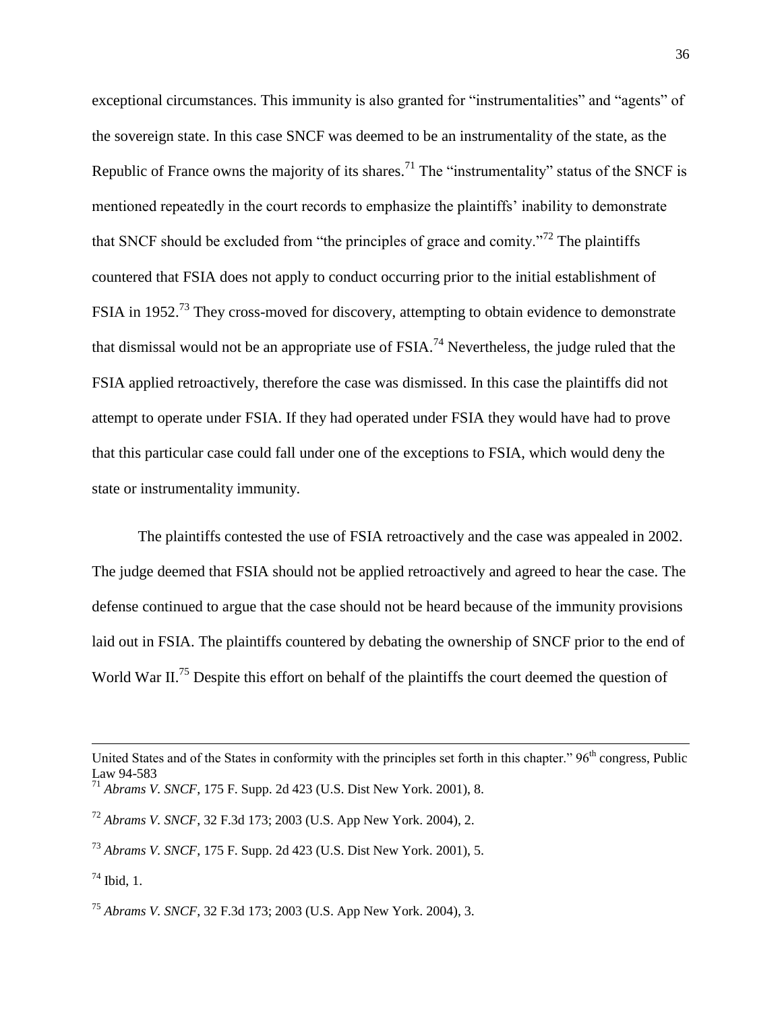exceptional circumstances. This immunity is also granted for "instrumentalities" and "agents" of the sovereign state. In this case SNCF was deemed to be an instrumentality of the state, as the Republic of France owns the majority of its shares.<sup>71</sup> The "instrumentality" status of the SNCF is mentioned repeatedly in the court records to emphasize the plaintiffs' inability to demonstrate that SNCF should be excluded from "the principles of grace and comity."<sup>72</sup> The plaintiffs countered that FSIA does not apply to conduct occurring prior to the initial establishment of FSIA in 1952.<sup>73</sup> They cross-moved for discovery, attempting to obtain evidence to demonstrate that dismissal would not be an appropriate use of  $FSIA.<sup>74</sup>$  Nevertheless, the judge ruled that the FSIA applied retroactively, therefore the case was dismissed. In this case the plaintiffs did not attempt to operate under FSIA. If they had operated under FSIA they would have had to prove that this particular case could fall under one of the exceptions to FSIA, which would deny the state or instrumentality immunity.

The plaintiffs contested the use of FSIA retroactively and the case was appealed in 2002. The judge deemed that FSIA should not be applied retroactively and agreed to hear the case. The defense continued to argue that the case should not be heard because of the immunity provisions laid out in FSIA. The plaintiffs countered by debating the ownership of SNCF prior to the end of World War II.<sup>75</sup> Despite this effort on behalf of the plaintiffs the court deemed the question of

 $\overline{a}$ 

United States and of the States in conformity with the principles set forth in this chapter." 96<sup>th</sup> congress, Public Law 94-583

<sup>71</sup> *Abrams V. SNCF*, 175 F. Supp. 2d 423 (U.S. Dist New York. 2001), 8.

<sup>72</sup> *Abrams V. SNCF*, 32 F.3d 173; 2003 (U.S. App New York. 2004), 2.

<sup>73</sup> *Abrams V. SNCF*, 175 F. Supp. 2d 423 (U.S. Dist New York. 2001), 5.

 $74$  Ibid, 1.

<sup>75</sup> *Abrams V. SNCF*, 32 F.3d 173; 2003 (U.S. App New York. 2004), 3.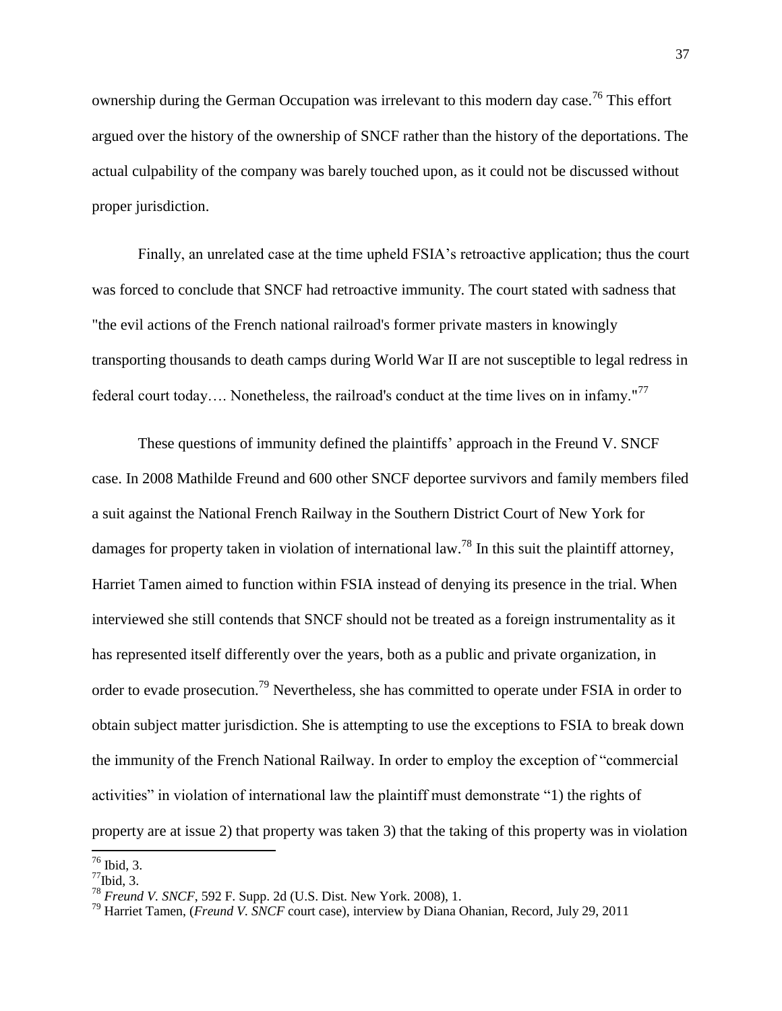ownership during the German Occupation was irrelevant to this modern day case.<sup>76</sup> This effort argued over the history of the ownership of SNCF rather than the history of the deportations. The actual culpability of the company was barely touched upon, as it could not be discussed without proper jurisdiction.

Finally, an unrelated case at the time upheld FSIA's retroactive application; thus the court was forced to conclude that SNCF had retroactive immunity. The court stated with sadness that "the evil actions of the French national railroad's former private masters in knowingly transporting thousands to death camps during World War II are not susceptible to legal redress in federal court today.... Nonetheless, the railroad's conduct at the time lives on in infamy."<sup>77</sup>

These questions of immunity defined the plaintiffs' approach in the Freund V. SNCF case. In 2008 Mathilde Freund and 600 other SNCF deportee survivors and family members filed a suit against the National French Railway in the Southern District Court of New York for damages for property taken in violation of international law.<sup>78</sup> In this suit the plaintiff attorney, Harriet Tamen aimed to function within FSIA instead of denying its presence in the trial. When interviewed she still contends that SNCF should not be treated as a foreign instrumentality as it has represented itself differently over the years, both as a public and private organization, in order to evade prosecution.<sup>79</sup> Nevertheless, she has committed to operate under FSIA in order to obtain subject matter jurisdiction. She is attempting to use the exceptions to FSIA to break down the immunity of the French National Railway. In order to employ the exception of "commercial activities" in violation of international law the plaintiff must demonstrate "1) the rights of property are at issue 2) that property was taken 3) that the taking of this property was in violation

 $76$  Ibid, 3.

 $^{77}$ Ibid, 3.

<sup>78</sup> *Freund V. SNCF*, 592 F. Supp. 2d (U.S. Dist. New York. 2008), 1.

<sup>79</sup> Harriet Tamen, (*Freund V. SNCF* court case), interview by Diana Ohanian, Record, July 29, 2011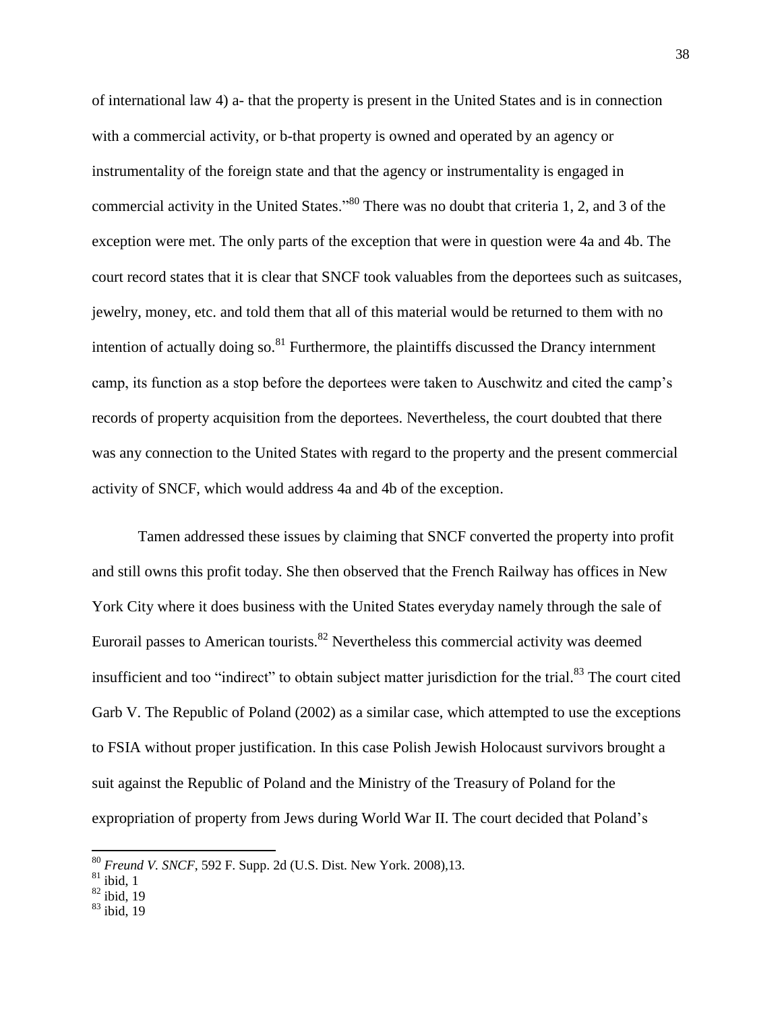of international law 4) a- that the property is present in the United States and is in connection with a commercial activity, or b-that property is owned and operated by an agency or instrumentality of the foreign state and that the agency or instrumentality is engaged in commercial activity in the United States."<sup>80</sup> There was no doubt that criteria 1, 2, and 3 of the exception were met. The only parts of the exception that were in question were 4a and 4b. The court record states that it is clear that SNCF took valuables from the deportees such as suitcases, jewelry, money, etc. and told them that all of this material would be returned to them with no intention of actually doing so.<sup>81</sup> Furthermore, the plaintiffs discussed the Drancy internment camp, its function as a stop before the deportees were taken to Auschwitz and cited the camp's records of property acquisition from the deportees. Nevertheless, the court doubted that there was any connection to the United States with regard to the property and the present commercial activity of SNCF, which would address 4a and 4b of the exception.

Tamen addressed these issues by claiming that SNCF converted the property into profit and still owns this profit today. She then observed that the French Railway has offices in New York City where it does business with the United States everyday namely through the sale of Eurorail passes to American tourists. $82$  Nevertheless this commercial activity was deemed insufficient and too "indirect" to obtain subject matter jurisdiction for the trial.<sup>83</sup> The court cited Garb V. The Republic of Poland (2002) as a similar case, which attempted to use the exceptions to FSIA without proper justification. In this case Polish Jewish Holocaust survivors brought a suit against the Republic of Poland and the Ministry of the Treasury of Poland for the expropriation of property from Jews during World War II. The court decided that Poland's

<sup>80</sup> *Freund V. SNCF*, 592 F. Supp. 2d (U.S. Dist. New York. 2008),13.

 $81$  ibid, 1

 $82$  ibid, 19

<sup>83</sup> ibid, 19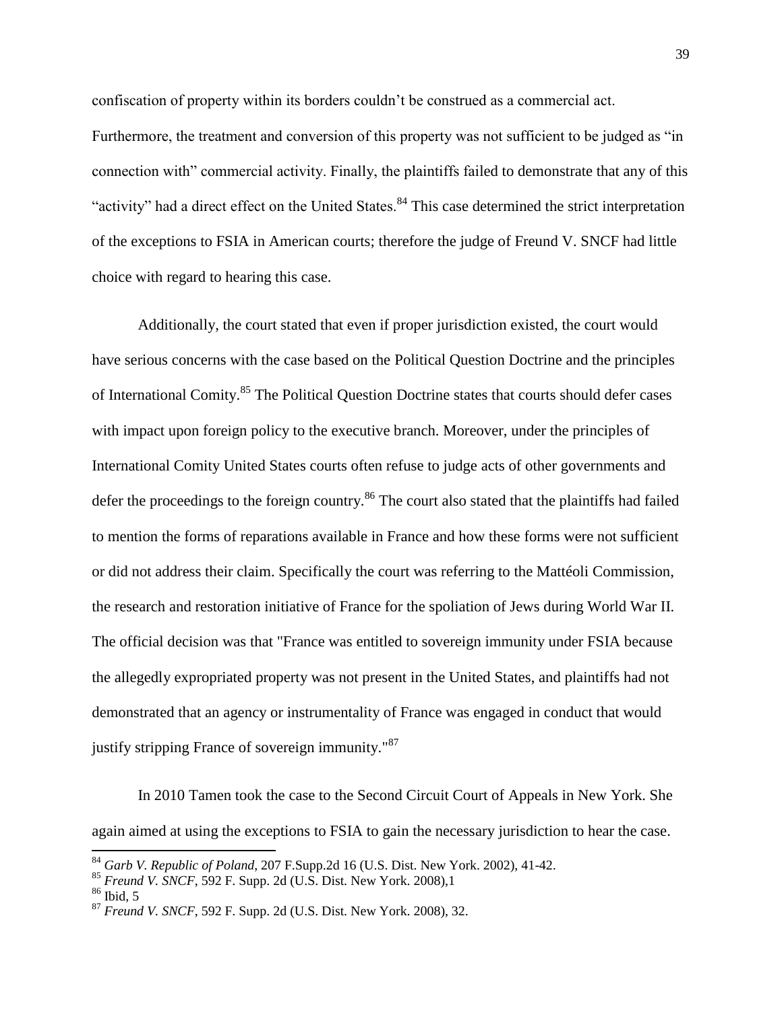confiscation of property within its borders couldn't be construed as a commercial act.

Furthermore, the treatment and conversion of this property was not sufficient to be judged as "in connection with" commercial activity. Finally, the plaintiffs failed to demonstrate that any of this "activity" had a direct effect on the United States.<sup>84</sup> This case determined the strict interpretation of the exceptions to FSIA in American courts; therefore the judge of Freund V. SNCF had little choice with regard to hearing this case.

Additionally, the court stated that even if proper jurisdiction existed, the court would have serious concerns with the case based on the Political Question Doctrine and the principles of International Comity.<sup>85</sup> The Political Question Doctrine states that courts should defer cases with impact upon foreign policy to the executive branch. Moreover, under the principles of International Comity United States courts often refuse to judge acts of other governments and defer the proceedings to the foreign country.<sup>86</sup> The court also stated that the plaintiffs had failed to mention the forms of reparations available in France and how these forms were not sufficient or did not address their claim. Specifically the court was referring to the Mattéoli Commission, the research and restoration initiative of France for the spoliation of Jews during World War II. The official decision was that "France was entitled to sovereign immunity under FSIA because the allegedly expropriated property was not present in the United States, and plaintiffs had not demonstrated that an agency or instrumentality of France was engaged in conduct that would justify stripping France of sovereign immunity."<sup>87</sup>

In 2010 Tamen took the case to the Second Circuit Court of Appeals in New York. She again aimed at using the exceptions to FSIA to gain the necessary jurisdiction to hear the case.

<sup>84</sup> *Garb V. Republic of Poland*, 207 F.Supp.2d 16 (U.S. Dist. New York. 2002), 41-42.

<sup>85</sup> *Freund V. SNCF*, 592 F. Supp. 2d (U.S. Dist. New York. 2008),1

 $86$  Ibid, 5

<sup>87</sup> *Freund V. SNCF*, 592 F. Supp. 2d (U.S. Dist. New York. 2008), 32.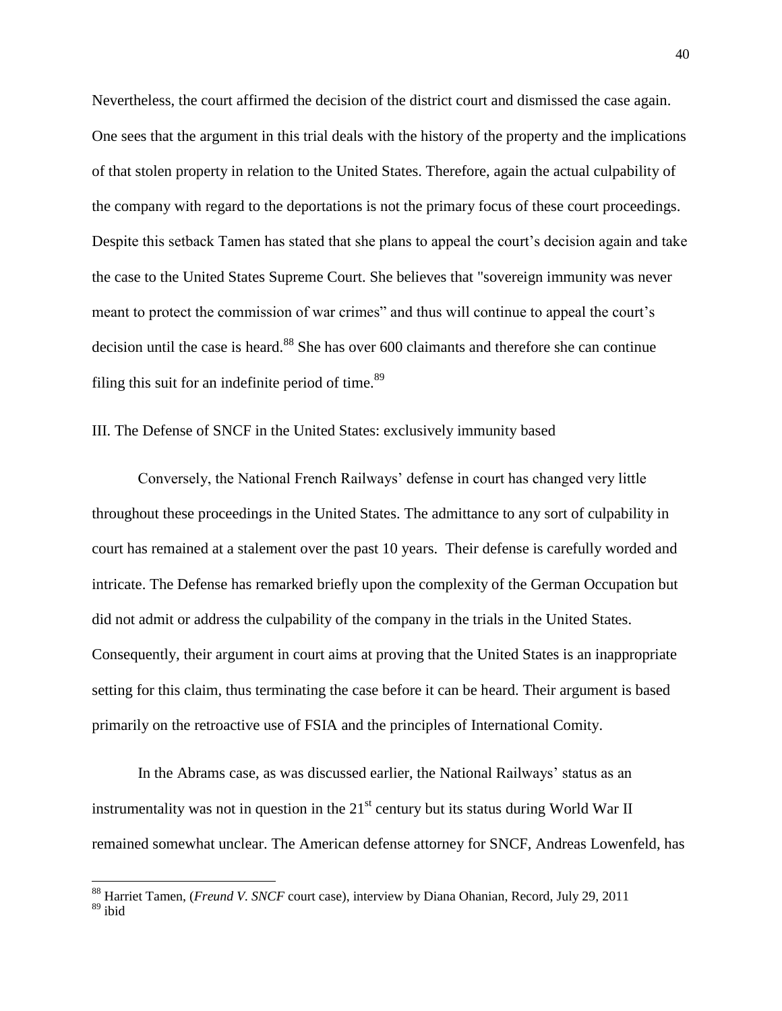Nevertheless, the court affirmed the decision of the district court and dismissed the case again. One sees that the argument in this trial deals with the history of the property and the implications of that stolen property in relation to the United States. Therefore, again the actual culpability of the company with regard to the deportations is not the primary focus of these court proceedings. Despite this setback Tamen has stated that she plans to appeal the court's decision again and take the case to the United States Supreme Court. She believes that "sovereign immunity was never meant to protect the commission of war crimes" and thus will continue to appeal the court's decision until the case is heard.<sup>88</sup> She has over 600 claimants and therefore she can continue filing this suit for an indefinite period of time. $89$ 

## III. The Defense of SNCF in the United States: exclusively immunity based

Conversely, the National French Railways' defense in court has changed very little throughout these proceedings in the United States. The admittance to any sort of culpability in court has remained at a stalement over the past 10 years. Their defense is carefully worded and intricate. The Defense has remarked briefly upon the complexity of the German Occupation but did not admit or address the culpability of the company in the trials in the United States. Consequently, their argument in court aims at proving that the United States is an inappropriate setting for this claim, thus terminating the case before it can be heard. Their argument is based primarily on the retroactive use of FSIA and the principles of International Comity.

In the Abrams case, as was discussed earlier, the National Railways' status as an instrumentality was not in question in the  $21<sup>st</sup>$  century but its status during World War II remained somewhat unclear. The American defense attorney for SNCF, Andreas Lowenfeld, has

<sup>88</sup> Harriet Tamen, (*Freund V. SNCF* court case), interview by Diana Ohanian, Record, July 29, 2011  $89$  ibid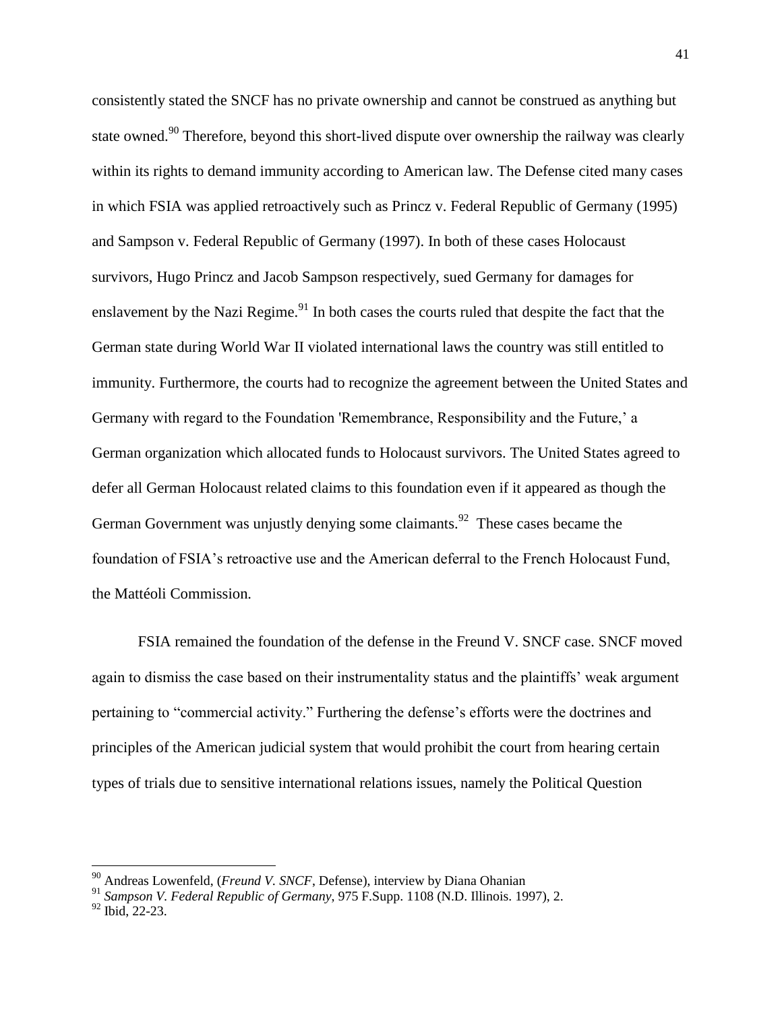consistently stated the SNCF has no private ownership and cannot be construed as anything but state owned.<sup>90</sup> Therefore, beyond this short-lived dispute over ownership the railway was clearly within its rights to demand immunity according to American law. The Defense cited many cases in which FSIA was applied retroactively such as Princz v. Federal Republic of Germany (1995) and Sampson v. Federal Republic of Germany (1997). In both of these cases Holocaust survivors, Hugo Princz and Jacob Sampson respectively, sued Germany for damages for enslavement by the Nazi Regime.<sup>91</sup> In both cases the courts ruled that despite the fact that the German state during World War II violated international laws the country was still entitled to immunity. Furthermore, the courts had to recognize the agreement between the United States and Germany with regard to the Foundation 'Remembrance, Responsibility and the Future,' a German organization which allocated funds to Holocaust survivors. The United States agreed to defer all German Holocaust related claims to this foundation even if it appeared as though the German Government was unjustly denying some claimants.<sup>92</sup> These cases became the foundation of FSIA's retroactive use and the American deferral to the French Holocaust Fund, the Mattéoli Commission.

FSIA remained the foundation of the defense in the Freund V. SNCF case. SNCF moved again to dismiss the case based on their instrumentality status and the plaintiffs' weak argument pertaining to "commercial activity." Furthering the defense's efforts were the doctrines and principles of the American judicial system that would prohibit the court from hearing certain types of trials due to sensitive international relations issues, namely the Political Question

<sup>90</sup> Andreas Lowenfeld, (*Freund V. SNCF*, Defense), interview by Diana Ohanian

<sup>91</sup> *Sampson V. Federal Republic of Germany*, 975 F.Supp. 1108 (N.D. Illinois. 1997), 2.

 $92$  Ibid, 22-23.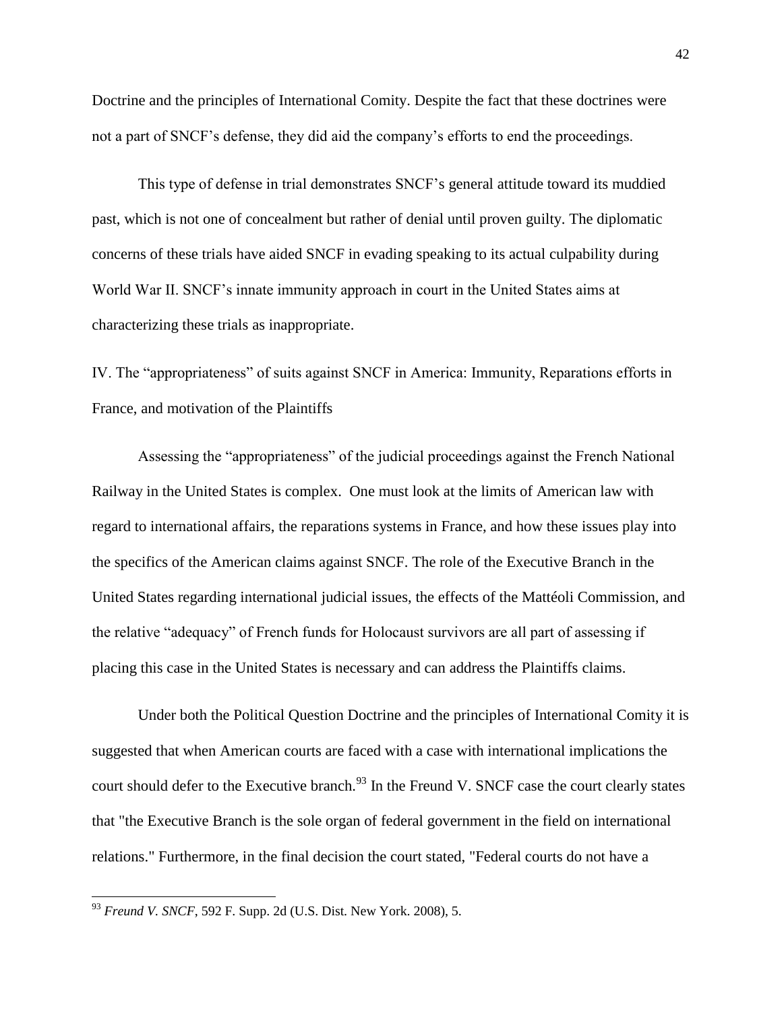Doctrine and the principles of International Comity. Despite the fact that these doctrines were not a part of SNCF's defense, they did aid the company's efforts to end the proceedings.

This type of defense in trial demonstrates SNCF's general attitude toward its muddied past, which is not one of concealment but rather of denial until proven guilty. The diplomatic concerns of these trials have aided SNCF in evading speaking to its actual culpability during World War II. SNCF's innate immunity approach in court in the United States aims at characterizing these trials as inappropriate.

IV. The "appropriateness" of suits against SNCF in America: Immunity, Reparations efforts in France, and motivation of the Plaintiffs

Assessing the "appropriateness" of the judicial proceedings against the French National Railway in the United States is complex. One must look at the limits of American law with regard to international affairs, the reparations systems in France, and how these issues play into the specifics of the American claims against SNCF. The role of the Executive Branch in the United States regarding international judicial issues, the effects of the Mattéoli Commission, and the relative "adequacy" of French funds for Holocaust survivors are all part of assessing if placing this case in the United States is necessary and can address the Plaintiffs claims.

Under both the Political Question Doctrine and the principles of International Comity it is suggested that when American courts are faced with a case with international implications the court should defer to the Executive branch.<sup>93</sup> In the Freund V. SNCF case the court clearly states that "the Executive Branch is the sole organ of federal government in the field on international relations." Furthermore, in the final decision the court stated, "Federal courts do not have a

<sup>93</sup> *Freund V. SNCF*, 592 F. Supp. 2d (U.S. Dist. New York. 2008), 5.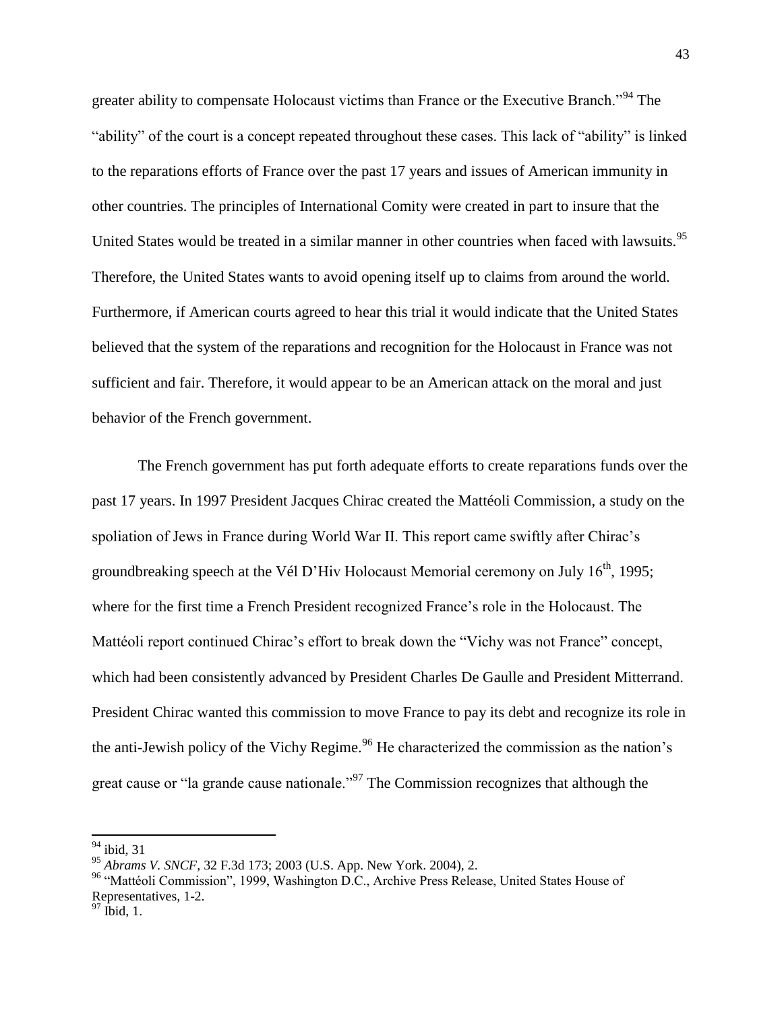greater ability to compensate Holocaust victims than France or the Executive Branch.<sup>"94</sup> The "ability" of the court is a concept repeated throughout these cases. This lack of "ability" is linked to the reparations efforts of France over the past 17 years and issues of American immunity in other countries. The principles of International Comity were created in part to insure that the United States would be treated in a similar manner in other countries when faced with lawsuits.<sup>95</sup> Therefore, the United States wants to avoid opening itself up to claims from around the world. Furthermore, if American courts agreed to hear this trial it would indicate that the United States believed that the system of the reparations and recognition for the Holocaust in France was not sufficient and fair. Therefore, it would appear to be an American attack on the moral and just behavior of the French government.

The French government has put forth adequate efforts to create reparations funds over the past 17 years. In 1997 President Jacques Chirac created the Mattéoli Commission, a study on the spoliation of Jews in France during World War II. This report came swiftly after Chirac's groundbreaking speech at the Vél D'Hiv Holocaust Memorial ceremony on July  $16<sup>th</sup>$ , 1995; where for the first time a French President recognized France's role in the Holocaust. The Mattéoli report continued Chirac's effort to break down the "Vichy was not France" concept, which had been consistently advanced by President Charles De Gaulle and President Mitterrand. President Chirac wanted this commission to move France to pay its debt and recognize its role in the anti-Jewish policy of the Vichy Regime.<sup>96</sup> He characterized the commission as the nation's great cause or "la grande cause nationale."<sup>97</sup> The Commission recognizes that although the

l

 $94$  ibid 31

<sup>95</sup> *Abrams V. SNCF*, 32 F.3d 173; 2003 (U.S. App. New York. 2004), 2.

<sup>&</sup>lt;sup>96</sup> "Mattéoli Commission", 1999, Washington D.C., Archive Press Release, United States House of Representatives, 1-2.

 $97$  Ibid, 1.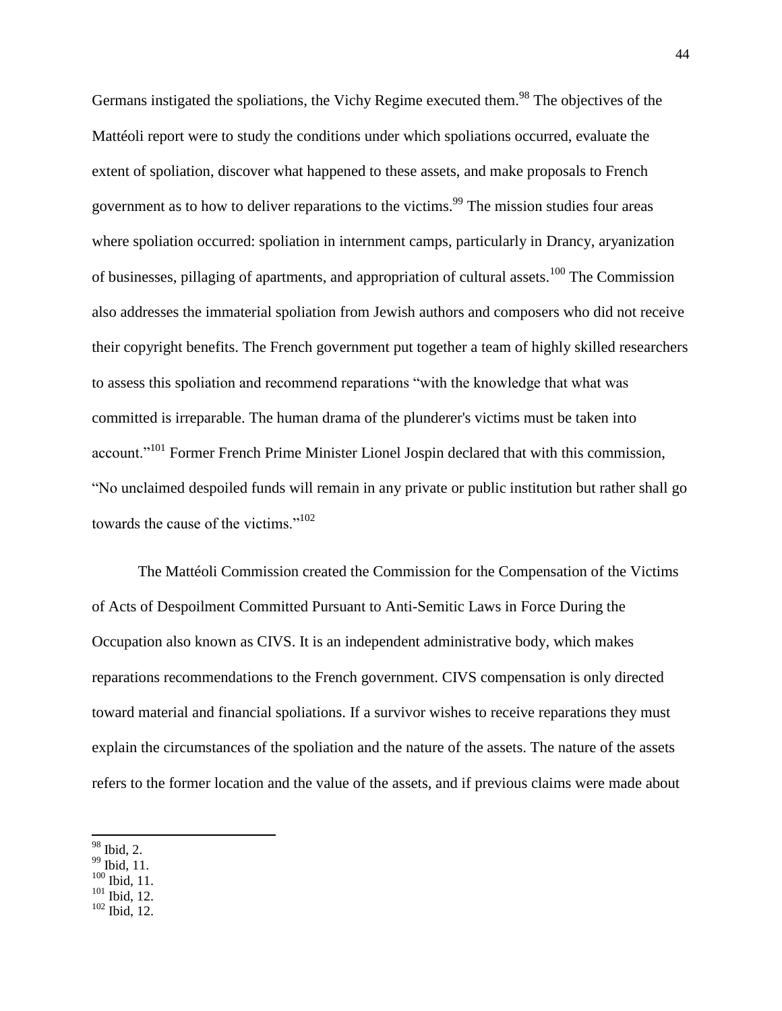Germans instigated the spoliations, the Vichy Regime executed them.<sup>98</sup> The objectives of the Mattéoli report were to study the conditions under which spoliations occurred, evaluate the extent of spoliation, discover what happened to these assets, and make proposals to French government as to how to deliver reparations to the victims.<sup>99</sup> The mission studies four areas where spoliation occurred: spoliation in internment camps, particularly in Drancy, aryanization of businesses, pillaging of apartments, and appropriation of cultural assets.<sup>100</sup> The Commission also addresses the immaterial spoliation from Jewish authors and composers who did not receive their copyright benefits. The French government put together a team of highly skilled researchers to assess this spoliation and recommend reparations "with the knowledge that what was committed is irreparable. The human drama of the plunderer's victims must be taken into account."<sup>101</sup> Former French Prime Minister Lionel Jospin declared that with this commission, "No unclaimed despoiled funds will remain in any private or public institution but rather shall go towards the cause of the victims."<sup>102</sup>

The Mattéoli Commission created the Commission for the Compensation of the Victims of Acts of Despoilment Committed Pursuant to Anti-Semitic Laws in Force During the Occupation also known as CIVS. It is an independent administrative body, which makes reparations recommendations to the French government. CIVS compensation is only directed toward material and financial spoliations. If a survivor wishes to receive reparations they must explain the circumstances of the spoliation and the nature of the assets. The nature of the assets refers to the former location and the value of the assets, and if previous claims were made about

- <sup>99</sup> Ibid, 11.
- $100$  Ibid, 11.
- $101$  Ibid, 12.
- $102$  Ibid, 12.

l <sup>98</sup> Ibid, 2.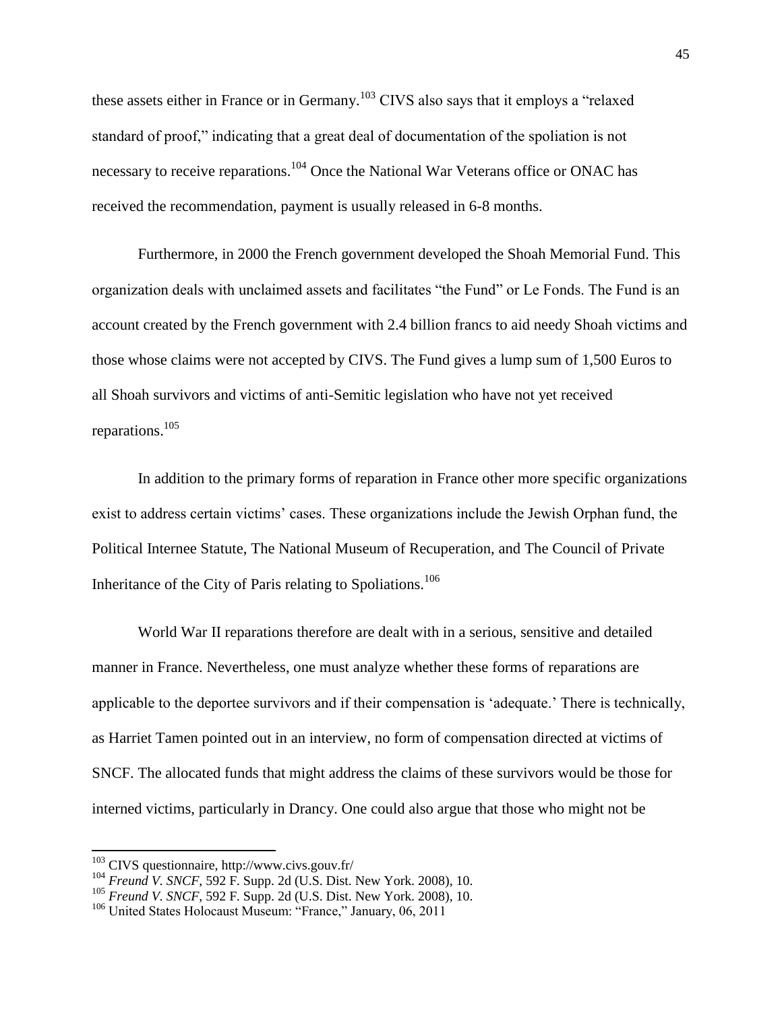these assets either in France or in Germany.<sup>103</sup> CIVS also says that it employs a "relaxed" standard of proof," indicating that a great deal of documentation of the spoliation is not necessary to receive reparations.<sup>104</sup> Once the National War Veterans office or ONAC has received the recommendation, payment is usually released in 6-8 months.

Furthermore, in 2000 the French government developed the Shoah Memorial Fund. This organization deals with unclaimed assets and facilitates "the Fund" or Le Fonds. The Fund is an account created by the French government with 2.4 billion francs to aid needy Shoah victims and those whose claims were not accepted by CIVS. The Fund gives a lump sum of 1,500 Euros to all Shoah survivors and victims of anti-Semitic legislation who have not yet received reparations.<sup>105</sup>

In addition to the primary forms of reparation in France other more specific organizations exist to address certain victims' cases. These organizations include the Jewish Orphan fund, the Political Internee Statute, The National Museum of Recuperation, and The Council of Private Inheritance of the City of Paris relating to Spoliations.<sup>106</sup>

World War II reparations therefore are dealt with in a serious, sensitive and detailed manner in France. Nevertheless, one must analyze whether these forms of reparations are applicable to the deportee survivors and if their compensation is 'adequate.' There is technically, as Harriet Tamen pointed out in an interview, no form of compensation directed at victims of SNCF. The allocated funds that might address the claims of these survivors would be those for interned victims, particularly in Drancy. One could also argue that those who might not be

 $103$  CIVS questionnaire, http://www.civs.gouv.fr/

<sup>&</sup>lt;sup>104</sup> *Freund V. SNCF*, 592 F. Supp. 2d (U.S. Dist. New York. 2008), 10.

<sup>105</sup> *Freund V. SNCF*, 592 F. Supp. 2d (U.S. Dist. New York. 2008), 10.

<sup>&</sup>lt;sup>106</sup> United States Holocaust Museum: "France," January, 06, 2011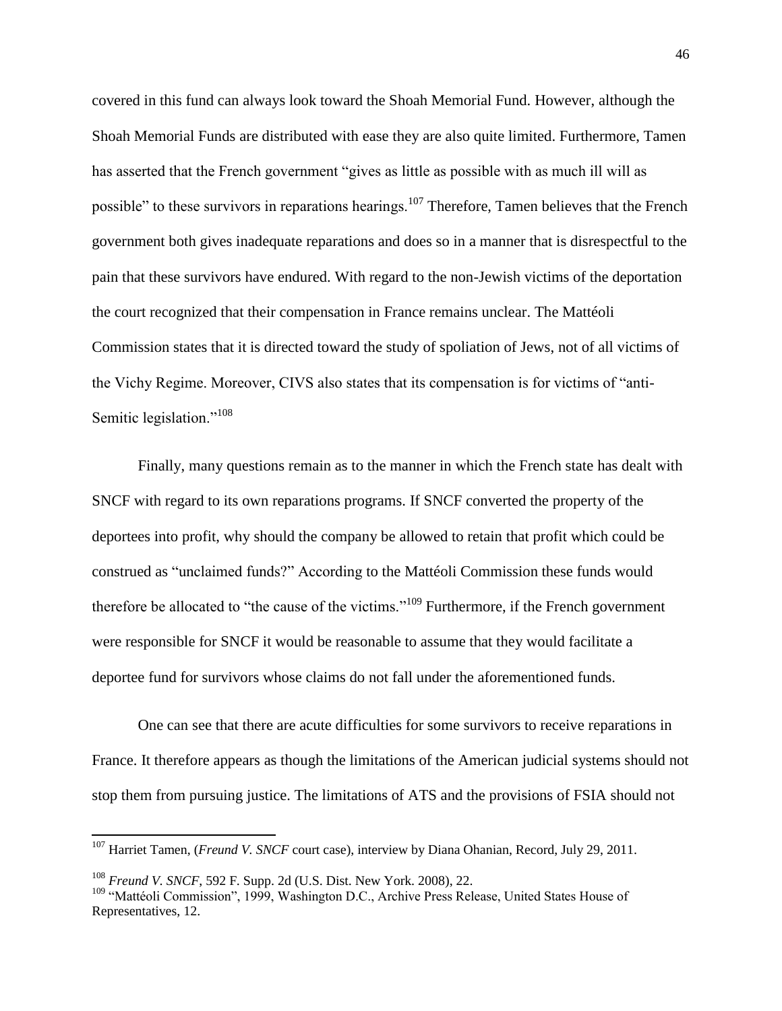covered in this fund can always look toward the Shoah Memorial Fund. However, although the Shoah Memorial Funds are distributed with ease they are also quite limited. Furthermore, Tamen has asserted that the French government "gives as little as possible with as much ill will as possible" to these survivors in reparations hearings.<sup>107</sup> Therefore, Tamen believes that the French government both gives inadequate reparations and does so in a manner that is disrespectful to the pain that these survivors have endured. With regard to the non-Jewish victims of the deportation the court recognized that their compensation in France remains unclear. The Mattéoli Commission states that it is directed toward the study of spoliation of Jews, not of all victims of the Vichy Regime. Moreover, CIVS also states that its compensation is for victims of "anti-Semitic legislation."<sup>108</sup>

Finally, many questions remain as to the manner in which the French state has dealt with SNCF with regard to its own reparations programs. If SNCF converted the property of the deportees into profit, why should the company be allowed to retain that profit which could be construed as "unclaimed funds?" According to the Mattéoli Commission these funds would therefore be allocated to "the cause of the victims."<sup>109</sup> Furthermore, if the French government were responsible for SNCF it would be reasonable to assume that they would facilitate a deportee fund for survivors whose claims do not fall under the aforementioned funds.

One can see that there are acute difficulties for some survivors to receive reparations in France. It therefore appears as though the limitations of the American judicial systems should not stop them from pursuing justice. The limitations of ATS and the provisions of FSIA should not

l

<sup>&</sup>lt;sup>107</sup> Harriet Tamen, (*Freund V. SNCF* court case), interview by Diana Ohanian, Record, July 29, 2011.

<sup>108</sup> *Freund V. SNCF*, 592 F. Supp. 2d (U.S. Dist. New York. 2008), 22.

<sup>&</sup>lt;sup>109</sup> "Mattéoli Commission", 1999, Washington D.C., Archive Press Release, United States House of Representatives, 12.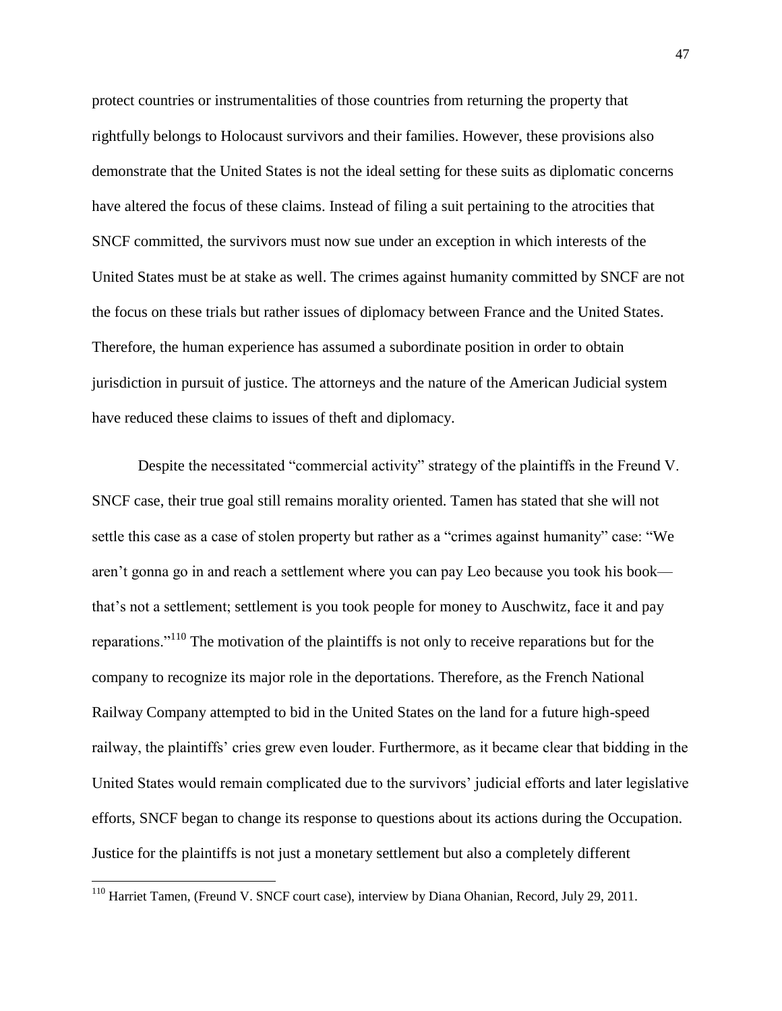protect countries or instrumentalities of those countries from returning the property that rightfully belongs to Holocaust survivors and their families. However, these provisions also demonstrate that the United States is not the ideal setting for these suits as diplomatic concerns have altered the focus of these claims. Instead of filing a suit pertaining to the atrocities that SNCF committed, the survivors must now sue under an exception in which interests of the United States must be at stake as well. The crimes against humanity committed by SNCF are not the focus on these trials but rather issues of diplomacy between France and the United States. Therefore, the human experience has assumed a subordinate position in order to obtain jurisdiction in pursuit of justice. The attorneys and the nature of the American Judicial system have reduced these claims to issues of theft and diplomacy.

Despite the necessitated "commercial activity" strategy of the plaintiffs in the Freund V. SNCF case, their true goal still remains morality oriented. Tamen has stated that she will not settle this case as a case of stolen property but rather as a "crimes against humanity" case: "We aren't gonna go in and reach a settlement where you can pay Leo because you took his book that's not a settlement; settlement is you took people for money to Auschwitz, face it and pay reparations."<sup>110</sup> The motivation of the plaintiffs is not only to receive reparations but for the company to recognize its major role in the deportations. Therefore, as the French National Railway Company attempted to bid in the United States on the land for a future high-speed railway, the plaintiffs' cries grew even louder. Furthermore, as it became clear that bidding in the United States would remain complicated due to the survivors' judicial efforts and later legislative efforts, SNCF began to change its response to questions about its actions during the Occupation. Justice for the plaintiffs is not just a monetary settlement but also a completely different

<sup>&</sup>lt;sup>110</sup> Harriet Tamen, (Freund V. SNCF court case), interview by Diana Ohanian, Record, July 29, 2011.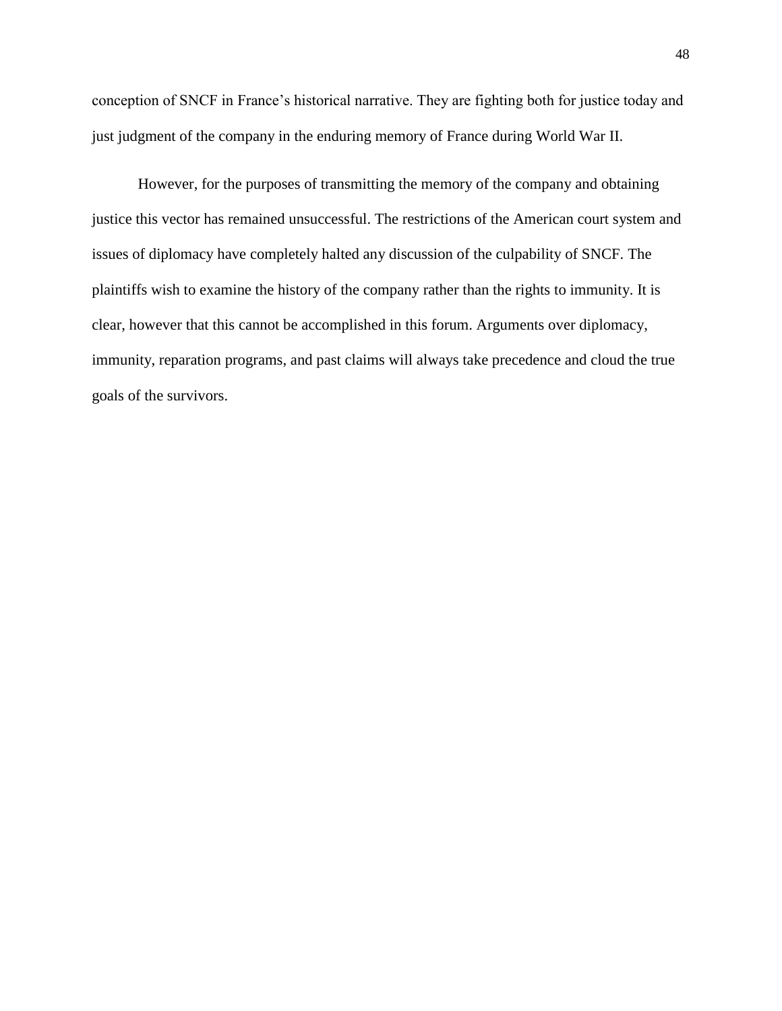conception of SNCF in France's historical narrative. They are fighting both for justice today and just judgment of the company in the enduring memory of France during World War II.

However, for the purposes of transmitting the memory of the company and obtaining justice this vector has remained unsuccessful. The restrictions of the American court system and issues of diplomacy have completely halted any discussion of the culpability of SNCF. The plaintiffs wish to examine the history of the company rather than the rights to immunity. It is clear, however that this cannot be accomplished in this forum. Arguments over diplomacy, immunity, reparation programs, and past claims will always take precedence and cloud the true goals of the survivors.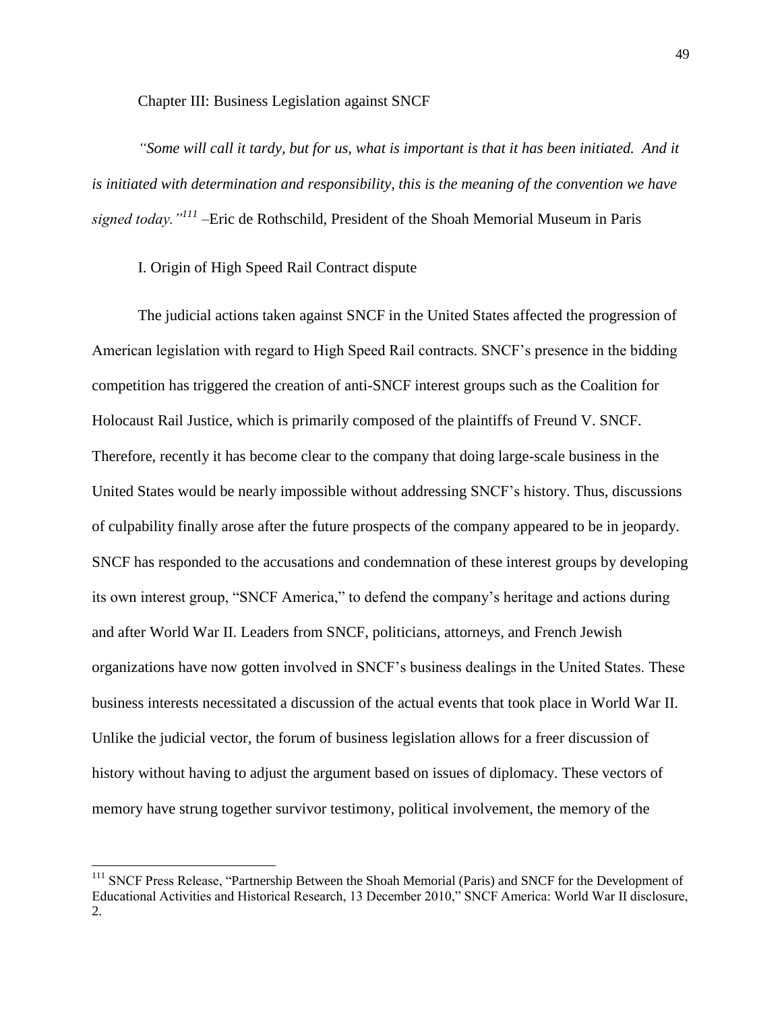Chapter III: Business Legislation against SNCF

*"Some will call it tardy, but for us, what is important is that it has been initiated. And it is initiated with determination and responsibility, this is the meaning of the convention we have signed today."<sup>111</sup> –*Eric de Rothschild, President of the Shoah Memorial Museum in Paris

I. Origin of High Speed Rail Contract dispute

 $\overline{\phantom{a}}$ 

The judicial actions taken against SNCF in the United States affected the progression of American legislation with regard to High Speed Rail contracts. SNCF's presence in the bidding competition has triggered the creation of anti-SNCF interest groups such as the Coalition for Holocaust Rail Justice, which is primarily composed of the plaintiffs of Freund V. SNCF. Therefore, recently it has become clear to the company that doing large-scale business in the United States would be nearly impossible without addressing SNCF's history. Thus, discussions of culpability finally arose after the future prospects of the company appeared to be in jeopardy. SNCF has responded to the accusations and condemnation of these interest groups by developing its own interest group, "SNCF America," to defend the company's heritage and actions during and after World War II. Leaders from SNCF, politicians, attorneys, and French Jewish organizations have now gotten involved in SNCF's business dealings in the United States. These business interests necessitated a discussion of the actual events that took place in World War II. Unlike the judicial vector, the forum of business legislation allows for a freer discussion of history without having to adjust the argument based on issues of diplomacy. These vectors of memory have strung together survivor testimony, political involvement, the memory of the

<sup>&</sup>lt;sup>111</sup> SNCF Press Release, "Partnership Between the Shoah Memorial (Paris) and SNCF for the Development of Educational Activities and Historical Research, 13 December 2010," SNCF America: World War II disclosure, 2.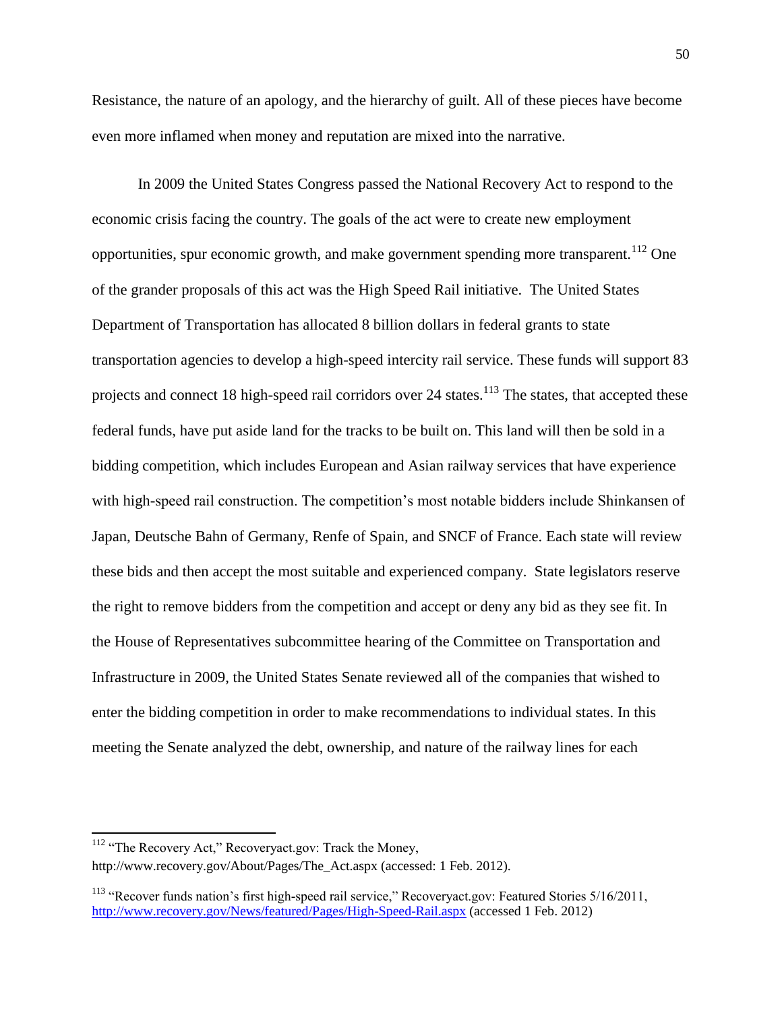Resistance, the nature of an apology, and the hierarchy of guilt. All of these pieces have become even more inflamed when money and reputation are mixed into the narrative.

In 2009 the United States Congress passed the National Recovery Act to respond to the economic crisis facing the country. The goals of the act were to create new employment opportunities, spur economic growth, and make government spending more transparent.<sup>112</sup> One of the grander proposals of this act was the High Speed Rail initiative. The United States Department of Transportation has allocated 8 billion dollars in federal grants to state transportation agencies to develop a high-speed intercity rail service. These funds will support 83 projects and connect 18 high-speed rail corridors over 24 states.<sup>113</sup> The states, that accepted these federal funds, have put aside land for the tracks to be built on. This land will then be sold in a bidding competition, which includes European and Asian railway services that have experience with high-speed rail construction. The competition's most notable bidders include Shinkansen of Japan, Deutsche Bahn of Germany, Renfe of Spain, and SNCF of France. Each state will review these bids and then accept the most suitable and experienced company. State legislators reserve the right to remove bidders from the competition and accept or deny any bid as they see fit. In the House of Representatives subcommittee hearing of the Committee on Transportation and Infrastructure in 2009, the United States Senate reviewed all of the companies that wished to enter the bidding competition in order to make recommendations to individual states. In this meeting the Senate analyzed the debt, ownership, and nature of the railway lines for each

<sup>112</sup> "The Recovery Act," Recoveryact.gov: Track the Money,

 $\overline{a}$ 

http://www.recovery.gov/About/Pages/The\_Act.aspx (accessed: 1 Feb. 2012).

<sup>&</sup>lt;sup>113</sup> "Recover funds nation's first high-speed rail service," Recoveryact.gov: Featured Stories 5/16/2011, <http://www.recovery.gov/News/featured/Pages/High-Speed-Rail.aspx> (accessed 1 Feb. 2012)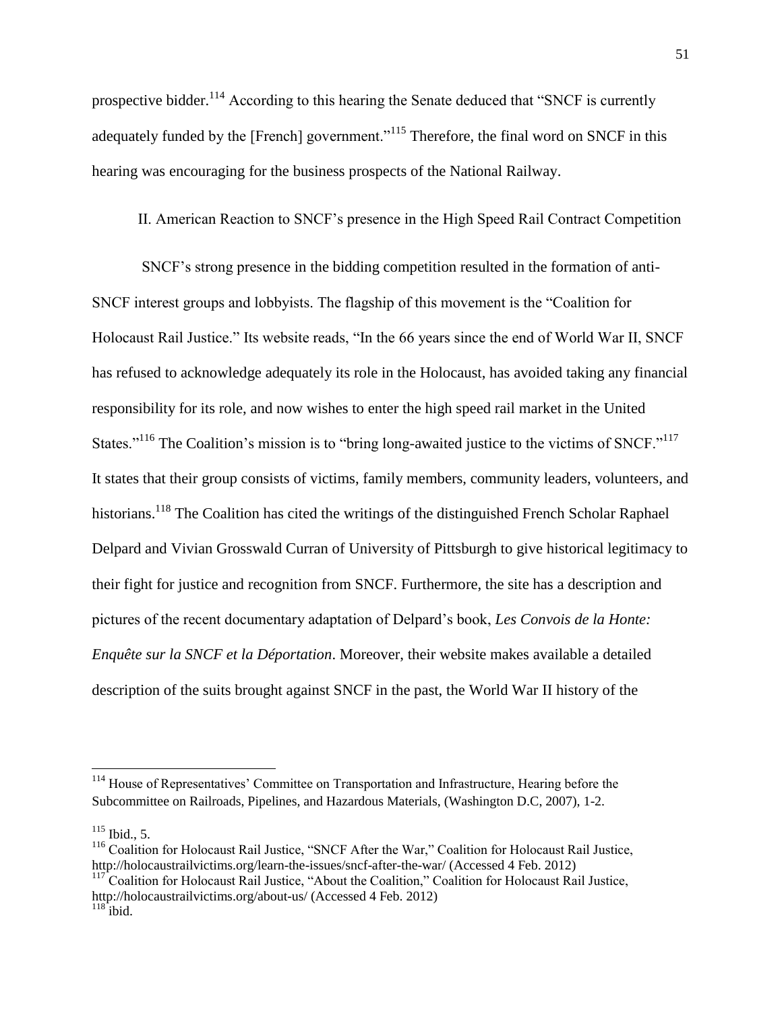prospective bidder.<sup>114</sup> According to this hearing the Senate deduced that "SNCF is currently adequately funded by the [French] government.<sup>"115</sup> Therefore, the final word on SNCF in this hearing was encouraging for the business prospects of the National Railway.

II. American Reaction to SNCF's presence in the High Speed Rail Contract Competition

SNCF's strong presence in the bidding competition resulted in the formation of anti-SNCF interest groups and lobbyists. The flagship of this movement is the "Coalition for Holocaust Rail Justice." Its website reads, "In the 66 years since the end of World War II, SNCF has refused to acknowledge adequately its role in the Holocaust, has avoided taking any financial responsibility for its role, and now wishes to enter the high speed rail market in the United States."<sup>116</sup> The Coalition's mission is to "bring long-awaited justice to the victims of SNCF."<sup>117</sup> It states that their group consists of victims, family members, community leaders, volunteers, and historians.<sup>118</sup> The Coalition has cited the writings of the distinguished French Scholar Raphael Delpard and Vivian Grosswald Curran of University of Pittsburgh to give historical legitimacy to their fight for justice and recognition from SNCF. Furthermore, the site has a description and pictures of the recent documentary adaptation of Delpard's book, *Les Convois de la Honte: Enquête sur la SNCF et la Déportation*. Moreover, their website makes available a detailed description of the suits brought against SNCF in the past, the World War II history of the

<sup>&</sup>lt;sup>114</sup> House of Representatives' Committee on Transportation and Infrastructure, Hearing before the Subcommittee on Railroads, Pipelines, and Hazardous Materials, (Washington D.C, 2007), 1-2.

 $115$  Ibid., 5.

<sup>&</sup>lt;sup>116</sup> Coalition for Holocaust Rail Justice, "SNCF After the War," Coalition for Holocaust Rail Justice, http://holocaustrailvictims.org/learn-the-issues/sncf-after-the-war/ (Accessed 4 Feb. 2012)

<sup>&</sup>lt;sup>117</sup> Coalition for Holocaust Rail Justice, "About the Coalition," Coalition for Holocaust Rail Justice, http://holocaustrailvictims.org/about-us/ (Accessed 4 Feb. 2012)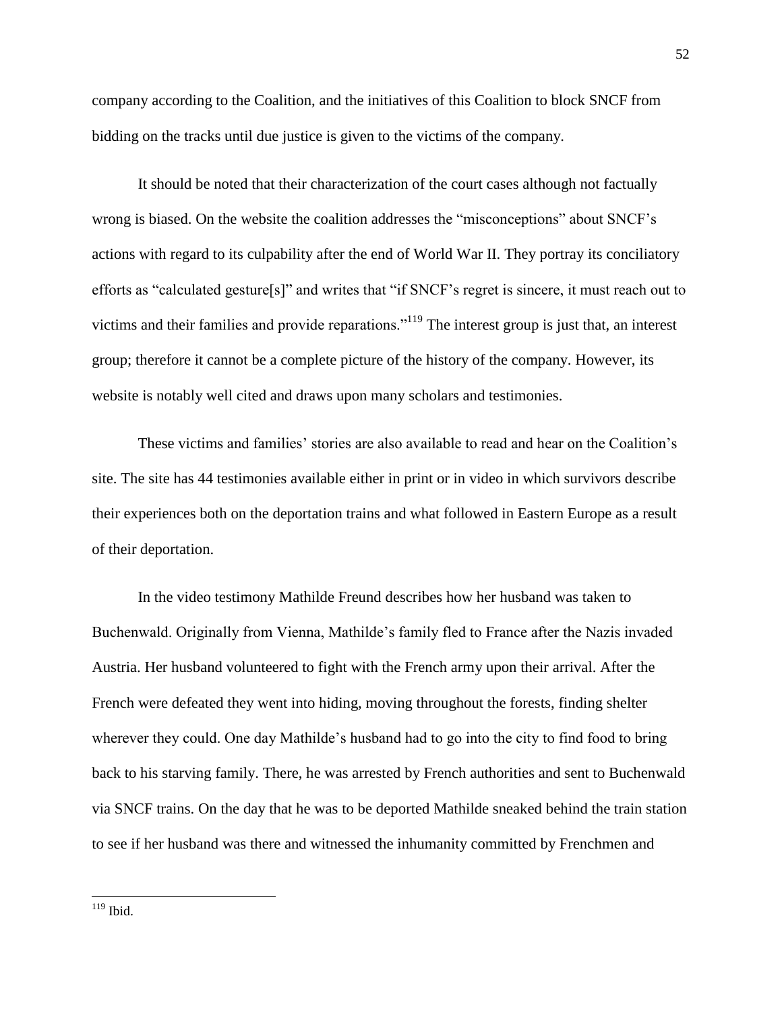company according to the Coalition, and the initiatives of this Coalition to block SNCF from bidding on the tracks until due justice is given to the victims of the company.

It should be noted that their characterization of the court cases although not factually wrong is biased. On the website the coalition addresses the "misconceptions" about SNCF's actions with regard to its culpability after the end of World War II. They portray its conciliatory efforts as "calculated gesture[s]" and writes that "if SNCF's regret is sincere, it must reach out to victims and their families and provide reparations."<sup>119</sup> The interest group is just that, an interest group; therefore it cannot be a complete picture of the history of the company. However, its website is notably well cited and draws upon many scholars and testimonies.

These victims and families' stories are also available to read and hear on the Coalition's site. The site has 44 testimonies available either in print or in video in which survivors describe their experiences both on the deportation trains and what followed in Eastern Europe as a result of their deportation.

In the video testimony Mathilde Freund describes how her husband was taken to Buchenwald. Originally from Vienna, Mathilde's family fled to France after the Nazis invaded Austria. Her husband volunteered to fight with the French army upon their arrival. After the French were defeated they went into hiding, moving throughout the forests, finding shelter wherever they could. One day Mathilde's husband had to go into the city to find food to bring back to his starving family. There, he was arrested by French authorities and sent to Buchenwald via SNCF trains. On the day that he was to be deported Mathilde sneaked behind the train station to see if her husband was there and witnessed the inhumanity committed by Frenchmen and

 $\overline{\phantom{a}}$  $119$  Ibid.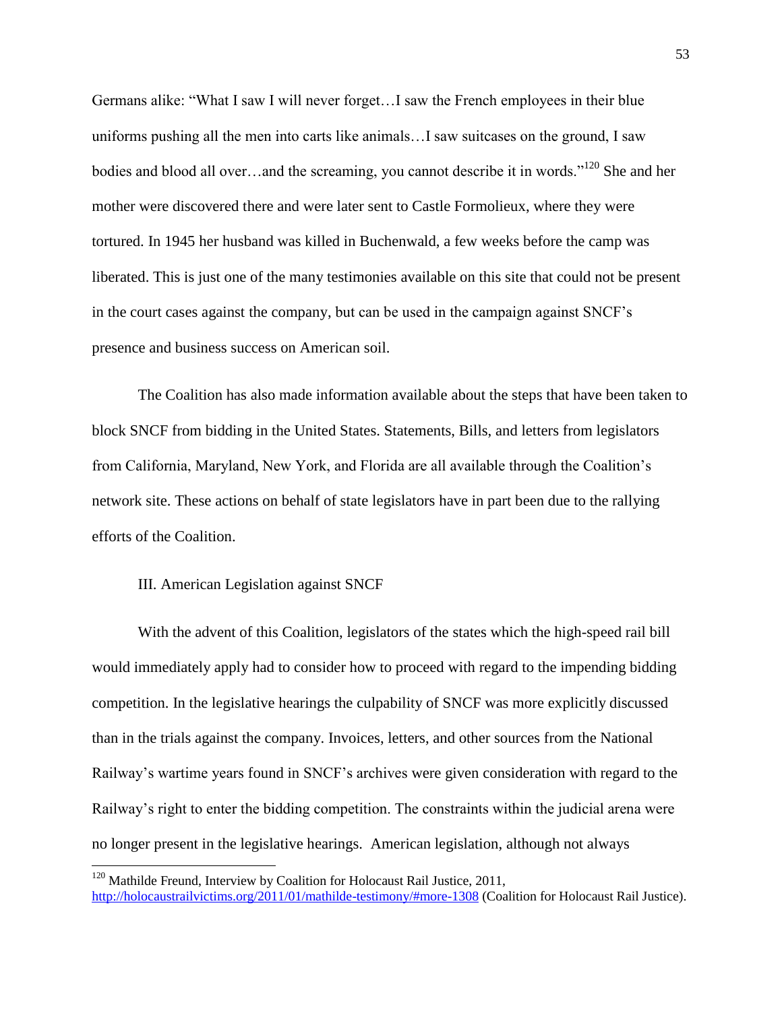Germans alike: "What I saw I will never forget…I saw the French employees in their blue uniforms pushing all the men into carts like animals…I saw suitcases on the ground, I saw bodies and blood all over...and the screaming, you cannot describe it in words."<sup>120</sup> She and her mother were discovered there and were later sent to Castle Formolieux, where they were tortured. In 1945 her husband was killed in Buchenwald, a few weeks before the camp was liberated. This is just one of the many testimonies available on this site that could not be present in the court cases against the company, but can be used in the campaign against SNCF's presence and business success on American soil.

The Coalition has also made information available about the steps that have been taken to block SNCF from bidding in the United States. Statements, Bills, and letters from legislators from California, Maryland, New York, and Florida are all available through the Coalition's network site. These actions on behalf of state legislators have in part been due to the rallying efforts of the Coalition.

## III. American Legislation against SNCF

 $\overline{\phantom{a}}$ 

With the advent of this Coalition, legislators of the states which the high-speed rail bill would immediately apply had to consider how to proceed with regard to the impending bidding competition. In the legislative hearings the culpability of SNCF was more explicitly discussed than in the trials against the company. Invoices, letters, and other sources from the National Railway's wartime years found in SNCF's archives were given consideration with regard to the Railway's right to enter the bidding competition. The constraints within the judicial arena were no longer present in the legislative hearings. American legislation, although not always

<sup>&</sup>lt;sup>120</sup> Mathilde Freund, Interview by Coalition for Holocaust Rail Justice, 2011, <http://holocaustrailvictims.org/2011/01/mathilde-testimony/#more-1308> (Coalition for Holocaust Rail Justice).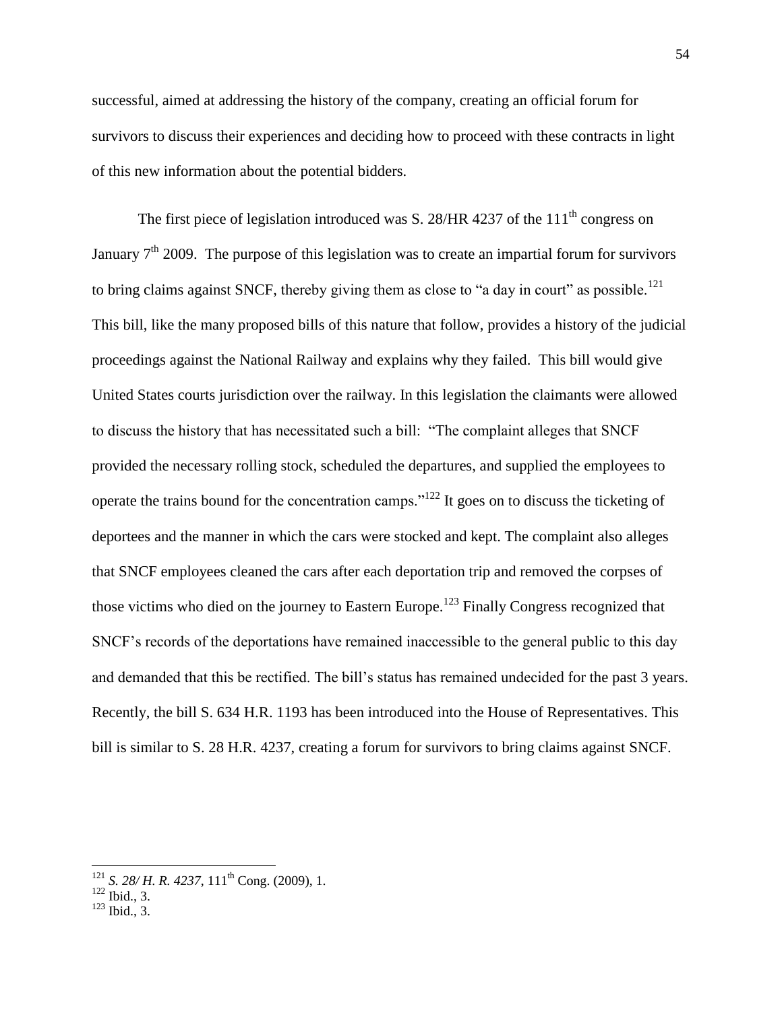successful, aimed at addressing the history of the company, creating an official forum for survivors to discuss their experiences and deciding how to proceed with these contracts in light of this new information about the potential bidders.

The first piece of legislation introduced was S. 28/HR 4237 of the  $111<sup>th</sup>$  congress on January  $7<sup>th</sup>$  2009. The purpose of this legislation was to create an impartial forum for survivors to bring claims against SNCF, thereby giving them as close to "a day in court" as possible.<sup>121</sup> This bill, like the many proposed bills of this nature that follow, provides a history of the judicial proceedings against the National Railway and explains why they failed. This bill would give United States courts jurisdiction over the railway. In this legislation the claimants were allowed to discuss the history that has necessitated such a bill: "The complaint alleges that SNCF provided the necessary rolling stock, scheduled the departures, and supplied the employees to operate the trains bound for the concentration camps."<sup>122</sup> It goes on to discuss the ticketing of deportees and the manner in which the cars were stocked and kept. The complaint also alleges that SNCF employees cleaned the cars after each deportation trip and removed the corpses of those victims who died on the journey to Eastern Europe.<sup>123</sup> Finally Congress recognized that SNCF's records of the deportations have remained inaccessible to the general public to this day and demanded that this be rectified. The bill's status has remained undecided for the past 3 years. Recently, the bill S. 634 H.R. 1193 has been introduced into the House of Representatives. This bill is similar to S. 28 H.R. 4237, creating a forum for survivors to bring claims against SNCF.

 $121$  *S. 28/ H. R. 4237,* 111<sup>th</sup> Cong. (2009), 1.

 $122 \text{}_{\text{Bid., 3}}^{122}$ .

 $123$  Ibid., 3.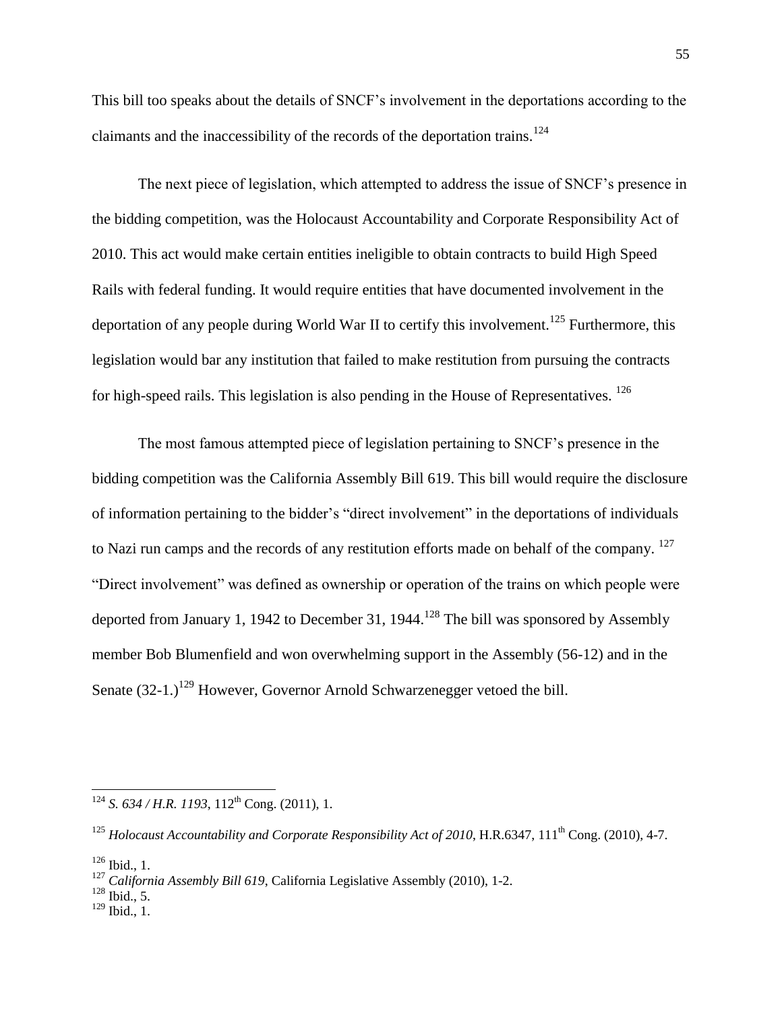This bill too speaks about the details of SNCF's involvement in the deportations according to the claimants and the inaccessibility of the records of the deportation trains.<sup>124</sup>

The next piece of legislation, which attempted to address the issue of SNCF's presence in the bidding competition, was the Holocaust Accountability and Corporate Responsibility Act of 2010. This act would make certain entities ineligible to obtain contracts to build High Speed Rails with federal funding. It would require entities that have documented involvement in the deportation of any people during World War II to certify this involvement.<sup>125</sup> Furthermore, this legislation would bar any institution that failed to make restitution from pursuing the contracts for high-speed rails. This legislation is also pending in the House of Representatives.  $126$ 

The most famous attempted piece of legislation pertaining to SNCF's presence in the bidding competition was the California Assembly Bill 619. This bill would require the disclosure of information pertaining to the bidder's "direct involvement" in the deportations of individuals to Nazi run camps and the records of any restitution efforts made on behalf of the company.  $127$ "Direct involvement" was defined as ownership or operation of the trains on which people were deported from January 1, 1942 to December 31, 1944.<sup>128</sup> The bill was sponsored by Assembly member Bob Blumenfield and won overwhelming support in the Assembly (56-12) and in the Senate  $(32-1.1)$ <sup>129</sup> However, Governor Arnold Schwarzenegger vetoed the bill.

l

- $128$  Ibid., 5.
- $129$  Ibid., 1.

 $124$  *S. 634 / H.R. 1193*, 112<sup>th</sup> Cong. (2011), 1.

<sup>&</sup>lt;sup>125</sup> *Holocaust Accountability and Corporate Responsibility Act of 2010*, H.R.6347, 111<sup>th</sup> Cong. (2010), 4-7.

 $126$  Ibid., 1.

<sup>127</sup> *California Assembly Bill 619*, California Legislative Assembly (2010), 1-2.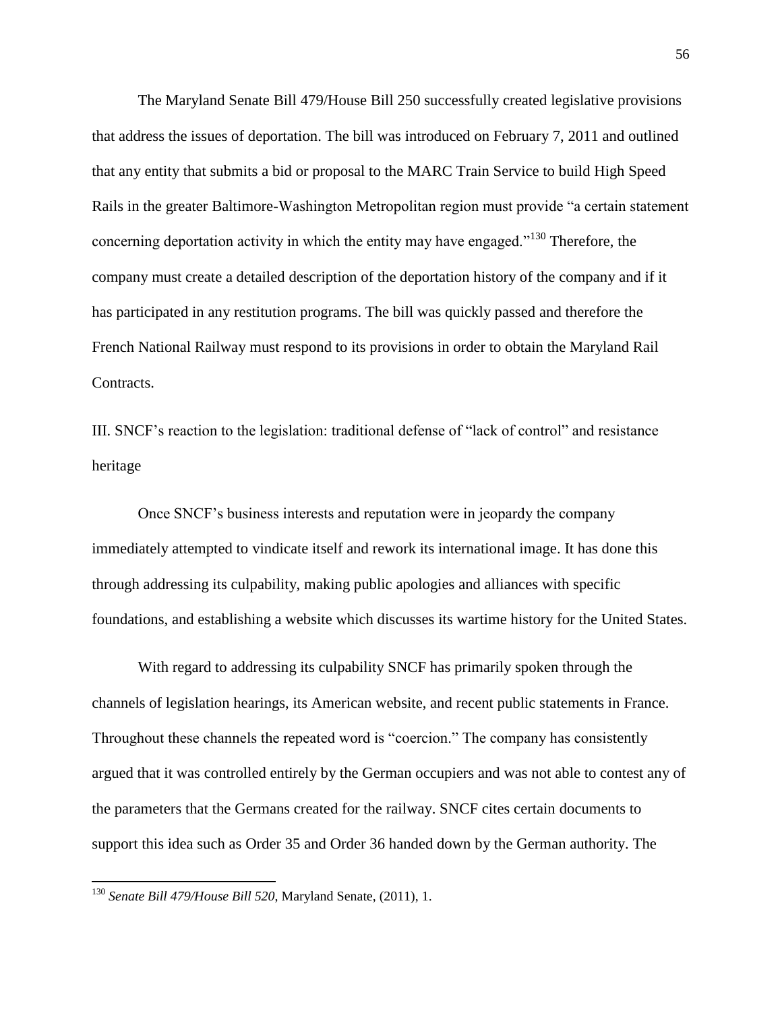The Maryland Senate Bill 479/House Bill 250 successfully created legislative provisions that address the issues of deportation. The bill was introduced on February 7, 2011 and outlined that any entity that submits a bid or proposal to the MARC Train Service to build High Speed Rails in the greater Baltimore-Washington Metropolitan region must provide "a certain statement concerning deportation activity in which the entity may have engaged."<sup>130</sup> Therefore, the company must create a detailed description of the deportation history of the company and if it has participated in any restitution programs. The bill was quickly passed and therefore the French National Railway must respond to its provisions in order to obtain the Maryland Rail Contracts.

III. SNCF's reaction to the legislation: traditional defense of "lack of control" and resistance heritage

Once SNCF's business interests and reputation were in jeopardy the company immediately attempted to vindicate itself and rework its international image. It has done this through addressing its culpability, making public apologies and alliances with specific foundations, and establishing a website which discusses its wartime history for the United States.

With regard to addressing its culpability SNCF has primarily spoken through the channels of legislation hearings, its American website, and recent public statements in France. Throughout these channels the repeated word is "coercion." The company has consistently argued that it was controlled entirely by the German occupiers and was not able to contest any of the parameters that the Germans created for the railway. SNCF cites certain documents to support this idea such as Order 35 and Order 36 handed down by the German authority. The

<sup>130</sup> *Senate Bill 479/House Bill 520*, Maryland Senate, (2011), 1.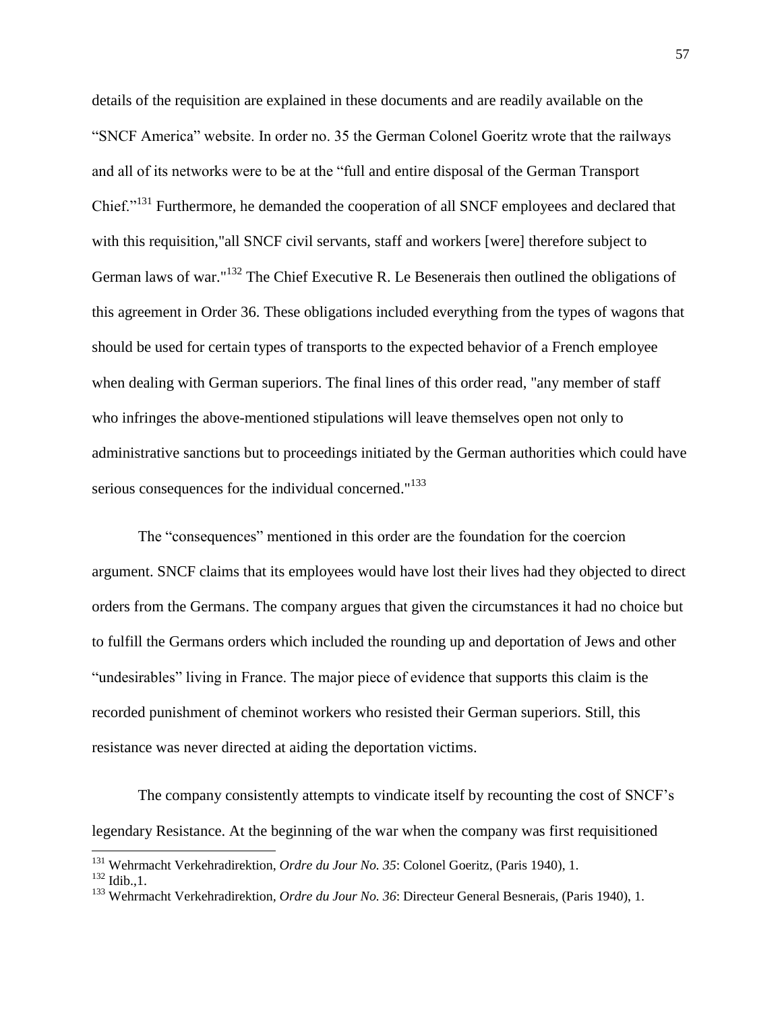details of the requisition are explained in these documents and are readily available on the "SNCF America" website. In order no. 35 the German Colonel Goeritz wrote that the railways and all of its networks were to be at the "full and entire disposal of the German Transport Chief."<sup>131</sup> Furthermore, he demanded the cooperation of all SNCF employees and declared that with this requisition,"all SNCF civil servants, staff and workers [were] therefore subject to German laws of war."<sup>132</sup> The Chief Executive R. Le Besenerais then outlined the obligations of this agreement in Order 36. These obligations included everything from the types of wagons that should be used for certain types of transports to the expected behavior of a French employee when dealing with German superiors. The final lines of this order read, "any member of staff who infringes the above-mentioned stipulations will leave themselves open not only to administrative sanctions but to proceedings initiated by the German authorities which could have serious consequences for the individual concerned."<sup>133</sup>

The "consequences" mentioned in this order are the foundation for the coercion argument. SNCF claims that its employees would have lost their lives had they objected to direct orders from the Germans. The company argues that given the circumstances it had no choice but to fulfill the Germans orders which included the rounding up and deportation of Jews and other "undesirables" living in France. The major piece of evidence that supports this claim is the recorded punishment of cheminot workers who resisted their German superiors. Still, this resistance was never directed at aiding the deportation victims.

The company consistently attempts to vindicate itself by recounting the cost of SNCF's legendary Resistance. At the beginning of the war when the company was first requisitioned

l

<sup>131</sup> Wehrmacht Verkehradirektion, *Ordre du Jour No. 35*: Colonel Goeritz, (Paris 1940), 1.

 $^{132}$  Idib., 1.

<sup>133</sup> Wehrmacht Verkehradirektion*, Ordre du Jour No. 36*: Directeur General Besnerais, (Paris 1940), 1.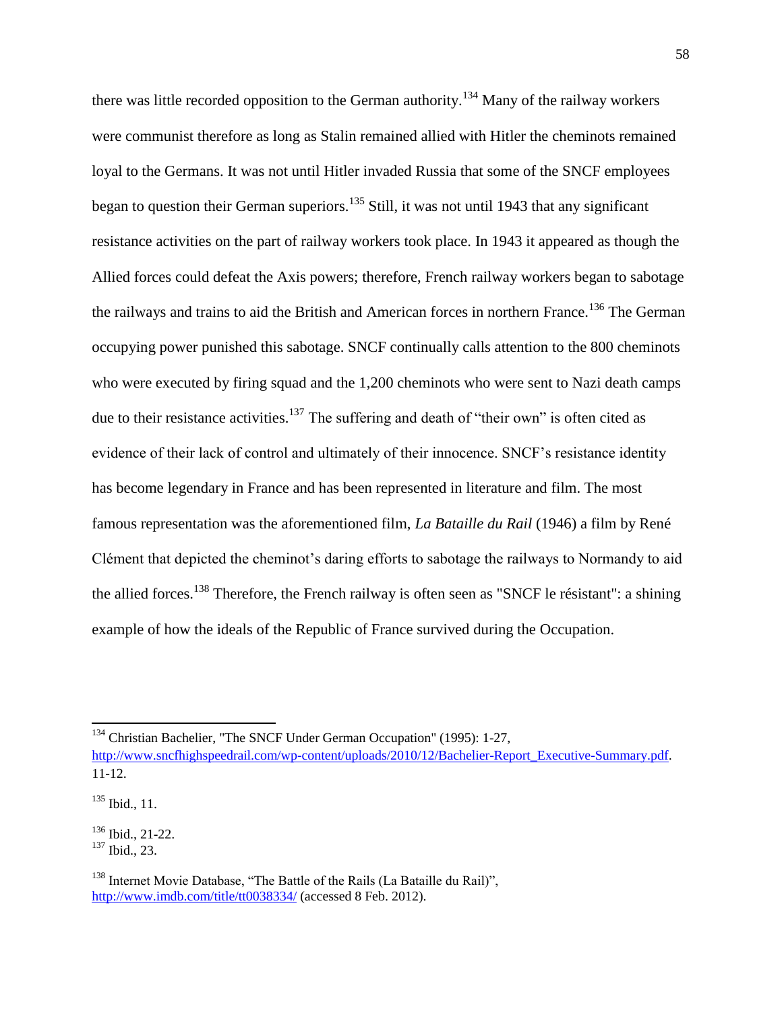there was little recorded opposition to the German authority.<sup>134</sup> Many of the railway workers were communist therefore as long as Stalin remained allied with Hitler the cheminots remained loyal to the Germans. It was not until Hitler invaded Russia that some of the SNCF employees began to question their German superiors.<sup>135</sup> Still, it was not until 1943 that any significant resistance activities on the part of railway workers took place. In 1943 it appeared as though the Allied forces could defeat the Axis powers; therefore, French railway workers began to sabotage the railways and trains to aid the British and American forces in northern France.<sup>136</sup> The German occupying power punished this sabotage. SNCF continually calls attention to the 800 cheminots who were executed by firing squad and the 1,200 cheminots who were sent to Nazi death camps due to their resistance activities.<sup>137</sup> The suffering and death of "their own" is often cited as evidence of their lack of control and ultimately of their innocence. SNCF's resistance identity has become legendary in France and has been represented in literature and film. The most famous representation was the aforementioned film, *La Bataille du Rail* (1946) a film by René Clément that depicted the cheminot's daring efforts to sabotage the railways to Normandy to aid the allied forces.<sup>138</sup> Therefore, the French railway is often seen as "SNCF le résistant": a shining example of how the ideals of the Republic of France survived during the Occupation.

<sup>&</sup>lt;sup>134</sup> Christian Bachelier, "The SNCF Under German Occupation" (1995): 1-27,

[http://www.sncfhighspeedrail.com/wp-content/uploads/2010/12/Bachelier-Report\\_Executive-Summary.pdf.](http://www.sncfhighspeedrail.com/wp-content/uploads/2010/12/Bachelier-Report_Executive-Summary.pdf) 11-12.

 $^{135}$  Ibid., 11.

 $136$  Ibid., 21-22.

<sup>137</sup> Ibid., 23.

<sup>&</sup>lt;sup>138</sup> Internet Movie Database, "The Battle of the Rails (La Bataille du Rail)", <http://www.imdb.com/title/tt0038334/> (accessed 8 Feb. 2012).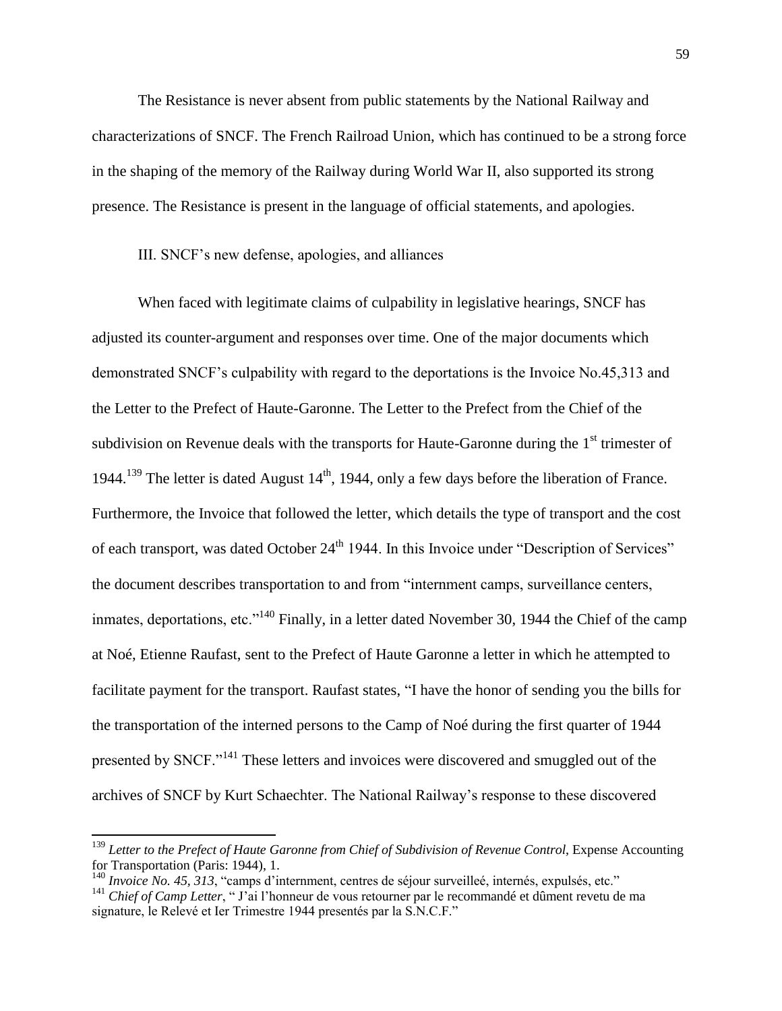The Resistance is never absent from public statements by the National Railway and characterizations of SNCF. The French Railroad Union, which has continued to be a strong force in the shaping of the memory of the Railway during World War II, also supported its strong presence. The Resistance is present in the language of official statements, and apologies.

III. SNCF's new defense, apologies, and alliances

When faced with legitimate claims of culpability in legislative hearings, SNCF has adjusted its counter-argument and responses over time. One of the major documents which demonstrated SNCF's culpability with regard to the deportations is the Invoice No.45,313 and the Letter to the Prefect of Haute-Garonne. The Letter to the Prefect from the Chief of the subdivision on Revenue deals with the transports for Haute-Garonne during the  $1<sup>st</sup>$  trimester of 1944.<sup>139</sup> The letter is dated August  $14<sup>th</sup>$ , 1944, only a few days before the liberation of France. Furthermore, the Invoice that followed the letter, which details the type of transport and the cost of each transport, was dated October 24<sup>th</sup> 1944. In this Invoice under "Description of Services" the document describes transportation to and from "internment camps, surveillance centers, inmates, deportations, etc. $^{140}$  Finally, in a letter dated November 30, 1944 the Chief of the camp at Noé, Etienne Raufast, sent to the Prefect of Haute Garonne a letter in which he attempted to facilitate payment for the transport. Raufast states, "I have the honor of sending you the bills for the transportation of the interned persons to the Camp of Noé during the first quarter of 1944 presented by SNCF."<sup>141</sup> These letters and invoices were discovered and smuggled out of the archives of SNCF by Kurt Schaechter. The National Railway's response to these discovered

l

<sup>139</sup> *Letter to the Prefect of Haute Garonne from Chief of Subdivision of Revenue Control*, Expense Accounting for Transportation (Paris: 1944), 1.

<sup>140</sup> *Invoice No. 45, 313*, "camps d'internment, centres de séjour surveilleé, internés, expulsés, etc."

<sup>&</sup>lt;sup>141</sup> *Chief of Camp Letter*, " J'ai l'honneur de vous retourner par le recommandé et dûment revetu de ma signature, le Relevé et Ier Trimestre 1944 presentés par la S.N.C.F."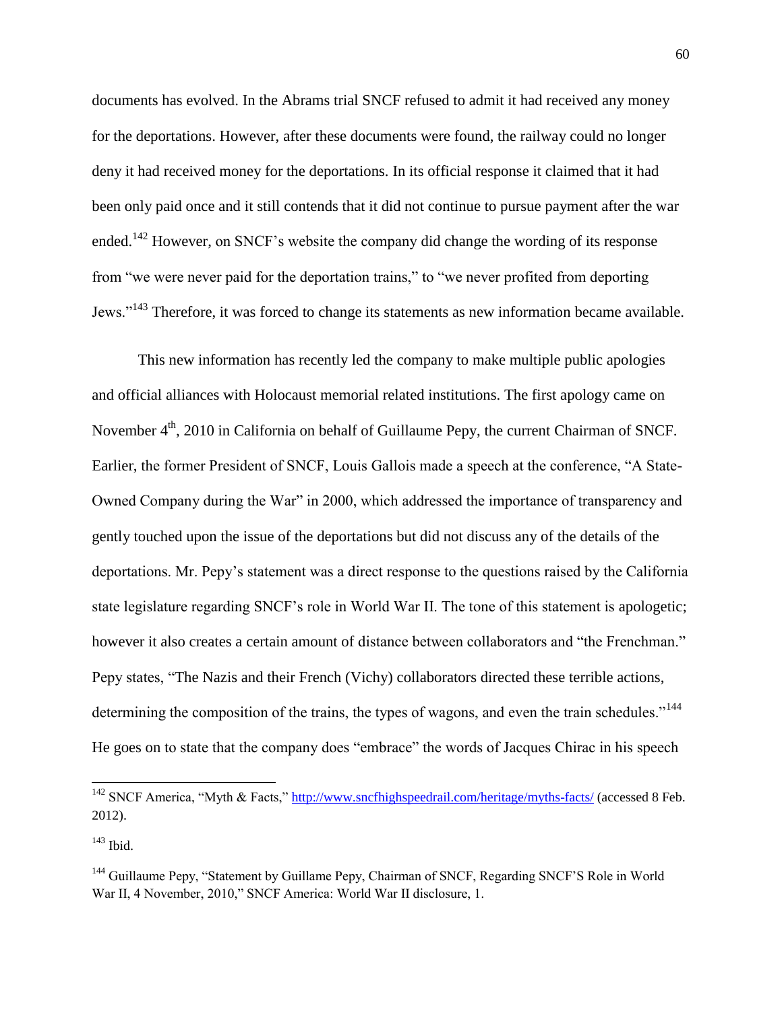documents has evolved. In the Abrams trial SNCF refused to admit it had received any money for the deportations. However, after these documents were found, the railway could no longer deny it had received money for the deportations. In its official response it claimed that it had been only paid once and it still contends that it did not continue to pursue payment after the war ended.<sup>142</sup> However, on SNCF's website the company did change the wording of its response from "we were never paid for the deportation trains," to "we never profited from deporting Jews."<sup>143</sup> Therefore, it was forced to change its statements as new information became available.

This new information has recently led the company to make multiple public apologies and official alliances with Holocaust memorial related institutions. The first apology came on November 4<sup>th</sup>, 2010 in California on behalf of Guillaume Pepy, the current Chairman of SNCF. Earlier, the former President of SNCF, Louis Gallois made a speech at the conference, "A State-Owned Company during the War" in 2000, which addressed the importance of transparency and gently touched upon the issue of the deportations but did not discuss any of the details of the deportations. Mr. Pepy's statement was a direct response to the questions raised by the California state legislature regarding SNCF's role in World War II. The tone of this statement is apologetic; however it also creates a certain amount of distance between collaborators and "the Frenchman." Pepy states, "The Nazis and their French (Vichy) collaborators directed these terrible actions, determining the composition of the trains, the types of wagons, and even the train schedules."<sup>144</sup> He goes on to state that the company does "embrace" the words of Jacques Chirac in his speech

<sup>&</sup>lt;sup>142</sup> SNCF America, "Myth & Facts,"<http://www.sncfhighspeedrail.com/heritage/myths-facts/> (accessed 8 Feb. 2012).

 $143$  Ibid.

<sup>&</sup>lt;sup>144</sup> Guillaume Pepy, "Statement by Guillame Pepy, Chairman of SNCF, Regarding SNCF'S Role in World War II, 4 November, 2010," SNCF America: World War II disclosure, 1.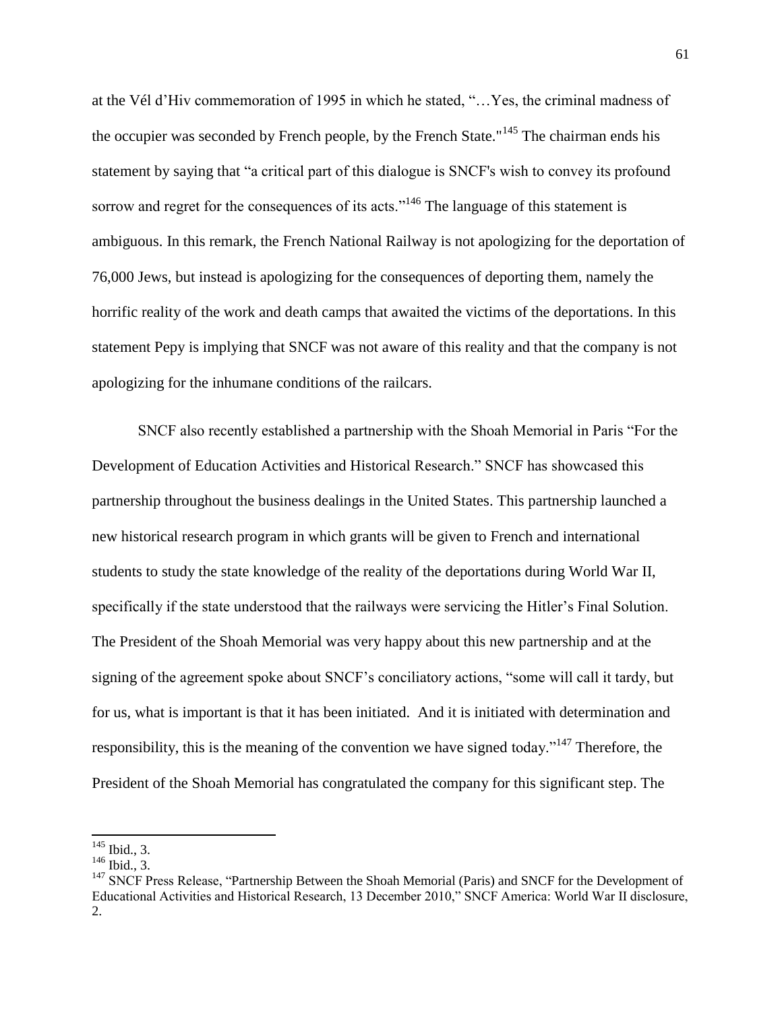at the Vél d'Hiv commemoration of 1995 in which he stated, "…Yes, the criminal madness of the occupier was seconded by French people, by the French State."<sup>145</sup> The chairman ends his statement by saying that "a critical part of this dialogue is SNCF's wish to convey its profound sorrow and regret for the consequences of its acts."<sup>146</sup> The language of this statement is ambiguous. In this remark, the French National Railway is not apologizing for the deportation of 76,000 Jews, but instead is apologizing for the consequences of deporting them, namely the horrific reality of the work and death camps that awaited the victims of the deportations. In this statement Pepy is implying that SNCF was not aware of this reality and that the company is not apologizing for the inhumane conditions of the railcars.

SNCF also recently established a partnership with the Shoah Memorial in Paris "For the Development of Education Activities and Historical Research." SNCF has showcased this partnership throughout the business dealings in the United States. This partnership launched a new historical research program in which grants will be given to French and international students to study the state knowledge of the reality of the deportations during World War II, specifically if the state understood that the railways were servicing the Hitler's Final Solution. The President of the Shoah Memorial was very happy about this new partnership and at the signing of the agreement spoke about SNCF's conciliatory actions, "some will call it tardy, but for us, what is important is that it has been initiated. And it is initiated with determination and responsibility, this is the meaning of the convention we have signed today.<sup> $147$ </sup> Therefore, the President of the Shoah Memorial has congratulated the company for this significant step. The

l

 $145$  Ibid., 3.

 $146$  Ibid., 3.

<sup>&</sup>lt;sup>147</sup> SNCF Press Release, "Partnership Between the Shoah Memorial (Paris) and SNCF for the Development of Educational Activities and Historical Research, 13 December 2010," SNCF America: World War II disclosure, 2.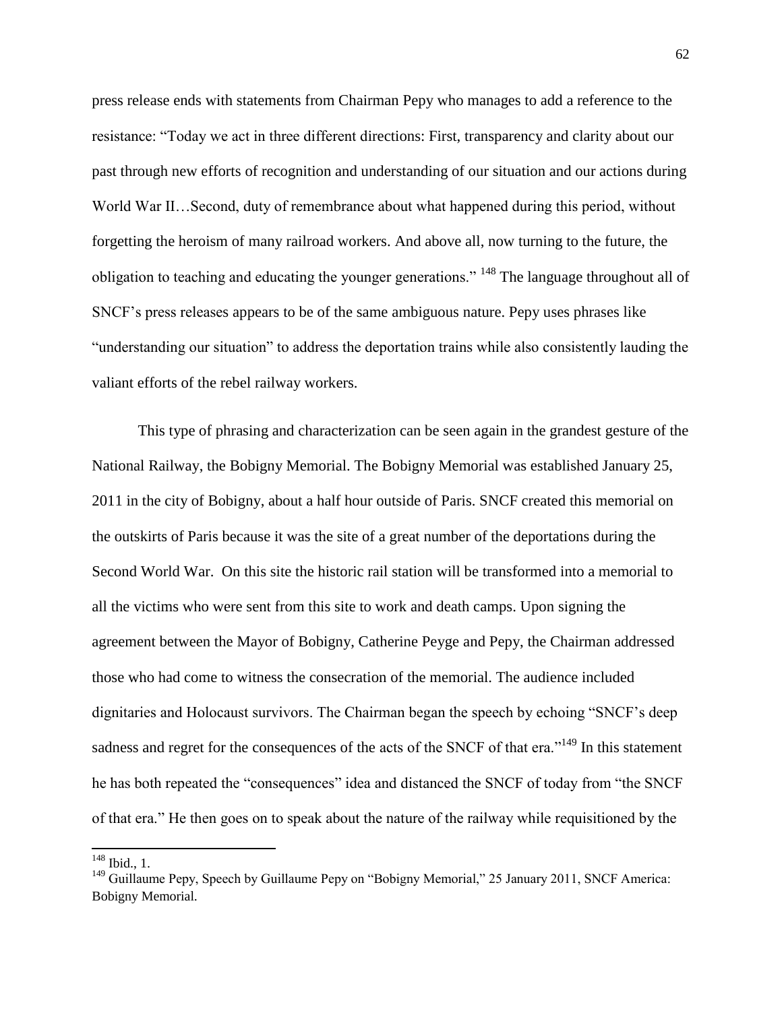press release ends with statements from Chairman Pepy who manages to add a reference to the resistance: "Today we act in three different directions: First, transparency and clarity about our past through new efforts of recognition and understanding of our situation and our actions during World War II…Second, duty of remembrance about what happened during this period, without forgetting the heroism of many railroad workers. And above all, now turning to the future, the obligation to teaching and educating the younger generations." <sup>148</sup> The language throughout all of SNCF's press releases appears to be of the same ambiguous nature. Pepy uses phrases like "understanding our situation" to address the deportation trains while also consistently lauding the valiant efforts of the rebel railway workers.

This type of phrasing and characterization can be seen again in the grandest gesture of the National Railway, the Bobigny Memorial. The Bobigny Memorial was established January 25, 2011 in the city of Bobigny, about a half hour outside of Paris. SNCF created this memorial on the outskirts of Paris because it was the site of a great number of the deportations during the Second World War. On this site the historic rail station will be transformed into a memorial to all the victims who were sent from this site to work and death camps. Upon signing the agreement between the Mayor of Bobigny, Catherine Peyge and Pepy, the Chairman addressed those who had come to witness the consecration of the memorial. The audience included dignitaries and Holocaust survivors. The Chairman began the speech by echoing "SNCF's deep sadness and regret for the consequences of the acts of the SNCF of that era."<sup>149</sup> In this statement he has both repeated the "consequences" idea and distanced the SNCF of today from "the SNCF of that era." He then goes on to speak about the nature of the railway while requisitioned by the

 $\overline{\phantom{a}}$  $148$  Ibid., 1.

<sup>&</sup>lt;sup>149</sup> Guillaume Pepy, Speech by Guillaume Pepy on "Bobigny Memorial," 25 January 2011, SNCF America: Bobigny Memorial.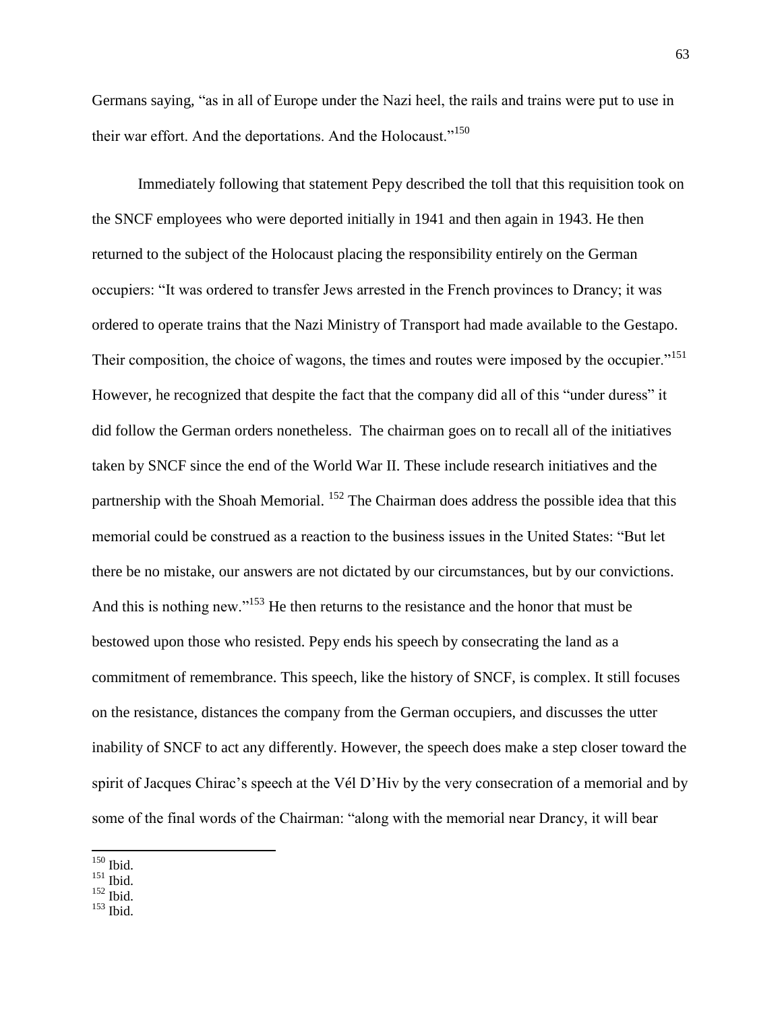Germans saying, "as in all of Europe under the Nazi heel, the rails and trains were put to use in their war effort. And the deportations. And the Holocaust."<sup>150</sup>

Immediately following that statement Pepy described the toll that this requisition took on the SNCF employees who were deported initially in 1941 and then again in 1943. He then returned to the subject of the Holocaust placing the responsibility entirely on the German occupiers: "It was ordered to transfer Jews arrested in the French provinces to Drancy; it was ordered to operate trains that the Nazi Ministry of Transport had made available to the Gestapo. Their composition, the choice of wagons, the times and routes were imposed by the occupier."<sup>151</sup> However, he recognized that despite the fact that the company did all of this "under duress" it did follow the German orders nonetheless. The chairman goes on to recall all of the initiatives taken by SNCF since the end of the World War II. These include research initiatives and the partnership with the Shoah Memorial. <sup>152</sup> The Chairman does address the possible idea that this memorial could be construed as a reaction to the business issues in the United States: "But let there be no mistake, our answers are not dictated by our circumstances, but by our convictions. And this is nothing new."<sup>153</sup> He then returns to the resistance and the honor that must be bestowed upon those who resisted. Pepy ends his speech by consecrating the land as a commitment of remembrance. This speech, like the history of SNCF, is complex. It still focuses on the resistance, distances the company from the German occupiers, and discusses the utter inability of SNCF to act any differently. However, the speech does make a step closer toward the spirit of Jacques Chirac's speech at the Vél D'Hiv by the very consecration of a memorial and by some of the final words of the Chairman: "along with the memorial near Drancy, it will bear

 $\overline{\phantom{a}}$  $150$  Ibid.

 $151$  Ibid.

 $^{152}$  Ibid.

<sup>153</sup> Ibid.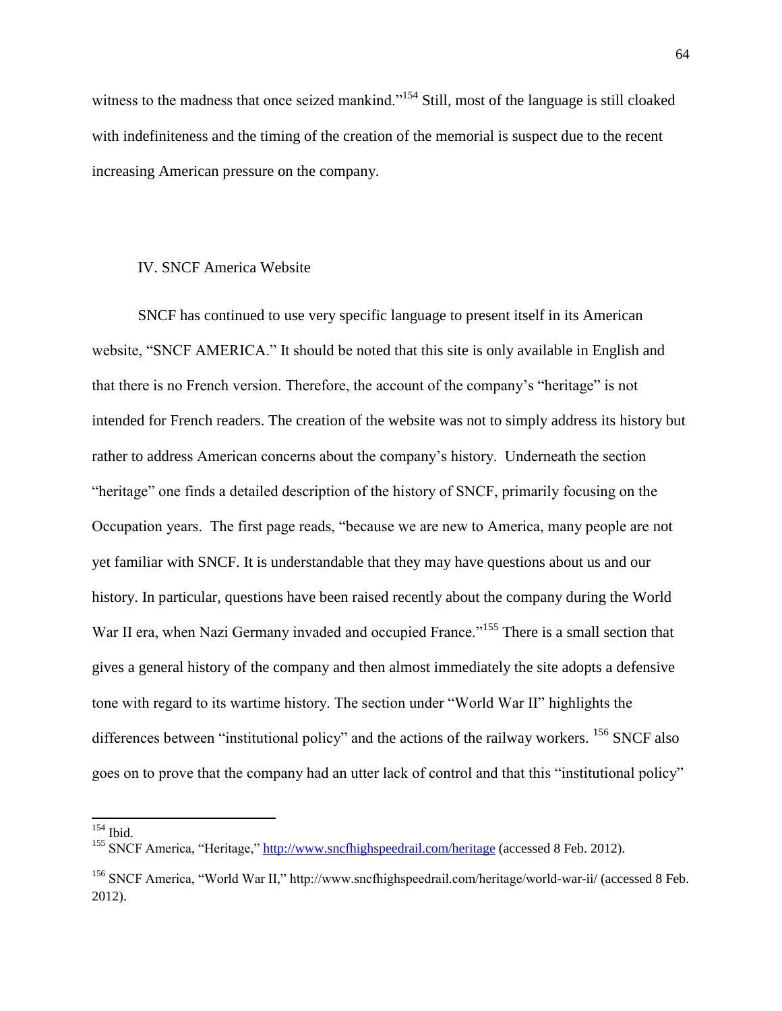witness to the madness that once seized mankind."<sup>154</sup> Still, most of the language is still cloaked with indefiniteness and the timing of the creation of the memorial is suspect due to the recent increasing American pressure on the company.

## IV. SNCF America Website

SNCF has continued to use very specific language to present itself in its American website, "SNCF AMERICA." It should be noted that this site is only available in English and that there is no French version. Therefore, the account of the company's "heritage" is not intended for French readers. The creation of the website was not to simply address its history but rather to address American concerns about the company's history. Underneath the section "heritage" one finds a detailed description of the history of SNCF, primarily focusing on the Occupation years. The first page reads, "because we are new to America, many people are not yet familiar with SNCF. It is understandable that they may have questions about us and our history. In particular, questions have been raised recently about the company during the World War II era, when Nazi Germany invaded and occupied France."<sup>155</sup> There is a small section that gives a general history of the company and then almost immediately the site adopts a defensive tone with regard to its wartime history. The section under "World War II" highlights the differences between "institutional policy" and the actions of the railway workers. <sup>156</sup> SNCF also goes on to prove that the company had an utter lack of control and that this "institutional policy"

 $154$  Ibid.

<sup>&</sup>lt;sup>155</sup> SNCF America, "Heritage,"<http://www.sncfhighspeedrail.com/heritage> (accessed 8 Feb. 2012).

<sup>&</sup>lt;sup>156</sup> SNCF America, "World War II," http://www.sncfhighspeedrail.com/heritage/world-war-ii/ (accessed 8 Feb. 2012).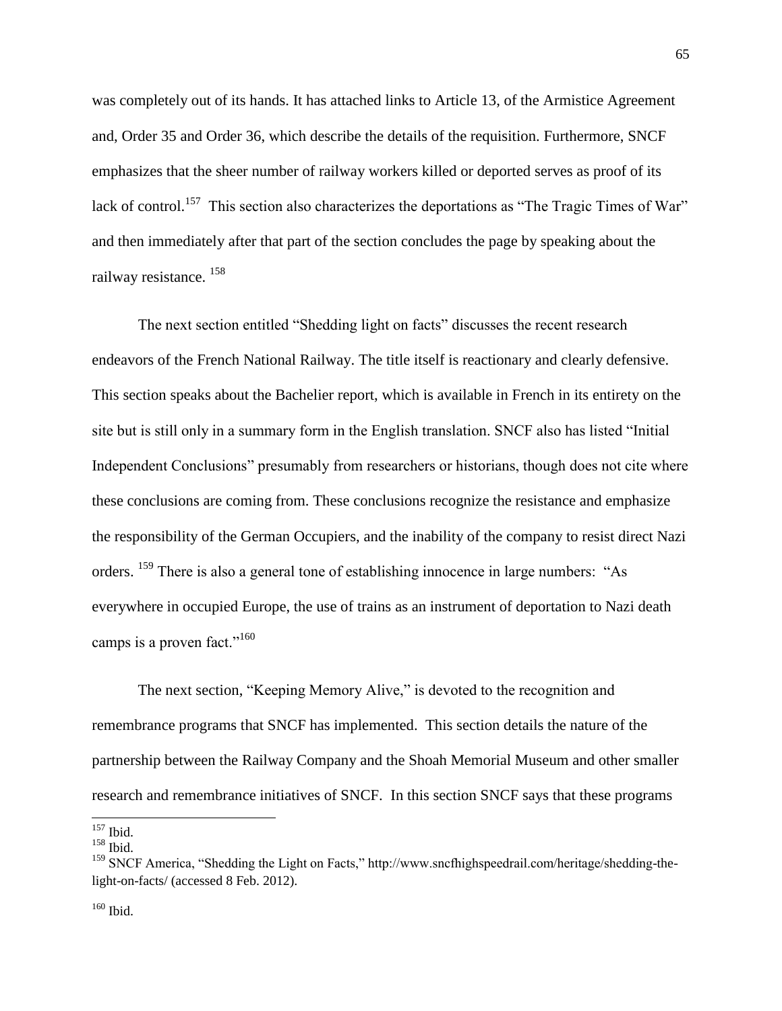was completely out of its hands. It has attached links to Article 13, of the Armistice Agreement and, Order 35 and Order 36, which describe the details of the requisition. Furthermore, SNCF emphasizes that the sheer number of railway workers killed or deported serves as proof of its lack of control.<sup>157</sup> This section also characterizes the deportations as "The Tragic Times of War" and then immediately after that part of the section concludes the page by speaking about the railway resistance. <sup>158</sup>

The next section entitled "Shedding light on facts" discusses the recent research endeavors of the French National Railway. The title itself is reactionary and clearly defensive. This section speaks about the Bachelier report, which is available in French in its entirety on the site but is still only in a summary form in the English translation. SNCF also has listed "Initial Independent Conclusions" presumably from researchers or historians, though does not cite where these conclusions are coming from. These conclusions recognize the resistance and emphasize the responsibility of the German Occupiers, and the inability of the company to resist direct Nazi orders. <sup>159</sup> There is also a general tone of establishing innocence in large numbers: "As everywhere in occupied Europe, the use of trains as an instrument of deportation to Nazi death camps is a proven fact."<sup>160</sup>

The next section, "Keeping Memory Alive," is devoted to the recognition and remembrance programs that SNCF has implemented. This section details the nature of the partnership between the Railway Company and the Shoah Memorial Museum and other smaller research and remembrance initiatives of SNCF. In this section SNCF says that these programs

 $\overline{a}$ 

<sup>160</sup> Ibid.

<sup>157</sup> Ibid.

 $158$  Ibid.

<sup>&</sup>lt;sup>159</sup> SNCF America, "Shedding the Light on Facts," http://www.sncfhighspeedrail.com/heritage/shedding-thelight-on-facts/ (accessed 8 Feb. 2012).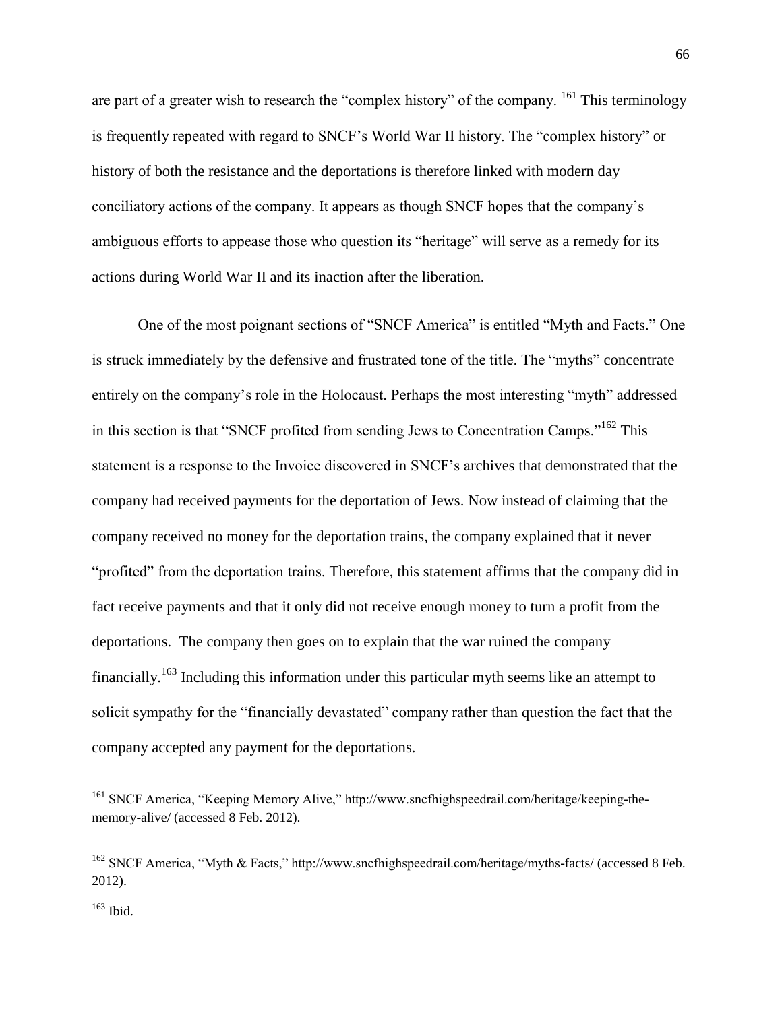are part of a greater wish to research the "complex history" of the company.  $^{161}$  This terminology is frequently repeated with regard to SNCF's World War II history. The "complex history" or history of both the resistance and the deportations is therefore linked with modern day conciliatory actions of the company. It appears as though SNCF hopes that the company's ambiguous efforts to appease those who question its "heritage" will serve as a remedy for its actions during World War II and its inaction after the liberation.

One of the most poignant sections of "SNCF America" is entitled "Myth and Facts." One is struck immediately by the defensive and frustrated tone of the title. The "myths" concentrate entirely on the company's role in the Holocaust. Perhaps the most interesting "myth" addressed in this section is that "SNCF profited from sending Jews to Concentration Camps."<sup>162</sup> This statement is a response to the Invoice discovered in SNCF's archives that demonstrated that the company had received payments for the deportation of Jews. Now instead of claiming that the company received no money for the deportation trains, the company explained that it never "profited" from the deportation trains. Therefore, this statement affirms that the company did in fact receive payments and that it only did not receive enough money to turn a profit from the deportations. The company then goes on to explain that the war ruined the company financially.<sup>163</sup> Including this information under this particular myth seems like an attempt to solicit sympathy for the "financially devastated" company rather than question the fact that the company accepted any payment for the deportations.

l

<sup>&</sup>lt;sup>161</sup> SNCF America, "Keeping Memory Alive," http://www.sncfhighspeedrail.com/heritage/keeping-thememory-alive/ (accessed 8 Feb. 2012).

 $162$  SNCF America, "Myth & Facts," http://www.sncfhighspeedrail.com/heritage/myths-facts/ (accessed 8 Feb. 2012).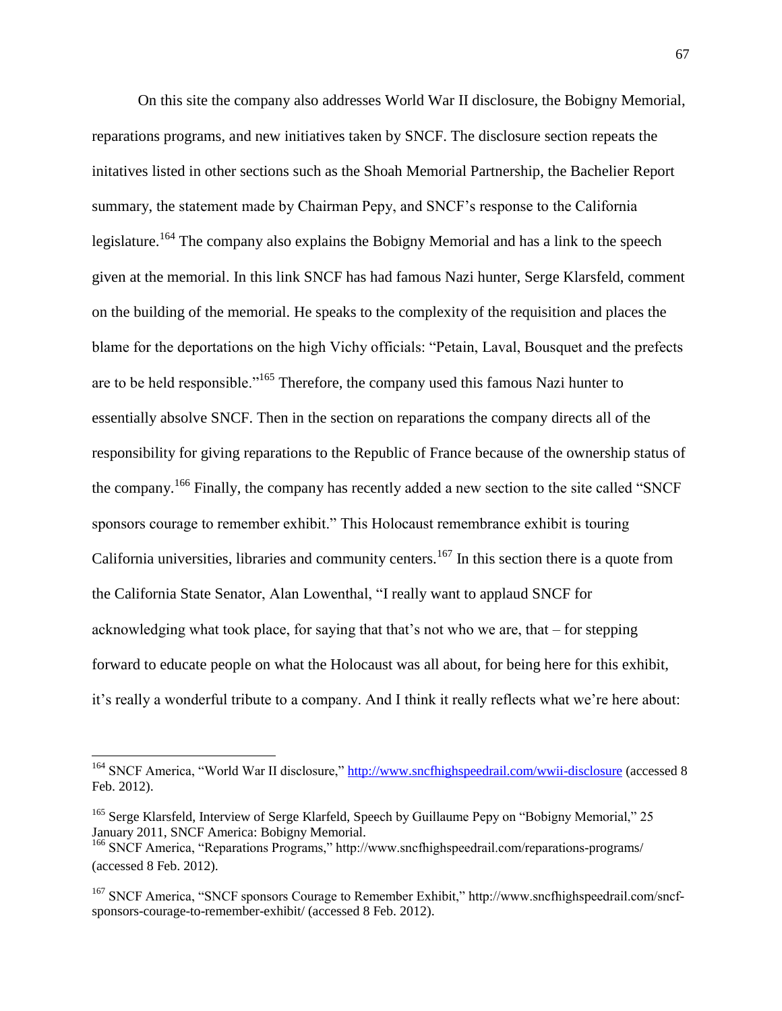On this site the company also addresses World War II disclosure, the Bobigny Memorial, reparations programs, and new initiatives taken by SNCF. The disclosure section repeats the initatives listed in other sections such as the Shoah Memorial Partnership, the Bachelier Report summary, the statement made by Chairman Pepy, and SNCF's response to the California legislature.<sup>164</sup> The company also explains the Bobigny Memorial and has a link to the speech given at the memorial. In this link SNCF has had famous Nazi hunter, Serge Klarsfeld, comment on the building of the memorial. He speaks to the complexity of the requisition and places the blame for the deportations on the high Vichy officials: "Petain, Laval, Bousquet and the prefects are to be held responsible."<sup>165</sup> Therefore, the company used this famous Nazi hunter to essentially absolve SNCF. Then in the section on reparations the company directs all of the responsibility for giving reparations to the Republic of France because of the ownership status of the company.<sup>166</sup> Finally, the company has recently added a new section to the site called "SNCF" sponsors courage to remember exhibit." This Holocaust remembrance exhibit is touring California universities, libraries and community centers.<sup>167</sup> In this section there is a quote from the California State Senator, Alan Lowenthal, "I really want to applaud SNCF for acknowledging what took place, for saying that that's not who we are, that – for stepping forward to educate people on what the Holocaust was all about, for being here for this exhibit, it's really a wonderful tribute to a company. And I think it really reflects what we're here about:

 $\overline{a}$ 

<sup>&</sup>lt;sup>164</sup> SNCF America, "World War II disclosure,"<http://www.sncfhighspeedrail.com/wwii-disclosure> (accessed 8 Feb. 2012).

<sup>&</sup>lt;sup>165</sup> Serge Klarsfeld, Interview of Serge Klarfeld, Speech by Guillaume Pepy on "Bobigny Memorial," 25 January 2011, SNCF America: Bobigny Memorial.

<sup>166</sup> SNCF America, "Reparations Programs," http://www.sncfhighspeedrail.com/reparations-programs/ (accessed 8 Feb. 2012).

<sup>&</sup>lt;sup>167</sup> SNCF America, "SNCF sponsors Courage to Remember Exhibit," http://www.sncfhighspeedrail.com/sncfsponsors-courage-to-remember-exhibit/ (accessed 8 Feb. 2012).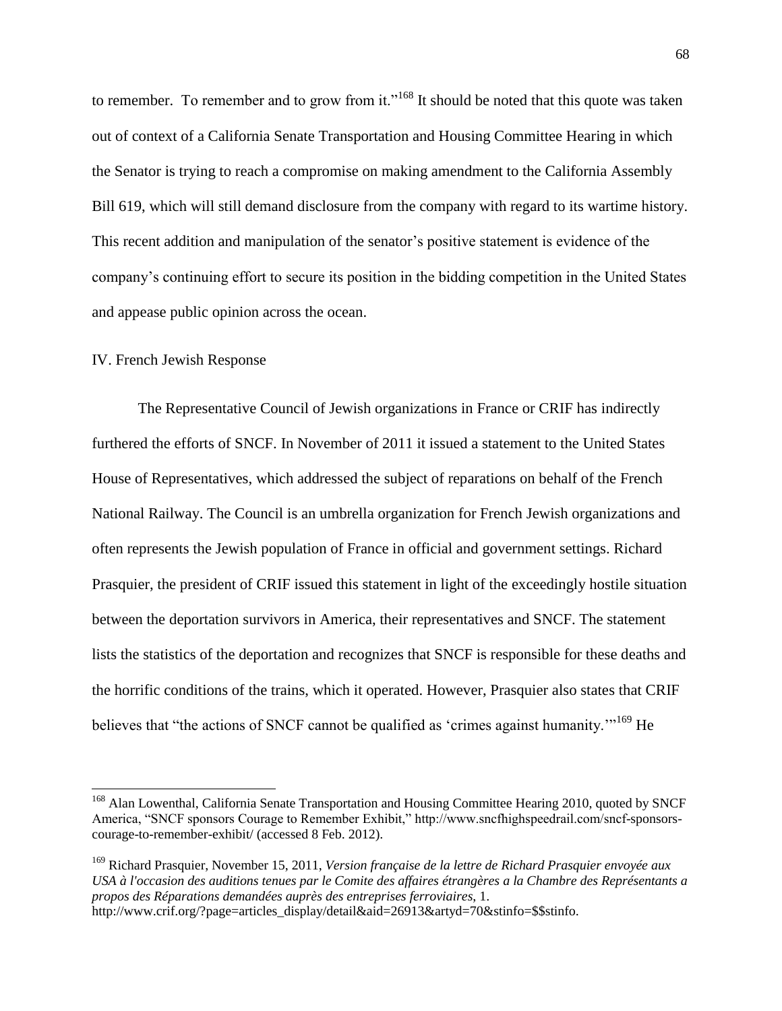to remember. To remember and to grow from it."<sup>168</sup> It should be noted that this quote was taken out of context of a California Senate Transportation and Housing Committee Hearing in which the Senator is trying to reach a compromise on making amendment to the California Assembly Bill 619, which will still demand disclosure from the company with regard to its wartime history. This recent addition and manipulation of the senator's positive statement is evidence of the company's continuing effort to secure its position in the bidding competition in the United States and appease public opinion across the ocean.

## IV. French Jewish Response

 $\overline{\phantom{a}}$ 

The Representative Council of Jewish organizations in France or CRIF has indirectly furthered the efforts of SNCF. In November of 2011 it issued a statement to the United States House of Representatives, which addressed the subject of reparations on behalf of the French National Railway. The Council is an umbrella organization for French Jewish organizations and often represents the Jewish population of France in official and government settings. Richard Prasquier, the president of CRIF issued this statement in light of the exceedingly hostile situation between the deportation survivors in America, their representatives and SNCF. The statement lists the statistics of the deportation and recognizes that SNCF is responsible for these deaths and the horrific conditions of the trains, which it operated. However, Prasquier also states that CRIF believes that "the actions of SNCF cannot be qualified as 'crimes against humanity."<sup>169</sup> He

<sup>&</sup>lt;sup>168</sup> Alan Lowenthal, California Senate Transportation and Housing Committee Hearing 2010, quoted by SNCF America, "SNCF sponsors Courage to Remember Exhibit," http://www.sncfhighspeedrail.com/sncf-sponsorscourage-to-remember-exhibit/ (accessed 8 Feb. 2012).

<sup>169</sup> Richard Prasquier, November 15, 2011, *Version française de la lettre de Richard Prasquier envoyée aux USA à l'occasion des auditions tenues par le Comite des affaires étrangères a la Chambre des Représentants a propos des Réparations demandées auprès des entreprises ferroviaires*, 1. http://www.crif.org/?page=articles\_display/detail&aid=26913&artyd=70&stinfo=\$\$stinfo.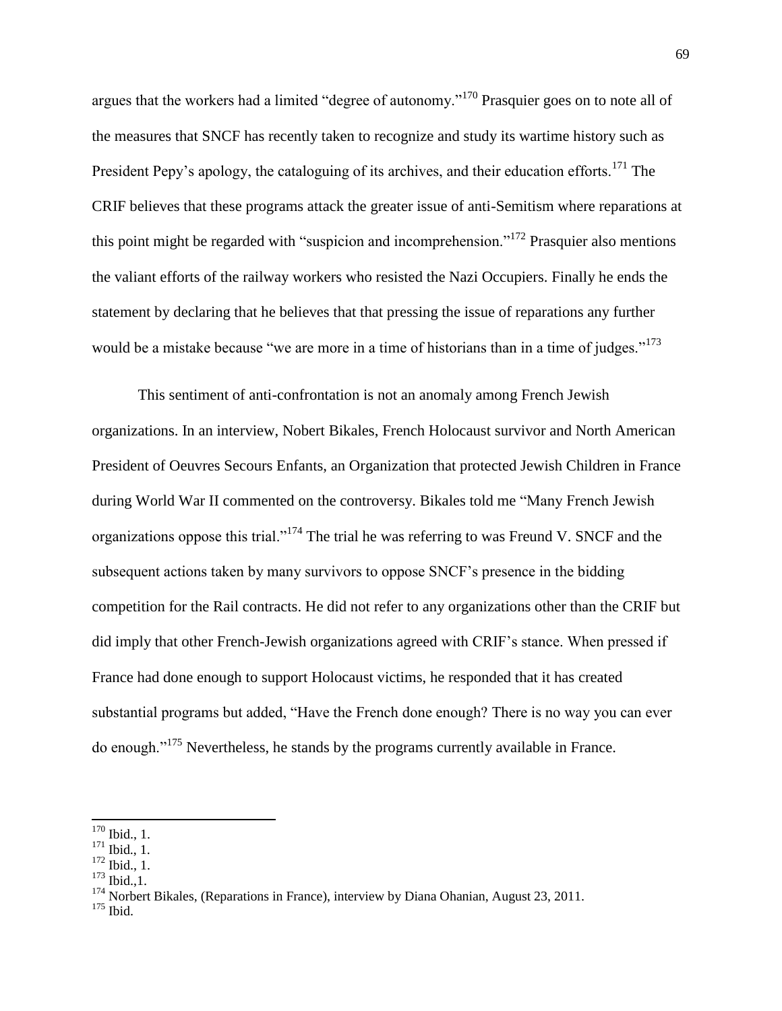argues that the workers had a limited "degree of autonomy."<sup>170</sup> Prasquier goes on to note all of the measures that SNCF has recently taken to recognize and study its wartime history such as President Pepy's apology, the cataloguing of its archives, and their education efforts.<sup>171</sup> The CRIF believes that these programs attack the greater issue of anti-Semitism where reparations at this point might be regarded with "suspicion and incomprehension."<sup>172</sup> Prasquier also mentions the valiant efforts of the railway workers who resisted the Nazi Occupiers. Finally he ends the statement by declaring that he believes that that pressing the issue of reparations any further would be a mistake because "we are more in a time of historians than in a time of judges."<sup>173</sup>

This sentiment of anti-confrontation is not an anomaly among French Jewish organizations. In an interview, Nobert Bikales, French Holocaust survivor and North American President of Oeuvres Secours Enfants, an Organization that protected Jewish Children in France during World War II commented on the controversy. Bikales told me "Many French Jewish organizations oppose this trial."<sup>174</sup> The trial he was referring to was Freund V. SNCF and the subsequent actions taken by many survivors to oppose SNCF's presence in the bidding competition for the Rail contracts. He did not refer to any organizations other than the CRIF but did imply that other French-Jewish organizations agreed with CRIF's stance. When pressed if France had done enough to support Holocaust victims, he responded that it has created substantial programs but added, "Have the French done enough? There is no way you can ever do enough."<sup>175</sup> Nevertheless, he stands by the programs currently available in France.

 $\overline{a}$ 

- $171$  Ibid., 1.
- <sup>172</sup> Ibid., 1.
- <sup>173</sup> Ibid., 1.

<sup>175</sup> Ibid.

 $170$  Ibid., 1.

 $174$  Norbert Bikales, (Reparations in France), interview by Diana Ohanian, August 23, 2011.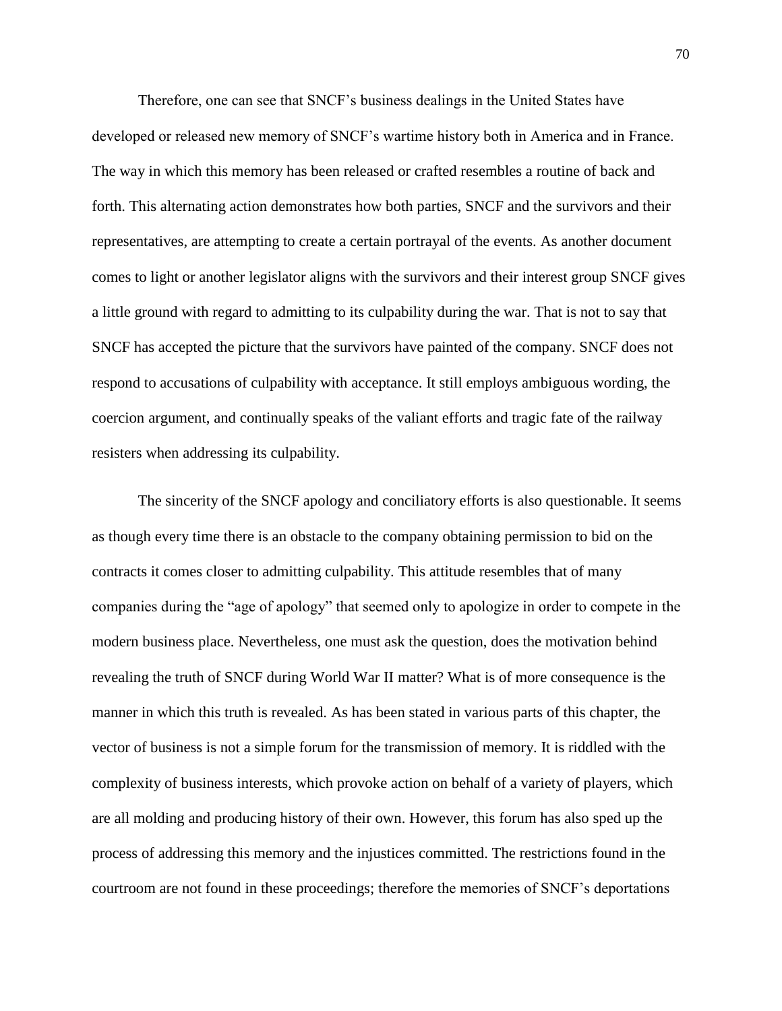Therefore, one can see that SNCF's business dealings in the United States have developed or released new memory of SNCF's wartime history both in America and in France. The way in which this memory has been released or crafted resembles a routine of back and forth. This alternating action demonstrates how both parties, SNCF and the survivors and their representatives, are attempting to create a certain portrayal of the events. As another document comes to light or another legislator aligns with the survivors and their interest group SNCF gives a little ground with regard to admitting to its culpability during the war. That is not to say that SNCF has accepted the picture that the survivors have painted of the company. SNCF does not respond to accusations of culpability with acceptance. It still employs ambiguous wording, the coercion argument, and continually speaks of the valiant efforts and tragic fate of the railway resisters when addressing its culpability.

The sincerity of the SNCF apology and conciliatory efforts is also questionable. It seems as though every time there is an obstacle to the company obtaining permission to bid on the contracts it comes closer to admitting culpability. This attitude resembles that of many companies during the "age of apology" that seemed only to apologize in order to compete in the modern business place. Nevertheless, one must ask the question, does the motivation behind revealing the truth of SNCF during World War II matter? What is of more consequence is the manner in which this truth is revealed. As has been stated in various parts of this chapter, the vector of business is not a simple forum for the transmission of memory. It is riddled with the complexity of business interests, which provoke action on behalf of a variety of players, which are all molding and producing history of their own. However, this forum has also sped up the process of addressing this memory and the injustices committed. The restrictions found in the courtroom are not found in these proceedings; therefore the memories of SNCF's deportations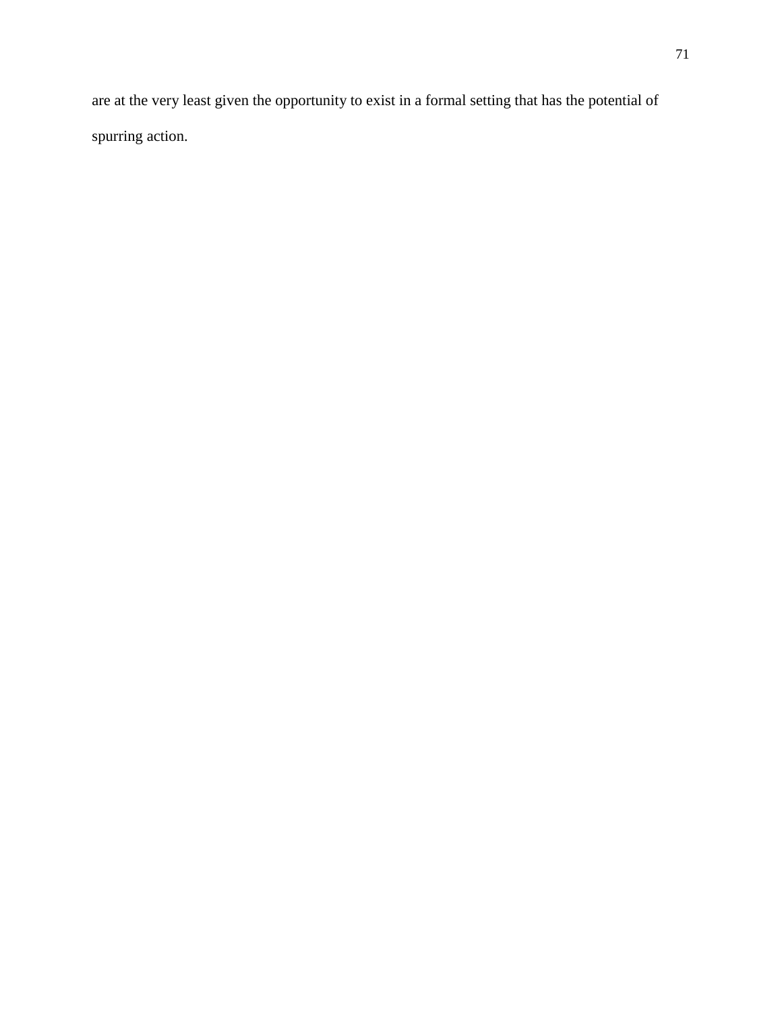are at the very least given the opportunity to exist in a formal setting that has the potential of spurring action.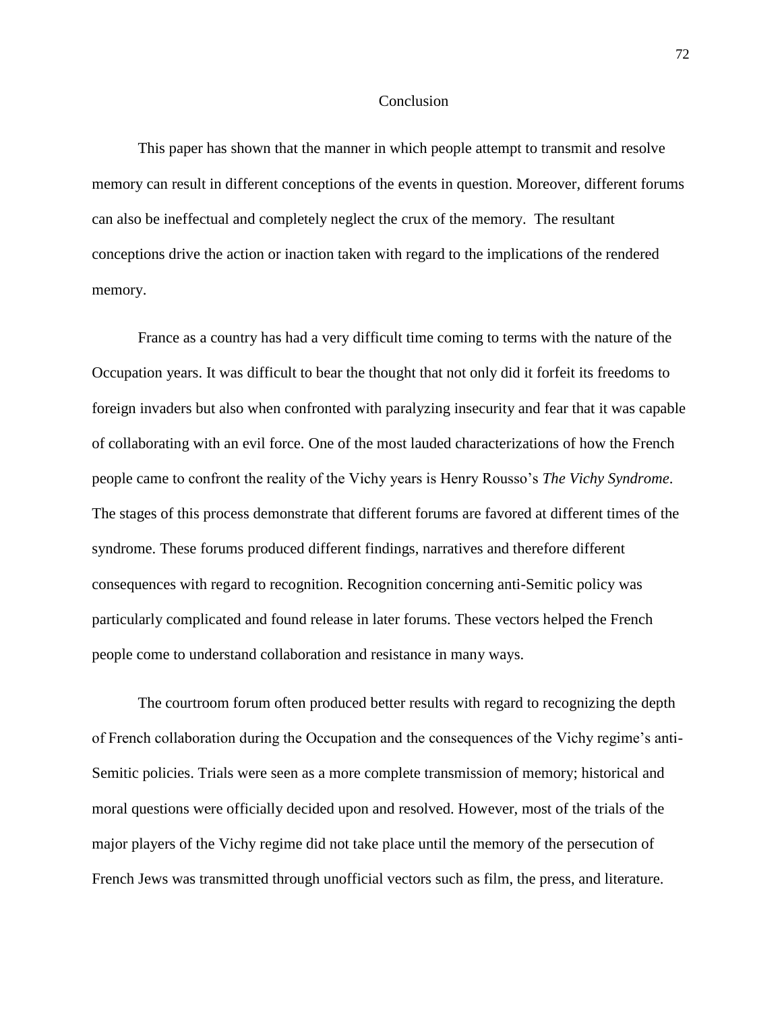### Conclusion

This paper has shown that the manner in which people attempt to transmit and resolve memory can result in different conceptions of the events in question. Moreover, different forums can also be ineffectual and completely neglect the crux of the memory. The resultant conceptions drive the action or inaction taken with regard to the implications of the rendered memory.

France as a country has had a very difficult time coming to terms with the nature of the Occupation years. It was difficult to bear the thought that not only did it forfeit its freedoms to foreign invaders but also when confronted with paralyzing insecurity and fear that it was capable of collaborating with an evil force. One of the most lauded characterizations of how the French people came to confront the reality of the Vichy years is Henry Rousso's *The Vichy Syndrome*. The stages of this process demonstrate that different forums are favored at different times of the syndrome. These forums produced different findings, narratives and therefore different consequences with regard to recognition. Recognition concerning anti-Semitic policy was particularly complicated and found release in later forums. These vectors helped the French people come to understand collaboration and resistance in many ways.

The courtroom forum often produced better results with regard to recognizing the depth of French collaboration during the Occupation and the consequences of the Vichy regime's anti-Semitic policies. Trials were seen as a more complete transmission of memory; historical and moral questions were officially decided upon and resolved. However, most of the trials of the major players of the Vichy regime did not take place until the memory of the persecution of French Jews was transmitted through unofficial vectors such as film, the press, and literature.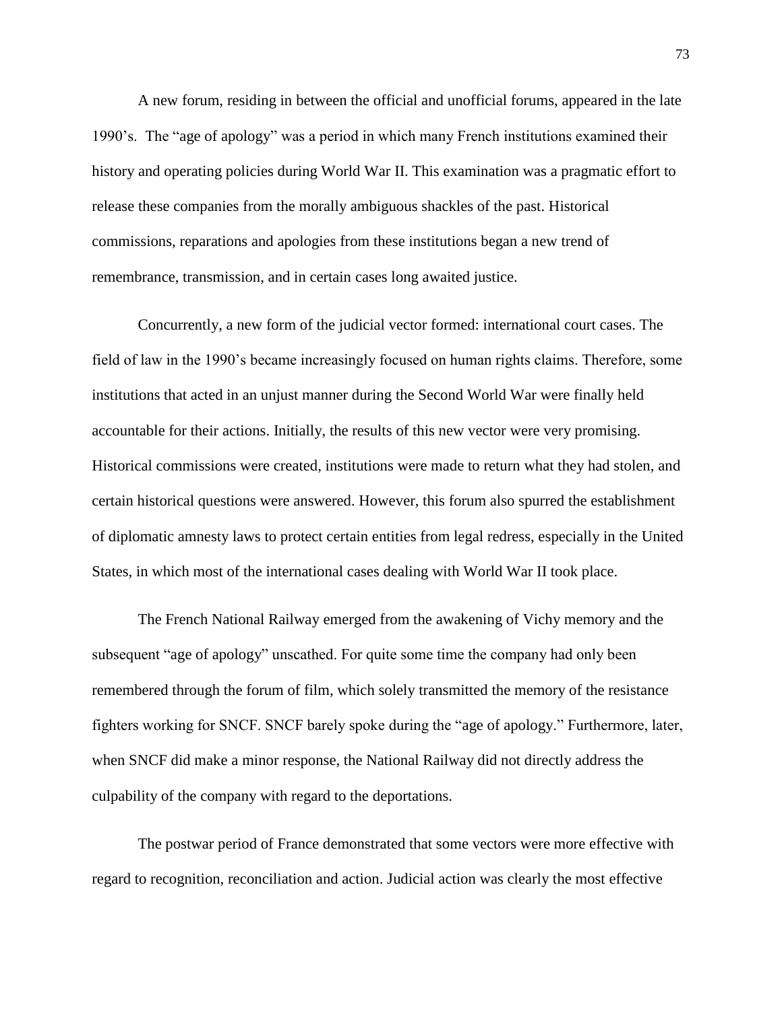A new forum, residing in between the official and unofficial forums, appeared in the late 1990's. The "age of apology" was a period in which many French institutions examined their history and operating policies during World War II. This examination was a pragmatic effort to release these companies from the morally ambiguous shackles of the past. Historical commissions, reparations and apologies from these institutions began a new trend of remembrance, transmission, and in certain cases long awaited justice.

Concurrently, a new form of the judicial vector formed: international court cases. The field of law in the 1990's became increasingly focused on human rights claims. Therefore, some institutions that acted in an unjust manner during the Second World War were finally held accountable for their actions. Initially, the results of this new vector were very promising. Historical commissions were created, institutions were made to return what they had stolen, and certain historical questions were answered. However, this forum also spurred the establishment of diplomatic amnesty laws to protect certain entities from legal redress, especially in the United States, in which most of the international cases dealing with World War II took place.

The French National Railway emerged from the awakening of Vichy memory and the subsequent "age of apology" unscathed. For quite some time the company had only been remembered through the forum of film, which solely transmitted the memory of the resistance fighters working for SNCF. SNCF barely spoke during the "age of apology." Furthermore, later, when SNCF did make a minor response, the National Railway did not directly address the culpability of the company with regard to the deportations.

The postwar period of France demonstrated that some vectors were more effective with regard to recognition, reconciliation and action. Judicial action was clearly the most effective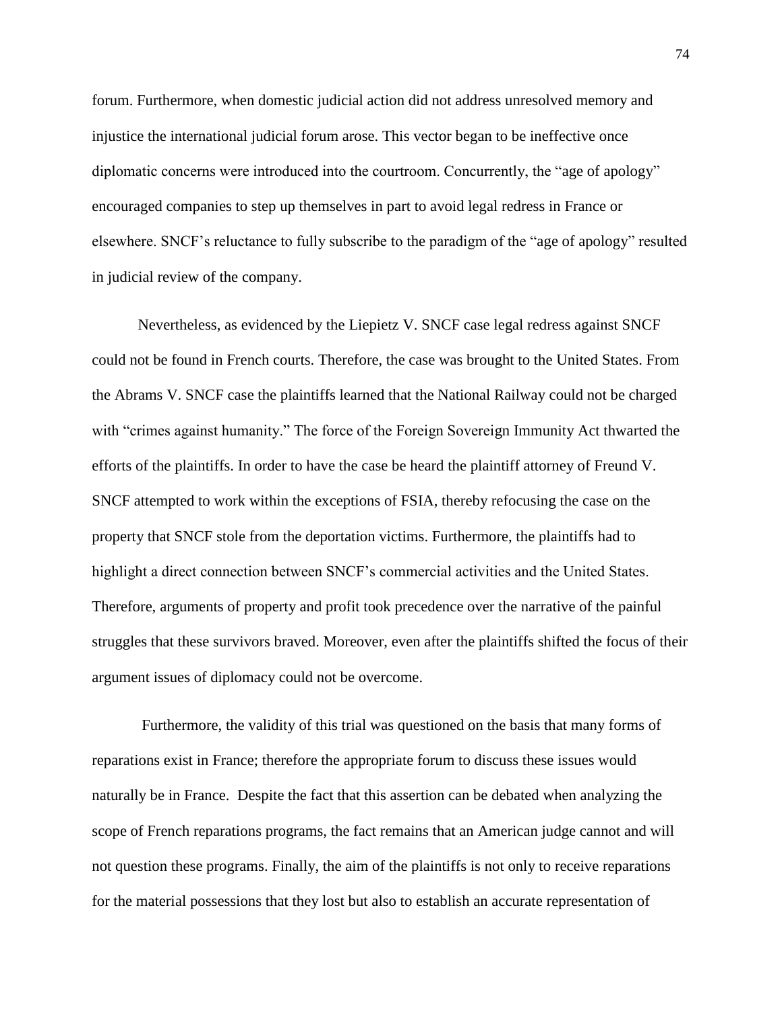forum. Furthermore, when domestic judicial action did not address unresolved memory and injustice the international judicial forum arose. This vector began to be ineffective once diplomatic concerns were introduced into the courtroom. Concurrently, the "age of apology" encouraged companies to step up themselves in part to avoid legal redress in France or elsewhere. SNCF's reluctance to fully subscribe to the paradigm of the "age of apology" resulted in judicial review of the company.

Nevertheless, as evidenced by the Liepietz V. SNCF case legal redress against SNCF could not be found in French courts. Therefore, the case was brought to the United States. From the Abrams V. SNCF case the plaintiffs learned that the National Railway could not be charged with "crimes against humanity." The force of the Foreign Sovereign Immunity Act thwarted the efforts of the plaintiffs. In order to have the case be heard the plaintiff attorney of Freund V. SNCF attempted to work within the exceptions of FSIA, thereby refocusing the case on the property that SNCF stole from the deportation victims. Furthermore, the plaintiffs had to highlight a direct connection between SNCF's commercial activities and the United States. Therefore, arguments of property and profit took precedence over the narrative of the painful struggles that these survivors braved. Moreover, even after the plaintiffs shifted the focus of their argument issues of diplomacy could not be overcome.

Furthermore, the validity of this trial was questioned on the basis that many forms of reparations exist in France; therefore the appropriate forum to discuss these issues would naturally be in France. Despite the fact that this assertion can be debated when analyzing the scope of French reparations programs, the fact remains that an American judge cannot and will not question these programs. Finally, the aim of the plaintiffs is not only to receive reparations for the material possessions that they lost but also to establish an accurate representation of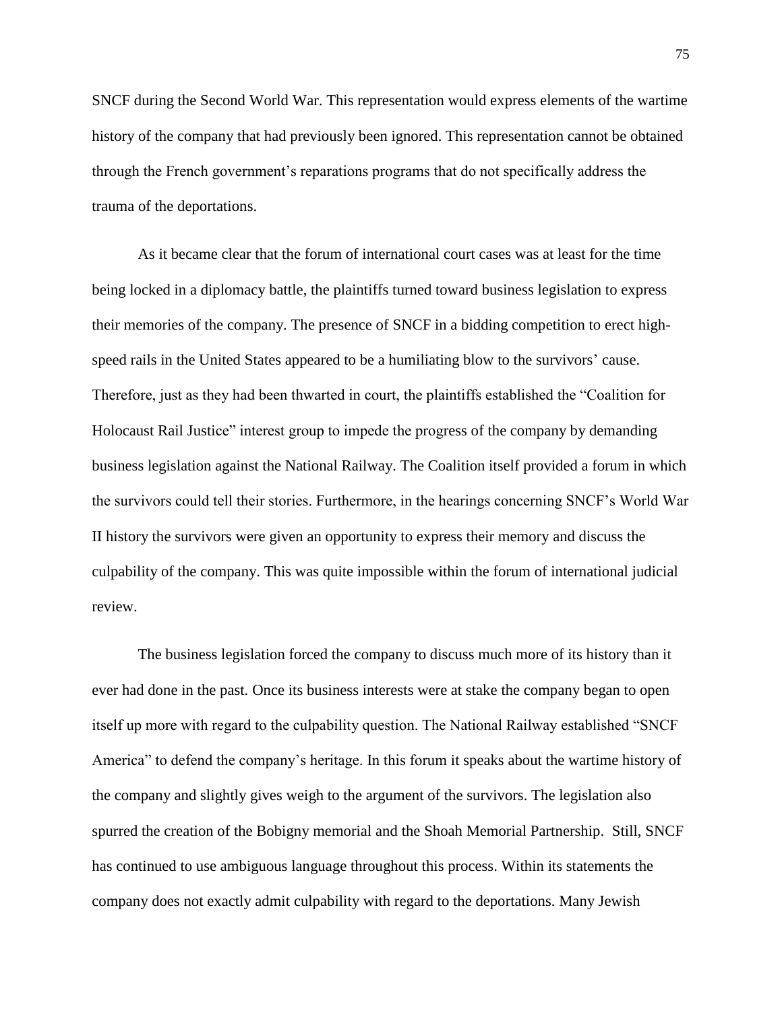SNCF during the Second World War. This representation would express elements of the wartime history of the company that had previously been ignored. This representation cannot be obtained through the French government's reparations programs that do not specifically address the trauma of the deportations.

As it became clear that the forum of international court cases was at least for the time being locked in a diplomacy battle, the plaintiffs turned toward business legislation to express their memories of the company. The presence of SNCF in a bidding competition to erect highspeed rails in the United States appeared to be a humiliating blow to the survivors' cause. Therefore, just as they had been thwarted in court, the plaintiffs established the "Coalition for Holocaust Rail Justice" interest group to impede the progress of the company by demanding business legislation against the National Railway. The Coalition itself provided a forum in which the survivors could tell their stories. Furthermore, in the hearings concerning SNCF's World War II history the survivors were given an opportunity to express their memory and discuss the culpability of the company. This was quite impossible within the forum of international judicial review.

The business legislation forced the company to discuss much more of its history than it ever had done in the past. Once its business interests were at stake the company began to open itself up more with regard to the culpability question. The National Railway established "SNCF America" to defend the company's heritage. In this forum it speaks about the wartime history of the company and slightly gives weigh to the argument of the survivors. The legislation also spurred the creation of the Bobigny memorial and the Shoah Memorial Partnership. Still, SNCF has continued to use ambiguous language throughout this process. Within its statements the company does not exactly admit culpability with regard to the deportations. Many Jewish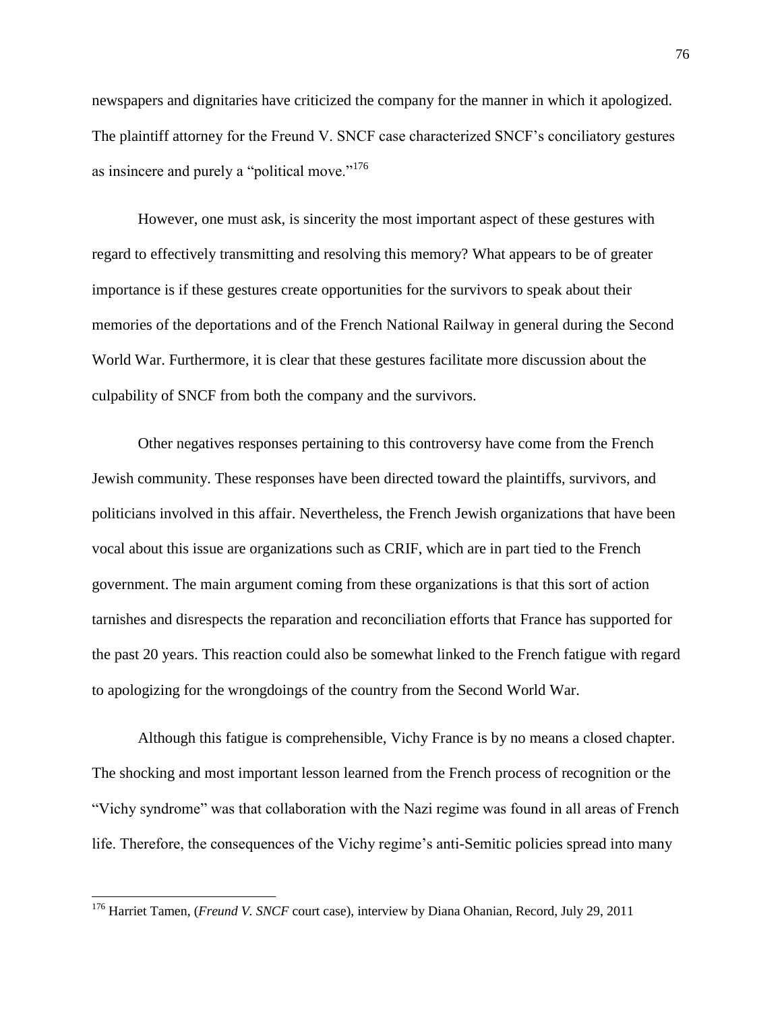newspapers and dignitaries have criticized the company for the manner in which it apologized. The plaintiff attorney for the Freund V. SNCF case characterized SNCF's conciliatory gestures as insincere and purely a "political move."<sup>176</sup>

However, one must ask, is sincerity the most important aspect of these gestures with regard to effectively transmitting and resolving this memory? What appears to be of greater importance is if these gestures create opportunities for the survivors to speak about their memories of the deportations and of the French National Railway in general during the Second World War. Furthermore, it is clear that these gestures facilitate more discussion about the culpability of SNCF from both the company and the survivors.

Other negatives responses pertaining to this controversy have come from the French Jewish community. These responses have been directed toward the plaintiffs, survivors, and politicians involved in this affair. Nevertheless, the French Jewish organizations that have been vocal about this issue are organizations such as CRIF, which are in part tied to the French government. The main argument coming from these organizations is that this sort of action tarnishes and disrespects the reparation and reconciliation efforts that France has supported for the past 20 years. This reaction could also be somewhat linked to the French fatigue with regard to apologizing for the wrongdoings of the country from the Second World War.

Although this fatigue is comprehensible, Vichy France is by no means a closed chapter. The shocking and most important lesson learned from the French process of recognition or the "Vichy syndrome" was that collaboration with the Nazi regime was found in all areas of French life. Therefore, the consequences of the Vichy regime's anti-Semitic policies spread into many

 $\overline{\phantom{a}}$ 

<sup>176</sup> Harriet Tamen, (*Freund V. SNCF* court case), interview by Diana Ohanian, Record, July 29, 2011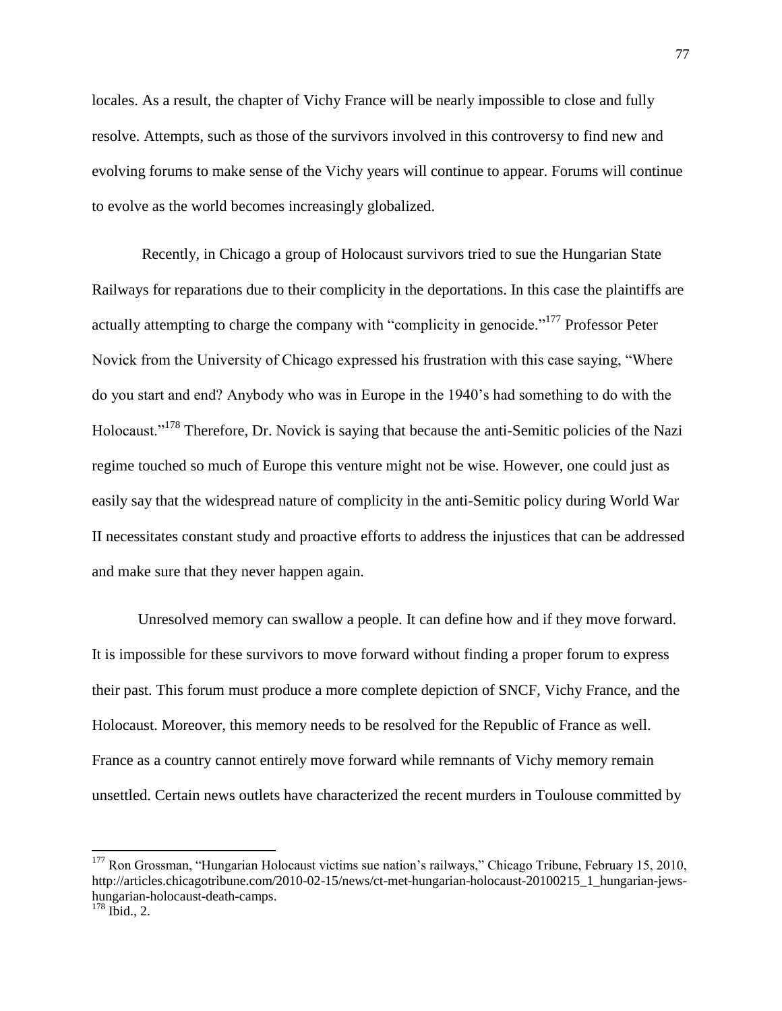locales. As a result, the chapter of Vichy France will be nearly impossible to close and fully resolve. Attempts, such as those of the survivors involved in this controversy to find new and evolving forums to make sense of the Vichy years will continue to appear. Forums will continue to evolve as the world becomes increasingly globalized.

Recently, in Chicago a group of Holocaust survivors tried to sue the Hungarian State Railways for reparations due to their complicity in the deportations. In this case the plaintiffs are actually attempting to charge the company with "complicity in genocide."<sup>177</sup> Professor Peter Novick from the University of Chicago expressed his frustration with this case saying, "Where do you start and end? Anybody who was in Europe in the 1940's had something to do with the Holocaust."<sup>178</sup> Therefore, Dr. Novick is saying that because the anti-Semitic policies of the Nazi regime touched so much of Europe this venture might not be wise. However, one could just as easily say that the widespread nature of complicity in the anti-Semitic policy during World War II necessitates constant study and proactive efforts to address the injustices that can be addressed and make sure that they never happen again.

Unresolved memory can swallow a people. It can define how and if they move forward. It is impossible for these survivors to move forward without finding a proper forum to express their past. This forum must produce a more complete depiction of SNCF, Vichy France, and the Holocaust. Moreover, this memory needs to be resolved for the Republic of France as well. France as a country cannot entirely move forward while remnants of Vichy memory remain unsettled. Certain news outlets have characterized the recent murders in Toulouse committed by

 $\overline{\phantom{a}}$ 

 $177$  Ron Grossman, "Hungarian Holocaust victims sue nation's railways," Chicago Tribune, February 15, 2010, http://articles.chicagotribune.com/2010-02-15/news/ct-met-hungarian-holocaust-20100215\_1\_hungarian-jewshungarian-holocaust-death-camps.

 $178$  Ibid., 2.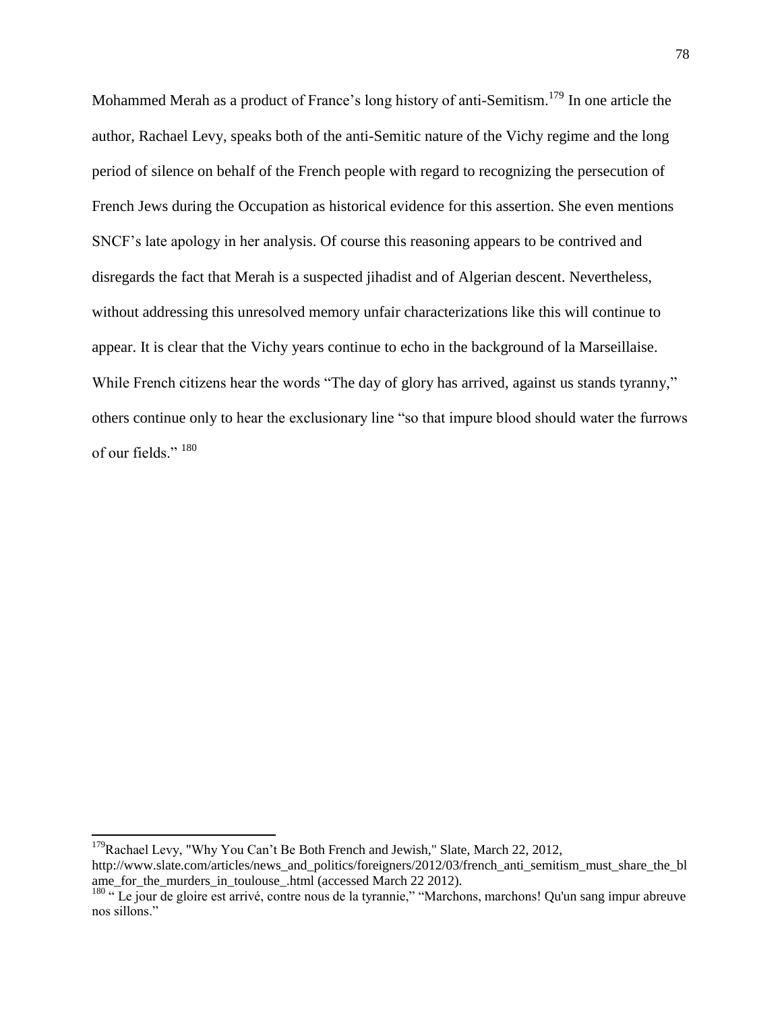Mohammed Merah as a product of France's long history of anti-Semitism.<sup>179</sup> In one article the author, Rachael Levy, speaks both of the anti-Semitic nature of the Vichy regime and the long period of silence on behalf of the French people with regard to recognizing the persecution of French Jews during the Occupation as historical evidence for this assertion. She even mentions SNCF's late apology in her analysis. Of course this reasoning appears to be contrived and disregards the fact that Merah is a suspected jihadist and of Algerian descent. Nevertheless, without addressing this unresolved memory unfair characterizations like this will continue to appear. It is clear that the Vichy years continue to echo in the background of la Marseillaise. While French citizens hear the words "The day of glory has arrived, against us stands tyranny," others continue only to hear the exclusionary line "so that impure blood should water the furrows of our fields." 180

l

 $179$ Rachael Levy, "Why You Can't Be Both French and Jewish," Slate, March 22, 2012, http://www.slate.com/articles/news\_and\_politics/foreigners/2012/03/french\_anti\_semitism\_must\_share\_the\_bl ame for the murders in toulouse .html (accessed March 22 2012).

<sup>&</sup>lt;sup>180</sup> " Le jour de gloire est arrivé, contre nous de la tyrannie," "Marchons, marchons! Qu'un sang impur abreuve nos sillons."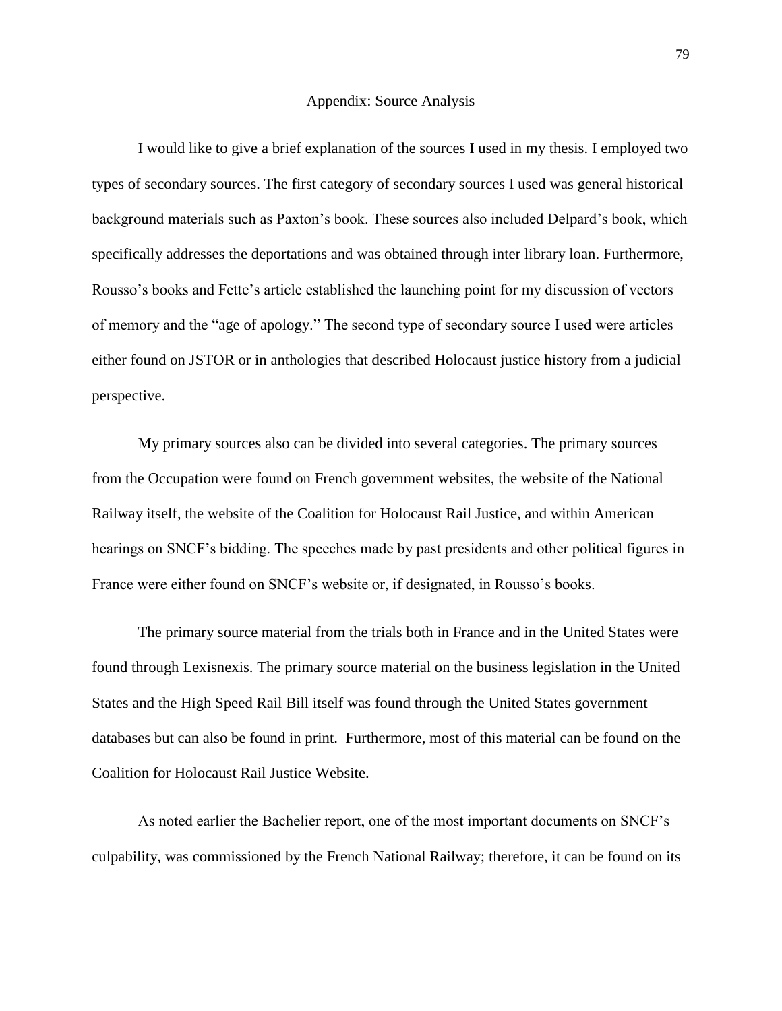#### Appendix: Source Analysis

I would like to give a brief explanation of the sources I used in my thesis. I employed two types of secondary sources. The first category of secondary sources I used was general historical background materials such as Paxton's book. These sources also included Delpard's book, which specifically addresses the deportations and was obtained through inter library loan. Furthermore, Rousso's books and Fette's article established the launching point for my discussion of vectors of memory and the "age of apology." The second type of secondary source I used were articles either found on JSTOR or in anthologies that described Holocaust justice history from a judicial perspective.

My primary sources also can be divided into several categories. The primary sources from the Occupation were found on French government websites, the website of the National Railway itself, the website of the Coalition for Holocaust Rail Justice, and within American hearings on SNCF's bidding. The speeches made by past presidents and other political figures in France were either found on SNCF's website or, if designated, in Rousso's books.

The primary source material from the trials both in France and in the United States were found through Lexisnexis. The primary source material on the business legislation in the United States and the High Speed Rail Bill itself was found through the United States government databases but can also be found in print. Furthermore, most of this material can be found on the Coalition for Holocaust Rail Justice Website.

As noted earlier the Bachelier report, one of the most important documents on SNCF's culpability, was commissioned by the French National Railway; therefore, it can be found on its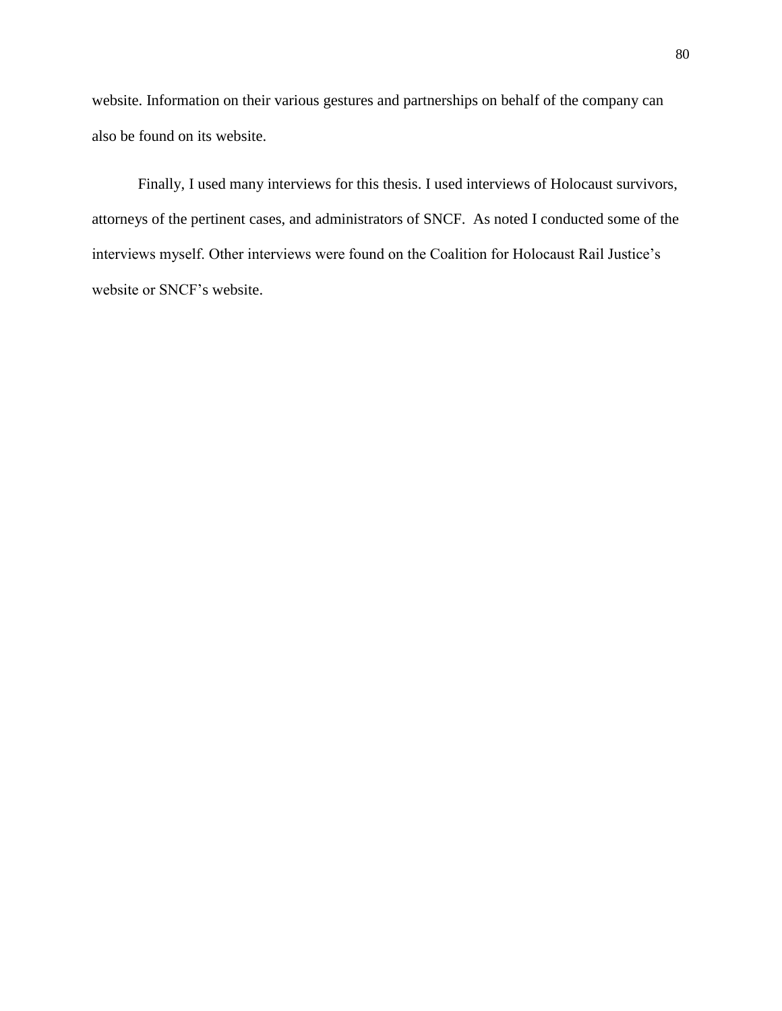website. Information on their various gestures and partnerships on behalf of the company can also be found on its website.

Finally, I used many interviews for this thesis. I used interviews of Holocaust survivors, attorneys of the pertinent cases, and administrators of SNCF. As noted I conducted some of the interviews myself. Other interviews were found on the Coalition for Holocaust Rail Justice's website or SNCF's website.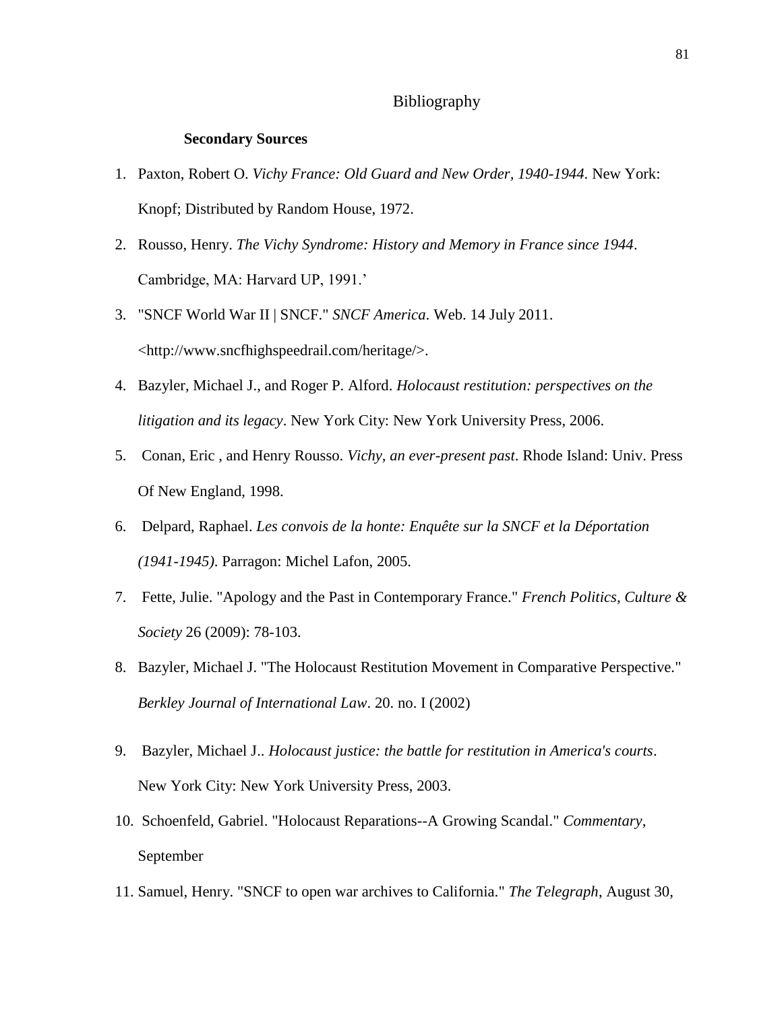## Bibliography

#### **Secondary Sources**

- 1. Paxton, Robert O. *Vichy France: Old Guard and New Order, 1940-1944*. New York: Knopf; Distributed by Random House, 1972.
- 2. Rousso, Henry. *The Vichy Syndrome: History and Memory in France since 1944*. Cambridge, MA: Harvard UP, 1991.'
- 3. "SNCF World War II | SNCF." *SNCF America*. Web. 14 July 2011. <http://www.sncfhighspeedrail.com/heritage/>.
- 4. Bazyler, Michael J., and Roger P. Alford. *Holocaust restitution: perspectives on the litigation and its legacy*. New York City: New York University Press, 2006.
- 5. Conan, Eric , and Henry Rousso. *Vichy, an ever-present past*. Rhode Island: Univ. Press Of New England, 1998.
- 6. Delpard, Raphael. *Les convois de la honte: Enquête sur la SNCF et la Déportation (1941-1945)*. Parragon: Michel Lafon, 2005.
- 7. Fette, Julie. "Apology and the Past in Contemporary France." *French Politics, Culture & Society* 26 (2009): 78-103.
- 8. Bazyler, Michael J. "The Holocaust Restitution Movement in Comparative Perspective." *Berkley Journal of International Law*. 20. no. I (2002)
- 9. Bazyler, Michael J.. *Holocaust justice: the battle for restitution in America's courts*. New York City: New York University Press, 2003.
- 10. Schoenfeld, Gabriel. "Holocaust Reparations--A Growing Scandal." *Commentary*, September
- 11. Samuel, Henry. "SNCF to open war archives to California." *The Telegraph*, August 30,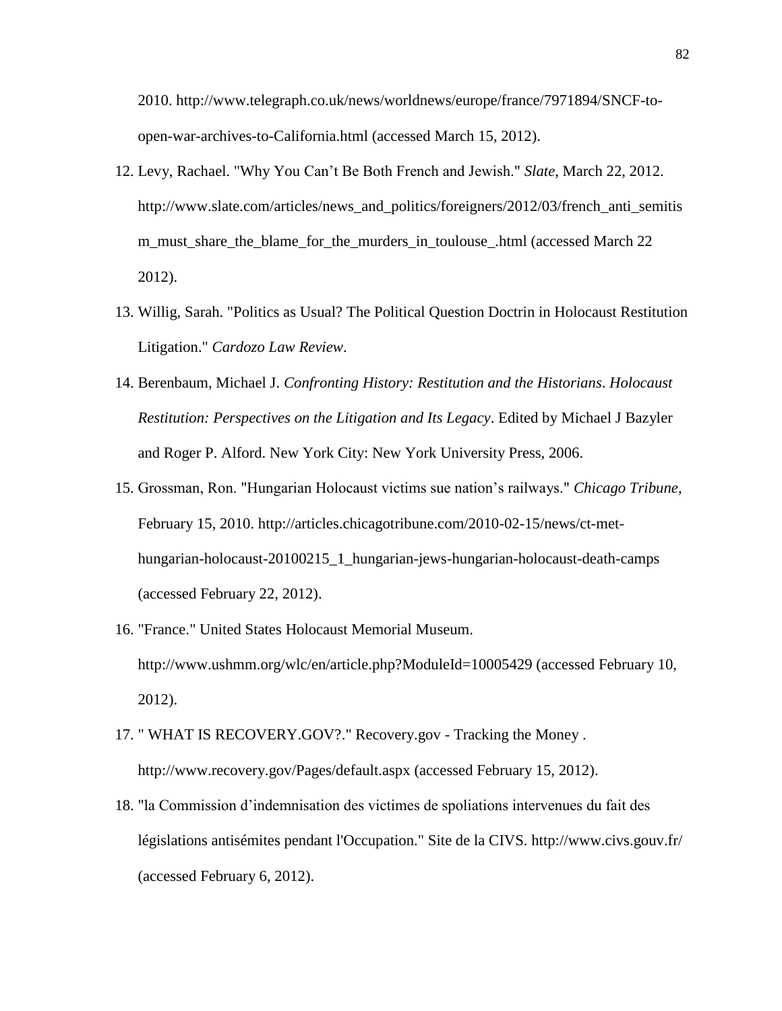2010. http://www.telegraph.co.uk/news/worldnews/europe/france/7971894/SNCF-toopen-war-archives-to-California.html (accessed March 15, 2012).

- 12. Levy, Rachael. "Why You Can't Be Both French and Jewish." *Slate*, March 22, 2012. http://www.slate.com/articles/news\_and\_politics/foreigners/2012/03/french\_anti\_semitis m\_must\_share\_the\_blame\_for\_the\_murders\_in\_toulouse\_.html (accessed March 22 2012).
- 13. Willig, Sarah. "Politics as Usual? The Political Question Doctrin in Holocaust Restitution Litigation." *Cardozo Law Review*.
- 14. Berenbaum, Michael J. *Confronting History: Restitution and the Historians*. *Holocaust Restitution: Perspectives on the Litigation and Its Legacy*. Edited by Michael J Bazyler and Roger P. Alford. New York City: New York University Press, 2006.
- 15. Grossman, Ron. "Hungarian Holocaust victims sue nation's railways." *Chicago Tribune*, February 15, 2010. http://articles.chicagotribune.com/2010-02-15/news/ct-methungarian-holocaust-20100215\_1\_hungarian-jews-hungarian-holocaust-death-camps (accessed February 22, 2012).
- 16. "France." United States Holocaust Memorial Museum. http://www.ushmm.org/wlc/en/article.php?ModuleId=10005429 (accessed February 10, 2012).
- 17. " WHAT IS RECOVERY.GOV?." Recovery.gov Tracking the Money . http://www.recovery.gov/Pages/default.aspx (accessed February 15, 2012).
- 18. "la Commission d'indemnisation des victimes de spoliations intervenues du fait des législations antisémites pendant l'Occupation." Site de la CIVS. http://www.civs.gouv.fr/ (accessed February 6, 2012).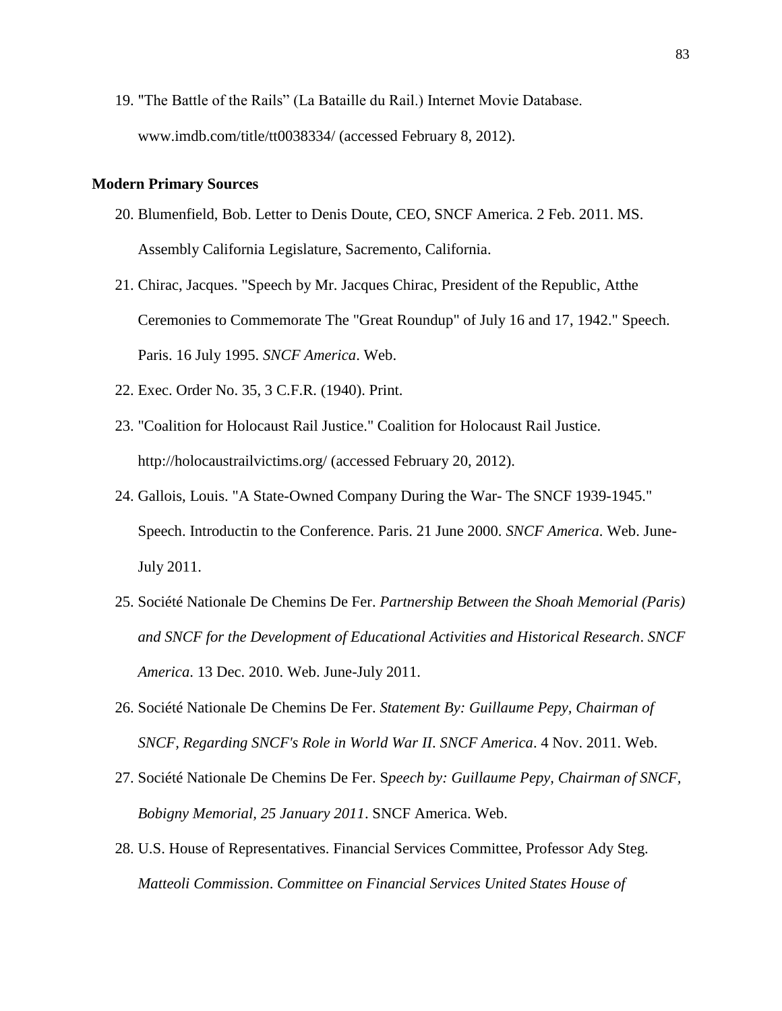19. "The Battle of the Rails" (La Bataille du Rail.) Internet Movie Database. www.imdb.com/title/tt0038334/ (accessed February 8, 2012).

### **Modern Primary Sources**

- 20. Blumenfield, Bob. Letter to Denis Doute, CEO, SNCF America. 2 Feb. 2011. MS. Assembly California Legislature, Sacremento, California.
- 21. Chirac, Jacques. "Speech by Mr. Jacques Chirac, President of the Republic, Atthe Ceremonies to Commemorate The "Great Roundup" of July 16 and 17, 1942." Speech. Paris. 16 July 1995. *SNCF America*. Web.
- 22. Exec. Order No. 35, 3 C.F.R. (1940). Print.
- 23. "Coalition for Holocaust Rail Justice." Coalition for Holocaust Rail Justice. http://holocaustrailvictims.org/ (accessed February 20, 2012).
- 24. Gallois, Louis. "A State-Owned Company During the War- The SNCF 1939-1945." Speech. Introductin to the Conference. Paris. 21 June 2000. *SNCF America*. Web. June-July 2011.
- 25. Société Nationale De Chemins De Fer. *Partnership Between the Shoah Memorial (Paris) and SNCF for the Development of Educational Activities and Historical Research*. *SNCF America*. 13 Dec. 2010. Web. June-July 2011.
- 26. Société Nationale De Chemins De Fer. *Statement By: Guillaume Pepy, Chairman of SNCF, Regarding SNCF's Role in World War II*. *SNCF America*. 4 Nov. 2011. Web.
- 27. Société Nationale De Chemins De Fer. S*peech by: Guillaume Pepy, Chairman of SNCF, Bobigny Memorial, 25 January 2011*. SNCF America. Web.
- 28. U.S. House of Representatives. Financial Services Committee, Professor Ady Steg. *Matteoli Commission*. *Committee on Financial Services United States House of*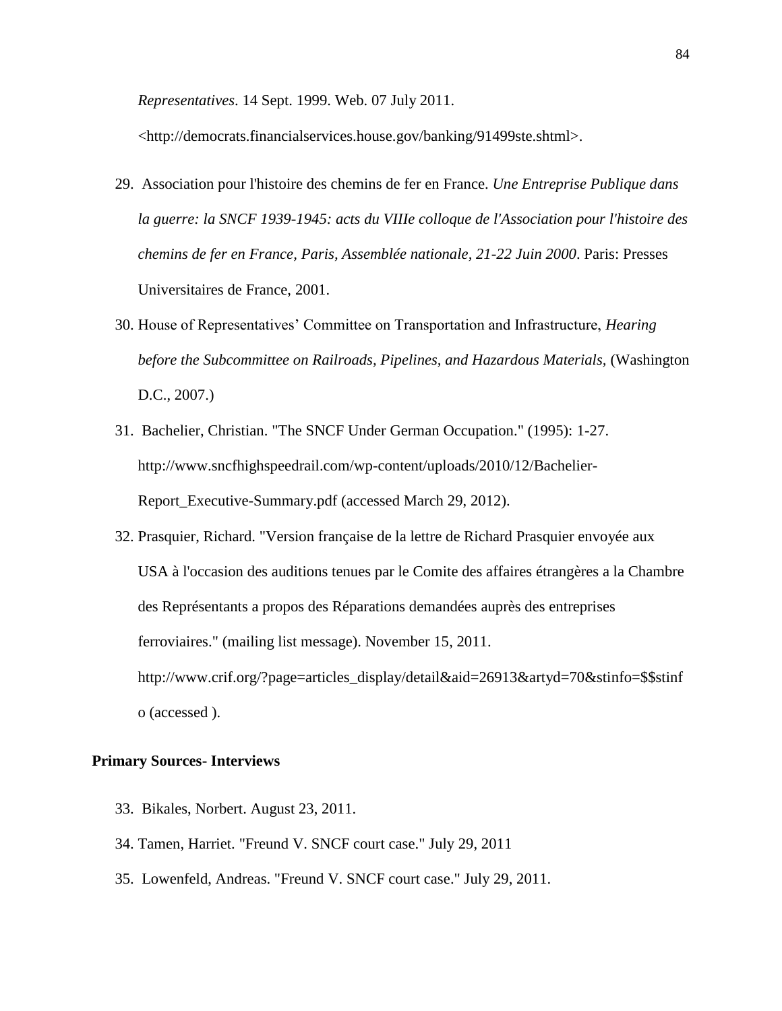*Representatives*. 14 Sept. 1999. Web. 07 July 2011.

<http://democrats.financialservices.house.gov/banking/91499ste.shtml>.

- 29. Association pour l'histoire des chemins de fer en France. *Une Entreprise Publique dans la guerre: la SNCF 1939-1945: acts du VIIIe colloque de l'Association pour l'histoire des chemins de fer en France, Paris, Assemblée nationale, 21-22 Juin 2000*. Paris: Presses Universitaires de France, 2001.
- 30. House of Representatives' Committee on Transportation and Infrastructure, *Hearing*  before the Subcommittee on Railroads, Pipelines, and Hazardous Materials, (Washington D.C., 2007.)
- 31. Bachelier, Christian. "The SNCF Under German Occupation." (1995): 1-27. http://www.sncfhighspeedrail.com/wp-content/uploads/2010/12/Bachelier-Report\_Executive-Summary.pdf (accessed March 29, 2012).
- 32. Prasquier, Richard. "Version française de la lettre de Richard Prasquier envoyée aux USA à l'occasion des auditions tenues par le Comite des affaires étrangères a la Chambre des Représentants a propos des Réparations demandées auprès des entreprises ferroviaires." (mailing list message). November 15, 2011. http://www.crif.org/?page=articles\_display/detail&aid=26913&artyd=70&stinfo=\$\$stinf o (accessed ).

### **Primary Sources- Interviews**

- 33. Bikales, Norbert. August 23, 2011.
- 34. Tamen, Harriet. "Freund V. SNCF court case." July 29, 2011
- 35. Lowenfeld, Andreas. "Freund V. SNCF court case." July 29, 2011.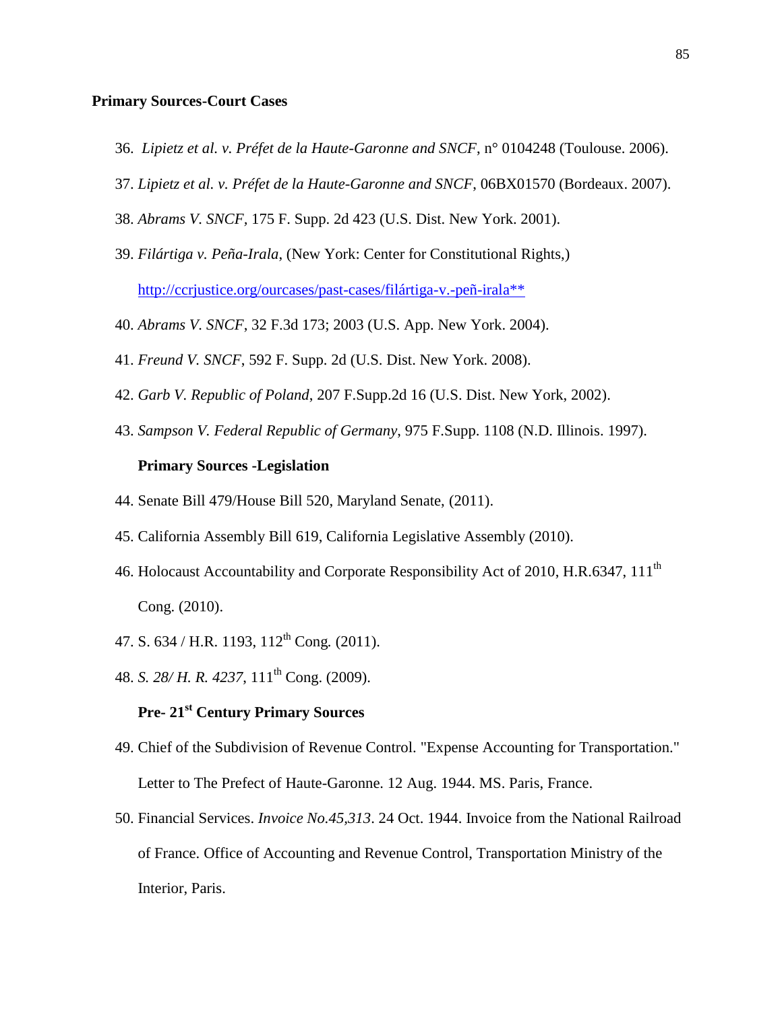## **Primary Sources-Court Cases**

- 36. *Lipietz et al. v. Préfet de la Haute-Garonne and SNCF*, n° 0104248 (Toulouse. 2006).
- 37. *Lipietz et al. v. Préfet de la Haute-Garonne and SNCF*, 06BX01570 (Bordeaux. 2007).
- 38. *Abrams V. SNCF,* 175 F. Supp. 2d 423 (U.S. Dist. New York. 2001).
- 39. *Filártiga v. Peña-Irala*, (New York: Center for Constitutional Rights,) [http://ccrjustice.org/ourcases/past-cases/filártiga-v.-peñ-irala\\*\\*](http://ccrjustice.org/ourcases/past-cases/filártiga-v.-peñ-irala**)
- 40. *Abrams V. SNCF*, 32 F.3d 173; 2003 (U.S. App. New York. 2004).
- 41. *Freund V. SNCF*, 592 F. Supp. 2d (U.S. Dist. New York. 2008).
- 42. *Garb V. Republic of Poland*, 207 F.Supp.2d 16 (U.S. Dist. New York, 2002).
- 43. *Sampson V. Federal Republic of Germany*, 975 F.Supp. 1108 (N.D. Illinois. 1997).

## **Primary Sources -Legislation**

- 44. Senate Bill 479/House Bill 520, Maryland Senate, (2011).
- 45. California Assembly Bill 619, California Legislative Assembly (2010).
- 46. Holocaust Accountability and Corporate Responsibility Act of 2010, H.R.6347, 111<sup>th</sup> Cong. (2010).
- 47. S. 634 / H.R. 1193, 112th Cong*.* (2011).
- 48. *S. 28/ H. R. 4237*, 111th Cong. (2009).

# **Pre- 21st Century Primary Sources**

- 49. Chief of the Subdivision of Revenue Control. "Expense Accounting for Transportation." Letter to The Prefect of Haute-Garonne. 12 Aug. 1944. MS. Paris, France.
- 50. Financial Services. *Invoice No.45,313*. 24 Oct. 1944. Invoice from the National Railroad of France. Office of Accounting and Revenue Control, Transportation Ministry of the Interior, Paris.